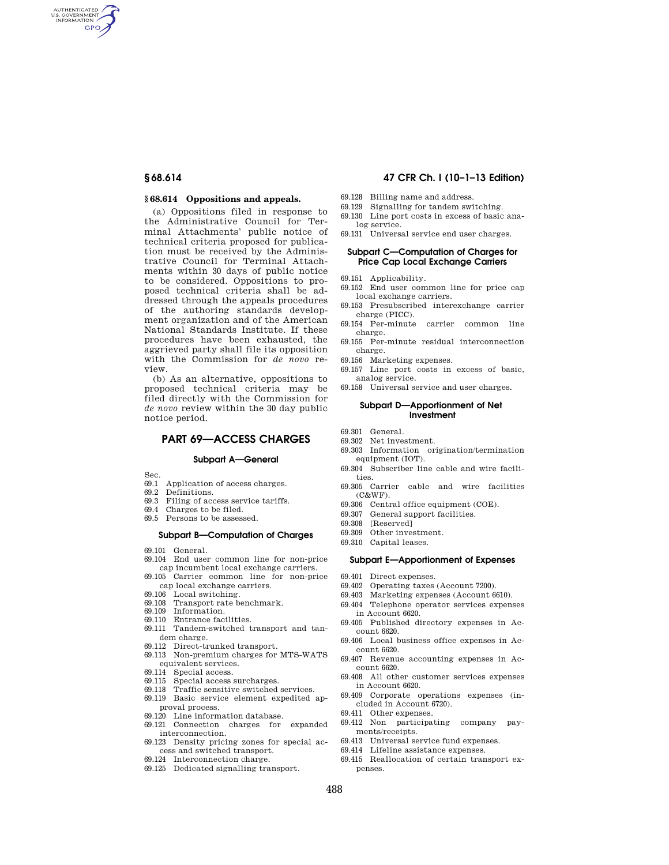AUTHENTICATED<br>U.S. GOVERNMENT<br>INFORMATION **GPO** 

## **§ 68.614 Oppositions and appeals.**

(a) Oppositions filed in response to the Administrative Council for Terminal Attachments' public notice of technical criteria proposed for publication must be received by the Administrative Council for Terminal Attachments within 30 days of public notice to be considered. Oppositions to proposed technical criteria shall be addressed through the appeals procedures of the authoring standards development organization and of the American National Standards Institute. If these procedures have been exhausted, the aggrieved party shall file its opposition with the Commission for *de novo* review.

(b) As an alternative, oppositions to proposed technical criteria may be filed directly with the Commission for *de novo* review within the 30 day public notice period.

# **PART 69—ACCESS CHARGES**

#### **Subpart A—General**

Sec.

- 69.1 Application of access charges.
- 69.2 Definitions.
- 69.3 Filing of access service tariffs.
- 69.4 Charges to be filed.
- 69.5 Persons to be assessed.

## **Subpart B—Computation of Charges**

- 69.101 General.
- 69.104 End user common line for non-price cap incumbent local exchange carriers.
- 69.105 Carrier common line for non-price cap local exchange carriers.
- 
- 69.106 Local switching. 69.108 Transport rate benchmark.
- 69.109 Information.
- 69.110 Entrance facilities.
- 69.111 Tandem-switched transport and tandem charge.
- 69.112 Direct-trunked transport.
- 69.113 Non-premium charges for MTS-WATS equivalent services.
- 69.114 Special access.
- 69.115 Special access surcharges.
- 69.118 Traffic sensitive switched services.
- 69.119 Basic service element expedited approval process.
- 69.120 Line information database.
- 69.121 Connection charges for expanded interconnection.
- 69.123 Density pricing zones for special access and switched transport.
- 69.124 Interconnection charge.
- 69.125 Dedicated signalling transport.

## **§ 68.614 47 CFR Ch. I (10–1–13 Edition)**

- 69.128 Billing name and address.
- 69.129 Signalling for tandem switching.
- 69.130 Line port costs in excess of basic analog service.
- 69.131 Universal service end user charges.

# **Subpart C—Computation of Charges for Price Cap Local Exchange Carriers**

- 69.151 Applicability.
- 69.152 End user common line for price cap local exchange carriers.
- 69.153 Presubscribed interexchange carrier charge (PICC).
- 69.154 Per-minute carrier common line charge.
- 69.155 Per-minute residual interconnection charge.
- 69.156 Marketing expenses.
- 69.157 Line port costs in excess of basic, analog service.
- 69.158 Universal service and user charges.

## **Subpart D—Apportionment of Net Investment**

- 69.301 General.
- 69.302 Net investment.
- 69.303 Information origination/termination equipment (IOT).
- 69.304 Subscriber line cable and wire facilities.
- 69.305 Carrier cable and wire facilities (C&WF).
- 69.306 Central office equipment (COE).<br>69.307 General support facilities.
- General support facilities.
- 69.308 [Reserved]
- 69.309 Other investment.
- 69.310 Capital leases.

## **Subpart E—Apportionment of Expenses**

- 69.401 Direct expenses.
- 69.402 Operating taxes (Account 7200).
- 69.403 Marketing expenses (Account 6610).
- 69.404 Telephone operator services expenses in Account 6620.
- 69.405 Published directory expenses in Account 6620.
- 69.406 Local business office expenses in Account 6620.
- 69.407 Revenue accounting expenses in Account 6620.
- 69.408 All other customer services expenses in Account 6620.
- 69.409 Corporate operations expenses (included in Account 6720).
- 69.411 Other expenses.
- 69.412 Non participating company payments/receipts.
- 69.413 Universal service fund expenses.
- 69.414 Lifeline assistance expenses.
- 69.415 Reallocation of certain transport expenses.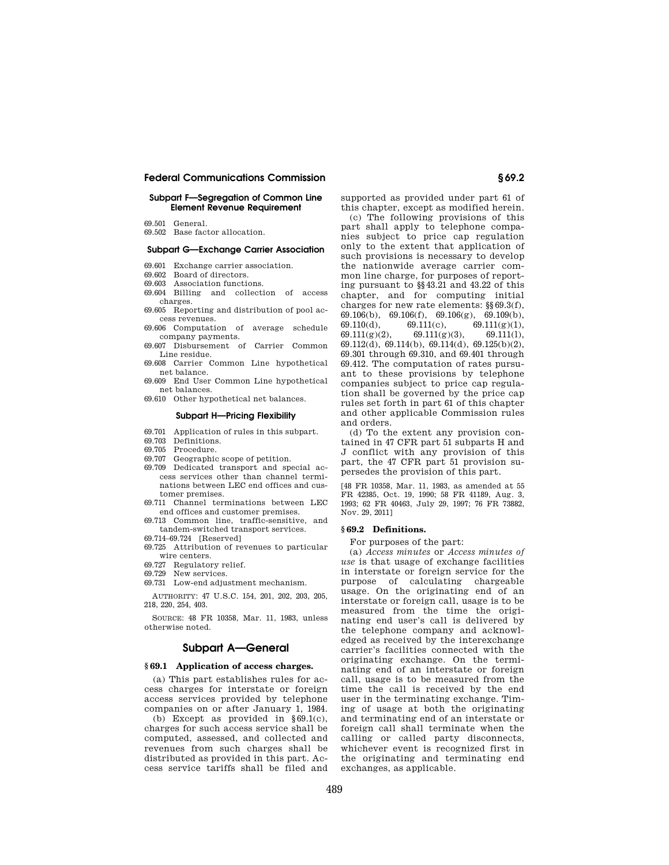## **Subpart F—Segregation of Common Line Element Revenue Requirement**

- 69.501 General.
- 69.502 Base factor allocation.

# **Subpart G—Exchange Carrier Association**

- 69.601 Exchange carrier association.
- 69.602 Board of directors.
- 69.603 Association functions.
- 69.604 Billing and collection of access charges.
- 69.605 Reporting and distribution of pool access revenues.
- 69.606 Computation of average schedule company payments.
- 69.607 Disbursement of Carrier Common Line residue.
- 69.608 Carrier Common Line hypothetical net balance.
- 69.609 End User Common Line hypothetical net balances.
- 69.610 Other hypothetical net balances.

## **Subpart H—Pricing Flexibility**

- 69.701 Application of rules in this subpart.
- 69.703 Definitions.
- 69.705 Procedure.
- 69.707 Geographic scope of petition.
- 69.709 Dedicated transport and special access services other than channel terminations between LEC end offices and customer premises.
- 69.711 Channel terminations between LEC end offices and customer premises.
- 69.713 Common line, traffic-sensitive, and tandem-switched transport services.
- 69.714–69.724 [Reserved]
- 69.725 Attribution of revenues to particular wire centers.
- 69.727 Regulatory relief.
- 69.729 New services.
- 69.731 Low-end adjustment mechanism.

AUTHORITY: 47 U.S.C. 154, 201, 202, 203, 205, 218, 220, 254, 403.

SOURCE: 48 FR 10358, Mar. 11, 1983, unless otherwise noted.

## **Subpart A—General**

# **§ 69.1 Application of access charges.**

(a) This part establishes rules for access charges for interstate or foreign access services provided by telephone companies on or after January 1, 1984.

(b) Except as provided in §69.1(c), charges for such access service shall be computed, assessed, and collected and revenues from such charges shall be distributed as provided in this part. Access service tariffs shall be filed and supported as provided under part 61 of this chapter, except as modified herein.

(c) The following provisions of this part shall apply to telephone companies subject to price cap regulation only to the extent that application of such provisions is necessary to develop the nationwide average carrier common line charge, for purposes of reporting pursuant to §§43.21 and 43.22 of this chapter, and for computing initial charges for new rate elements: §§69.3(f), 69.106(b), 69.106(f), 69.106(g), 69.109(b), 69.110(d), 69.111(c), 69.111(g)(1),  $69.111(g)(2),$   $69.111(g)(3),$   $69.111(1),$ 69.112(d), 69.114(b), 69.114(d), 69.125(b)(2), 69.301 through 69.310, and 69.401 through 69.412. The computation of rates pursuant to these provisions by telephone companies subject to price cap regulation shall be governed by the price cap rules set forth in part 61 of this chapter and other applicable Commission rules and orders.

(d) To the extent any provision contained in 47 CFR part 51 subparts H and J conflict with any provision of this part, the 47 CFR part 51 provision supersedes the provision of this part.

[48 FR 10358, Mar. 11, 1983, as amended at 55 FR 42385, Oct. 19, 1990; 58 FR 41189, Aug. 3, 1993; 62 FR 40463, July 29, 1997; 76 FR 73882, Nov. 29, 2011]

#### **§ 69.2 Definitions.**

For purposes of the part:

(a) *Access minutes* or *Access minutes of use* is that usage of exchange facilities in interstate or foreign service for the purpose of calculating chargeable usage. On the originating end of an interstate or foreign call, usage is to be measured from the time the originating end user's call is delivered by the telephone company and acknowledged as received by the interexchange carrier's facilities connected with the originating exchange. On the terminating end of an interstate or foreign call, usage is to be measured from the time the call is received by the end user in the terminating exchange. Timing of usage at both the originating and terminating end of an interstate or foreign call shall terminate when the calling or called party disconnects, whichever event is recognized first in the originating and terminating end exchanges, as applicable.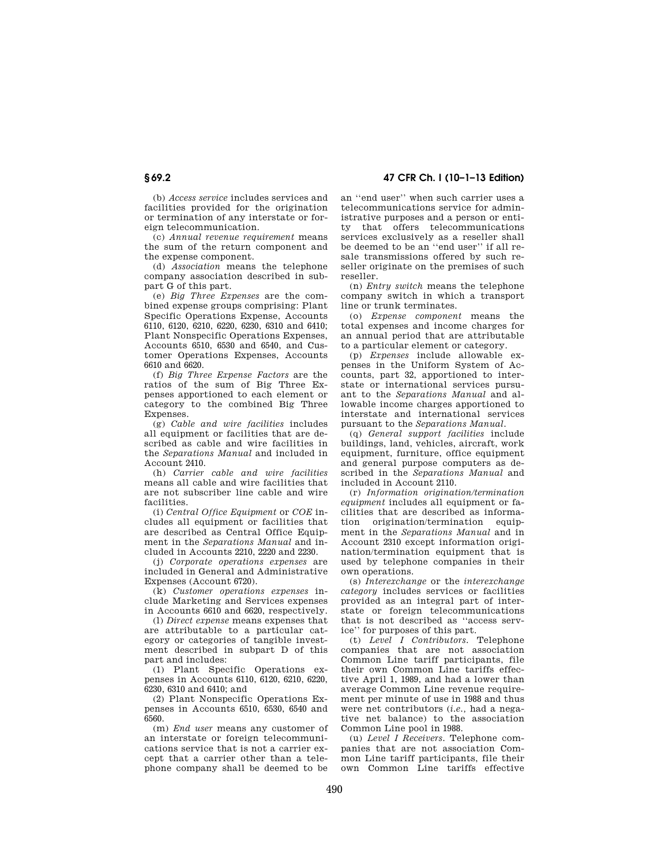**§ 69.2 47 CFR Ch. I (10–1–13 Edition)** 

(b) *Access service* includes services and facilities provided for the origination or termination of any interstate or foreign telecommunication.

(c) *Annual revenue requirement* means the sum of the return component and the expense component.

(d) *Association* means the telephone company association described in subpart G of this part.

(e) *Big Three Expenses* are the combined expense groups comprising: Plant Specific Operations Expense, Accounts 6110, 6120, 6210, 6220, 6230, 6310 and 6410; Plant Nonspecific Operations Expenses, Accounts 6510, 6530 and 6540, and Customer Operations Expenses, Accounts 6610 and 6620.

(f) *Big Three Expense Factors* are the ratios of the sum of Big Three Expenses apportioned to each element or category to the combined Big Three Expenses.

(g) *Cable and wire facilities* includes all equipment or facilities that are described as cable and wire facilities in the *Separations Manual* and included in Account 2410.

(h) *Carrier cable and wire facilities*  means all cable and wire facilities that are not subscriber line cable and wire facilities.

(i) *Central Office Equipment* or *COE* includes all equipment or facilities that are described as Central Office Equipment in the *Separations Manual* and included in Accounts 2210, 2220 and 2230.

(j) *Corporate operations expenses* are included in General and Administrative Expenses (Account 6720).

(k) *Customer operations expenses* include Marketing and Services expenses in Accounts 6610 and 6620, respectively.

(l) *Direct expense* means expenses that are attributable to a particular category or categories of tangible investment described in subpart D of this part and includes:

(1) Plant Specific Operations expenses in Accounts 6110, 6120, 6210, 6220, 6230, 6310 and 6410; and

(2) Plant Nonspecific Operations Expenses in Accounts 6510, 6530, 6540 and 6560.

(m) *End user* means any customer of an interstate or foreign telecommunications service that is not a carrier except that a carrier other than a telephone company shall be deemed to be an ''end user'' when such carrier uses a telecommunications service for administrative purposes and a person or entity that offers telecommunications services exclusively as a reseller shall be deemed to be an ''end user'' if all resale transmissions offered by such reseller originate on the premises of such reseller.

(n) *Entry switch* means the telephone company switch in which a transport line or trunk terminates.

(o) *Expense component* means the total expenses and income charges for an annual period that are attributable to a particular element or category.

(p) *Expenses* include allowable expenses in the Uniform System of Accounts, part 32, apportioned to interstate or international services pursuant to the *Separations Manual* and allowable income charges apportioned to interstate and international services pursuant to the *Separations Manual.* 

(q) *General support facilities* include buildings, land, vehicles, aircraft, work equipment, furniture, office equipment and general purpose computers as described in the *Separations Manual* and included in Account 2110.

(r) *Information origination/termination equipment* includes all equipment or facilities that are described as information origination/termination equipment in the *Separations Manual* and in Account 2310 except information origination/termination equipment that is used by telephone companies in their own operations.

(s) *Interexchange* or the *interexchange category* includes services or facilities provided as an integral part of interstate or foreign telecommunications that is not described as ''access service'' for purposes of this part.

(t) *Level I Contributors.* Telephone companies that are not association Common Line tariff participants, file their own Common Line tariffs effective April 1, 1989, and had a lower than average Common Line revenue requirement per minute of use in 1988 and thus were net contributors (*i.e.,* had a negative net balance) to the association Common Line pool in 1988.

(u) *Level I Receivers.* Telephone companies that are not association Common Line tariff participants, file their own Common Line tariffs effective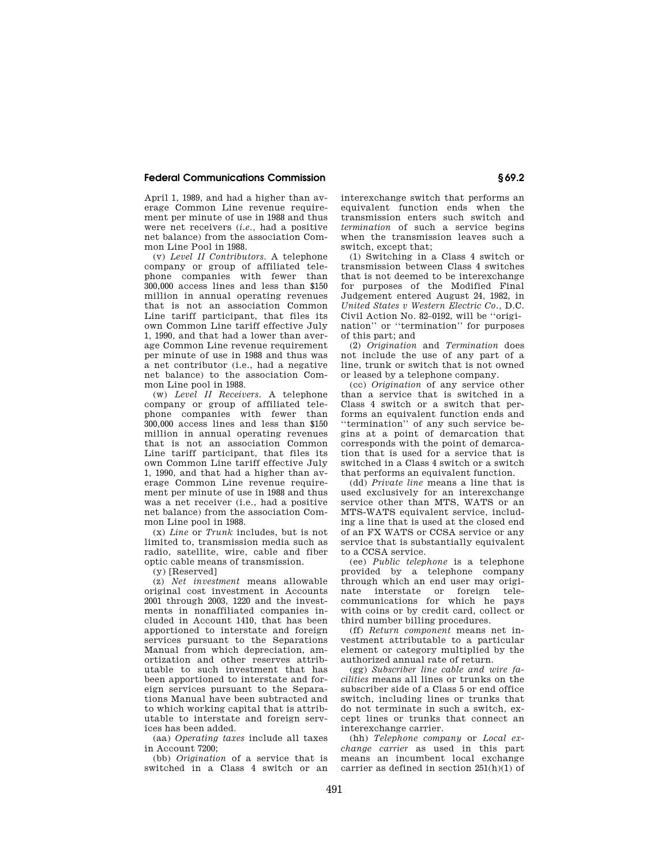April 1, 1989, and had a higher than average Common Line revenue requirement per minute of use in 1988 and thus were net receivers (*i.e.,* had a positive net balance) from the association Common Line Pool in 1988.

(v) *Level II Contributors.* A telephone company or group of affiliated telephone companies with fewer than 300,000 access lines and less than \$150 million in annual operating revenues that is not an association Common Line tariff participant, that files its own Common Line tariff effective July 1, 1990, and that had a lower than average Common Line revenue requirement per minute of use in 1988 and thus was a net contributor (i.e., had a negative net balance) to the association Common Line pool in 1988.

(w) *Level II Receivers.* A telephone company or group of affiliated telephone companies with fewer than 300,000 access lines and less than \$150 million in annual operating revenues that is not an association Common Line tariff participant, that files its own Common Line tariff effective July 1, 1990, and that had a higher than average Common Line revenue requirement per minute of use in 1988 and thus was a net receiver (i.e., had a positive net balance) from the association Common Line pool in 1988.

(x) *Line* or *Trunk* includes, but is not limited to, transmission media such as radio, satellite, wire, cable and fiber optic cable means of transmission.

(y) [Reserved]

(z) *Net investment* means allowable original cost investment in Accounts 2001 through 2003, 1220 and the investments in nonaffiliated companies included in Account 1410, that has been apportioned to interstate and foreign services pursuant to the Separations Manual from which depreciation, amortization and other reserves attributable to such investment that has been apportioned to interstate and foreign services pursuant to the Separations Manual have been subtracted and to which working capital that is attributable to interstate and foreign services has been added.

(aa) *Operating taxes* include all taxes in Account 7200;

(bb) *Origination* of a service that is switched in a Class 4 switch or an interexchange switch that performs an equivalent function ends when the transmission enters such switch and *termination* of such a service begins when the transmission leaves such a switch, except that;

(1) Switching in a Class 4 switch or transmission between Class 4 switches that is not deemed to be interexchange for purposes of the Modified Final Judgement entered August 24, 1982, in *United States v Western Electric Co.,* D.C. Civil Action No. 82–0192, will be ''origination'' or ''termination'' for purposes of this part; and

(2) *Origination* and *Termination* does not include the use of any part of a line, trunk or switch that is not owned or leased by a telephone company.

(cc) *Origination* of any service other than a service that is switched in a Class 4 switch or a switch that performs an equivalent function ends and ''termination'' of any such service begins at a point of demarcation that corresponds with the point of demarcation that is used for a service that is switched in a Class 4 switch or a switch that performs an equivalent function.

(dd) *Private line* means a line that is used exclusively for an interexchange service other than MTS, WATS or an MTS-WATS equivalent service, including a line that is used at the closed end of an FX WATS or CCSA service or any service that is substantially equivalent to a CCSA service.

(ee) *Public telephone* is a telephone provided by a telephone company through which an end user may originate interstate or foreign telecommunications for which he pays with coins or by credit card, collect or third number billing procedures.

(ff) *Return component* means net investment attributable to a particular element or category multiplied by the authorized annual rate of return.

(gg) *Subscriber line cable and wire facilities* means all lines or trunks on the subscriber side of a Class 5 or end office switch, including lines or trunks that do not terminate in such a switch, except lines or trunks that connect an interexchange carrier.

(hh) *Telephone company* or *Local exchange carrier* as used in this part means an incumbent local exchange carrier as defined in section  $251(h)(1)$  of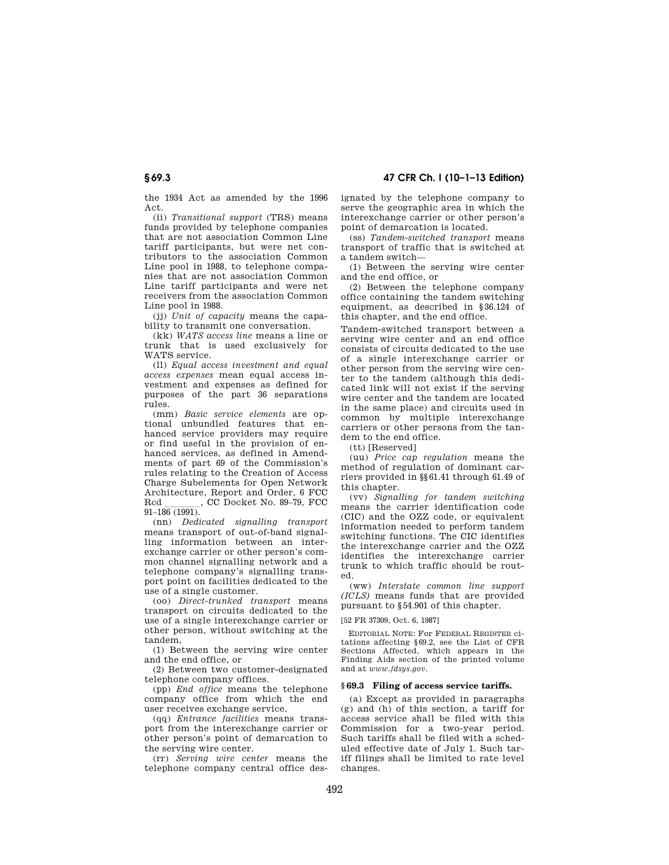# **§ 69.3 47 CFR Ch. I (10–1–13 Edition)**

the 1934 Act as amended by the 1996 Act.

(ii) *Transitional support* (TRS) means funds provided by telephone companies that are not association Common Line tariff participants, but were net contributors to the association Common Line pool in 1988, to telephone companies that are not association Common Line tariff participants and were net receivers from the association Common Line pool in 1988.

(jj) *Unit of capacity* means the capability to transmit one conversation.

(kk) *WATS access line* means a line or trunk that is used exclusively for WATS service.

(ll) *Equal access investment and equal access expenses* mean equal access investment and expenses as defined for purposes of the part 36 separations rules.

(mm) *Basic service elements* are optional unbundled features that enhanced service providers may require or find useful in the provision of enhanced services, as defined in Amendments of part 69 of the Commission's rules relating to the Creation of Access Charge Subelements for Open Network Architecture, Report and Order, 6 FCC<br>Red. CC Docket No. 89–79. FCC , CC Docket No. 89-79, FCC 91–186 (1991).

(nn) *Dedicated signalling transport*  means transport of out-of-band signalling information between an interexchange carrier or other person's common channel signalling network and a telephone company's signalling transport point on facilities dedicated to the use of a single customer.

(oo) *Direct-trunked transport* means transport on circuits dedicated to the use of a single interexchange carrier or other person, without switching at the tandem,

(1) Between the serving wire center and the end office, or

(2) Between two customer-designated telephone company offices.

(pp) *End office* means the telephone company office from which the end user receives exchange service.

(qq) *Entrance facilities* means transport from the interexchange carrier or other person's point of demarcation to the serving wire center.

(rr) *Serving wire center* means the telephone company central office designated by the telephone company to serve the geographic area in which the interexchange carrier or other person's point of demarcation is located.

(ss) *Tandem-switched transport* means transport of traffic that is switched at a tandem switch—

(1) Between the serving wire center and the end office, or

(2) Between the telephone company office containing the tandem switching equipment, as described in §36.124 of this chapter, and the end office.

Tandem-switched transport between a serving wire center and an end office consists of circuits dedicated to the use of a single interexchange carrier or other person from the serving wire center to the tandem (although this dedicated link will not exist if the serving wire center and the tandem are located in the same place) and circuits used in common by multiple interexchange carriers or other persons from the tandem to the end office.

(tt) [Reserved]

(uu) *Price cap regulation* means the method of regulation of dominant carriers provided in §§61.41 through 61.49 of this chapter.

(vv) *Signalling for tandem switching*  means the carrier identification code (CIC) and the OZZ code, or equivalent information needed to perform tandem switching functions. The CIC identifies the interexchange carrier and the OZZ identifies the interexchange carrier trunk to which traffic should be routed.

(ww) *Interstate common line support (ICLS)* means funds that are provided pursuant to §54.901 of this chapter.

## [52 FR 37309, Oct. 6, 1987]

EDITORIAL NOTE: For FEDERAL REGISTER citations affecting §69.2, see the List of CFR Sections Affected, which appears in the Finding Aids section of the printed volume and at *www.fdsys.gov*.

#### **§ 69.3 Filing of access service tariffs.**

(a) Except as provided in paragraphs (g) and (h) of this section, a tariff for access service shall be filed with this Commission for a two-year period. Such tariffs shall be filed with a scheduled effective date of July 1. Such tariff filings shall be limited to rate level changes.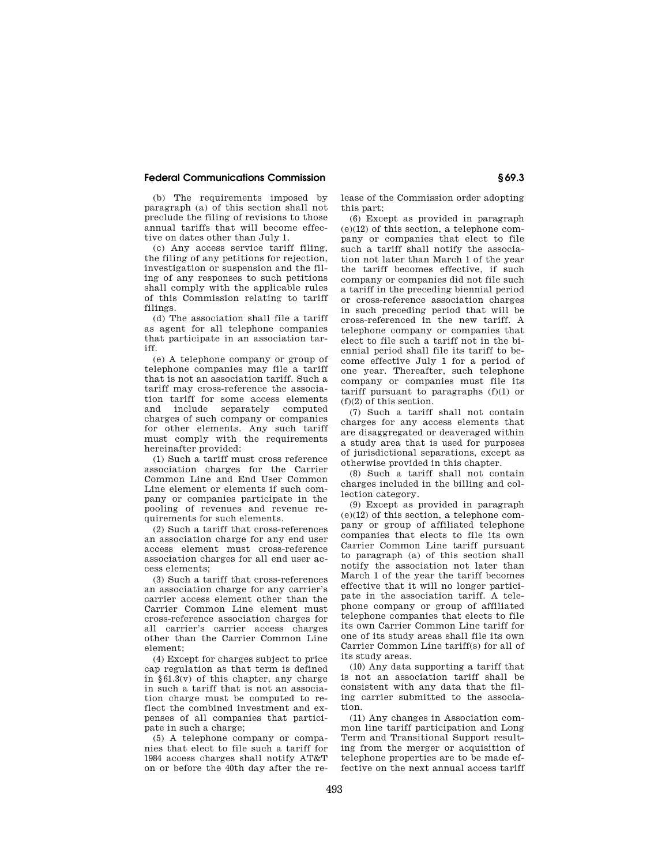(b) The requirements imposed by paragraph (a) of this section shall not preclude the filing of revisions to those annual tariffs that will become effective on dates other than July 1.

(c) Any access service tariff filing, the filing of any petitions for rejection, investigation or suspension and the filing of any responses to such petitions shall comply with the applicable rules of this Commission relating to tariff filings.

(d) The association shall file a tariff as agent for all telephone companies that participate in an association tariff.

(e) A telephone company or group of telephone companies may file a tariff that is not an association tariff. Such a tariff may cross-reference the association tariff for some access elements and include separately computed charges of such company or companies for other elements. Any such tariff must comply with the requirements hereinafter provided:

(1) Such a tariff must cross reference association charges for the Carrier Common Line and End User Common Line element or elements if such company or companies participate in the pooling of revenues and revenue requirements for such elements.

(2) Such a tariff that cross-references an association charge for any end user access element must cross-reference association charges for all end user access elements;

(3) Such a tariff that cross-references an association charge for any carrier's carrier access element other than the Carrier Common Line element must cross-reference association charges for all carrier's carrier access charges other than the Carrier Common Line element;

(4) Except for charges subject to price cap regulation as that term is defined in  $§61.3(v)$  of this chapter, any charge in such a tariff that is not an association charge must be computed to reflect the combined investment and expenses of all companies that participate in such a charge;

(5) A telephone company or companies that elect to file such a tariff for 1984 access charges shall notify AT&T on or before the 40th day after the release of the Commission order adopting this part;

(6) Except as provided in paragraph (e)(12) of this section, a telephone company or companies that elect to file such a tariff shall notify the association not later than March 1 of the year the tariff becomes effective, if such company or companies did not file such a tariff in the preceding biennial period or cross-reference association charges in such preceding period that will be cross-referenced in the new tariff. A telephone company or companies that elect to file such a tariff not in the biennial period shall file its tariff to become effective July 1 for a period of one year. Thereafter, such telephone company or companies must file its tariff pursuant to paragraphs (f)(1) or (f)(2) of this section.

(7) Such a tariff shall not contain charges for any access elements that are disaggregated or deaveraged within a study area that is used for purposes of jurisdictional separations, except as otherwise provided in this chapter.

(8) Such a tariff shall not contain charges included in the billing and collection category.

(9) Except as provided in paragraph (e)(12) of this section, a telephone company or group of affiliated telephone companies that elects to file its own Carrier Common Line tariff pursuant to paragraph (a) of this section shall notify the association not later than March 1 of the year the tariff becomes effective that it will no longer participate in the association tariff. A telephone company or group of affiliated telephone companies that elects to file its own Carrier Common Line tariff for one of its study areas shall file its own Carrier Common Line tariff(s) for all of its study areas.

(10) Any data supporting a tariff that is not an association tariff shall be consistent with any data that the filing carrier submitted to the association.

(11) Any changes in Association common line tariff participation and Long Term and Transitional Support resulting from the merger or acquisition of telephone properties are to be made effective on the next annual access tariff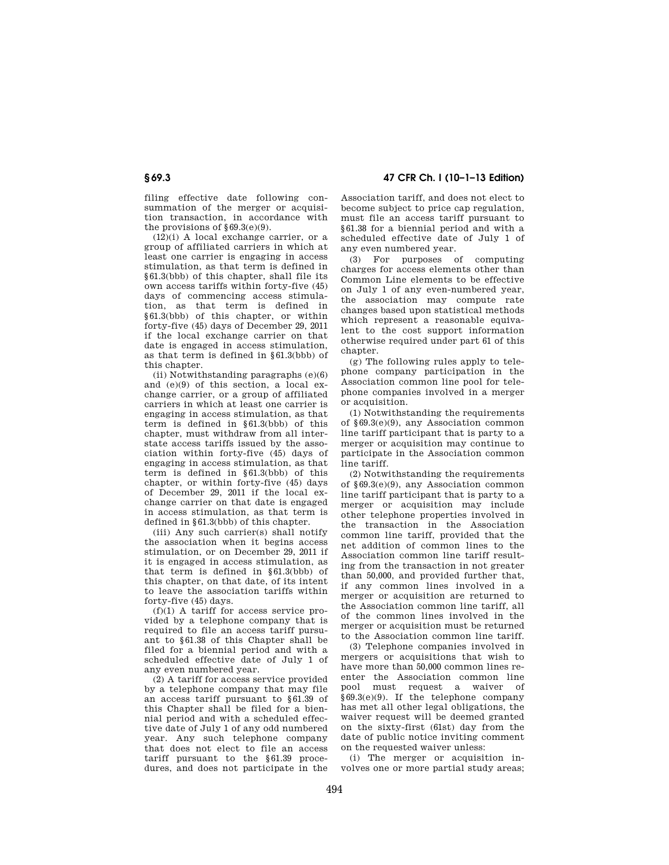filing effective date following consummation of the merger or acquisition transaction, in accordance with the provisions of  $§69.3(e)(9)$ .

 $(12)(i)$  A local exchange carrier, or a group of affiliated carriers in which at least one carrier is engaging in access stimulation, as that term is defined in §61.3(bbb) of this chapter, shall file its own access tariffs within forty-five (45) days of commencing access stimulation, as that term is defined in §61.3(bbb) of this chapter, or within forty-five (45) days of December 29, 2011 if the local exchange carrier on that date is engaged in access stimulation, as that term is defined in §61.3(bbb) of this chapter.

(ii) Notwithstanding paragraphs (e)(6) and (e)(9) of this section, a local exchange carrier, or a group of affiliated carriers in which at least one carrier is engaging in access stimulation, as that term is defined in §61.3(bbb) of this chapter, must withdraw from all interstate access tariffs issued by the association within forty-five (45) days of engaging in access stimulation, as that term is defined in §61.3(bbb) of this chapter, or within forty-five (45) days of December 29, 2011 if the local exchange carrier on that date is engaged in access stimulation, as that term is defined in §61.3(bbb) of this chapter.

(iii) Any such carrier(s) shall notify the association when it begins access stimulation, or on December 29, 2011 if it is engaged in access stimulation, as that term is defined in §61.3(bbb) of this chapter, on that date, of its intent to leave the association tariffs within forty-five (45) days.

 $(f)(1)$  A tariff for access service provided by a telephone company that is required to file an access tariff pursuant to §61.38 of this Chapter shall be filed for a biennial period and with a scheduled effective date of July 1 of any even numbered year.

(2) A tariff for access service provided by a telephone company that may file an access tariff pursuant to §61.39 of this Chapter shall be filed for a biennial period and with a scheduled effective date of July 1 of any odd numbered year. Any such telephone company that does not elect to file an access tariff pursuant to the §61.39 procedures, and does not participate in the

**§ 69.3 47 CFR Ch. I (10–1–13 Edition)** 

Association tariff, and does not elect to become subject to price cap regulation, must file an access tariff pursuant to §61.38 for a biennial period and with a scheduled effective date of July 1 of any even numbered year.

(3) For purposes of computing charges for access elements other than Common Line elements to be effective on July 1 of any even-numbered year, the association may compute rate changes based upon statistical methods which represent a reasonable equivalent to the cost support information otherwise required under part 61 of this chapter.

(g) The following rules apply to telephone company participation in the Association common line pool for telephone companies involved in a merger or acquisition.

(1) Notwithstanding the requirements of §69.3(e)(9), any Association common line tariff participant that is party to a merger or acquisition may continue to participate in the Association common line tariff.

(2) Notwithstanding the requirements of §69.3(e)(9), any Association common line tariff participant that is party to a merger or acquisition may include other telephone properties involved in the transaction in the Association common line tariff, provided that the net addition of common lines to the Association common line tariff resulting from the transaction in not greater than 50,000, and provided further that, if any common lines involved in a merger or acquisition are returned to the Association common line tariff, all of the common lines involved in the merger or acquisition must be returned to the Association common line tariff.

(3) Telephone companies involved in mergers or acquisitions that wish to have more than 50,000 common lines reenter the Association common line pool must request a waiver of §69.3(e)(9). If the telephone company has met all other legal obligations, the waiver request will be deemed granted on the sixty-first (61st) day from the date of public notice inviting comment on the requested waiver unless:

(i) The merger or acquisition involves one or more partial study areas;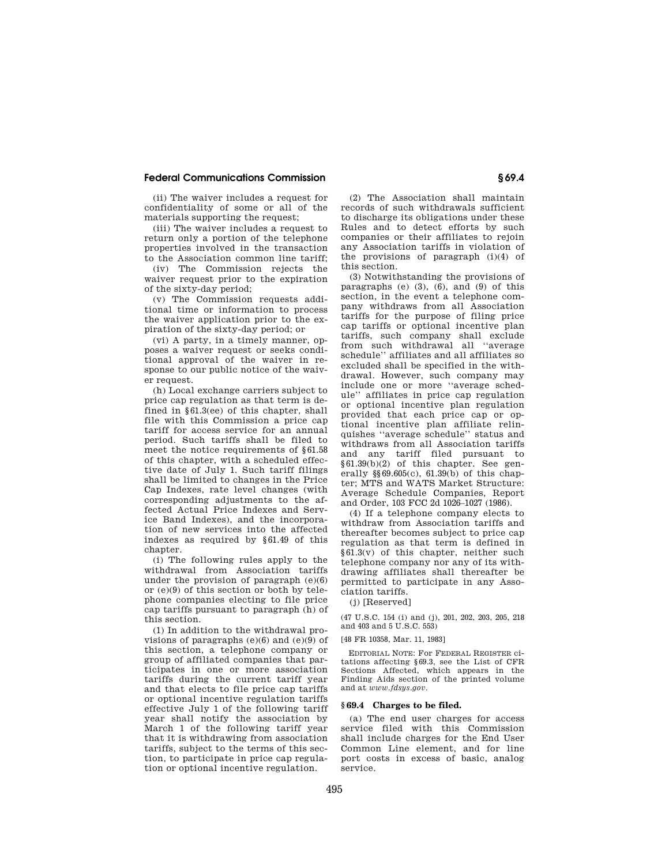(ii) The waiver includes a request for confidentiality of some or all of the materials supporting the request;

(iii) The waiver includes a request to return only a portion of the telephone properties involved in the transaction to the Association common line tariff;

(iv) The Commission rejects the waiver request prior to the expiration of the sixty-day period;

(v) The Commission requests additional time or information to process the waiver application prior to the expiration of the sixty-day period; or

(vi) A party, in a timely manner, opposes a waiver request or seeks conditional approval of the waiver in response to our public notice of the waiver request.

(h) Local exchange carriers subject to price cap regulation as that term is defined in §61.3(ee) of this chapter, shall file with this Commission a price cap tariff for access service for an annual period. Such tariffs shall be filed to meet the notice requirements of §61.58 of this chapter, with a scheduled effective date of July 1. Such tariff filings shall be limited to changes in the Price Cap Indexes, rate level changes (with corresponding adjustments to the affected Actual Price Indexes and Service Band Indexes), and the incorporation of new services into the affected indexes as required by §61.49 of this chapter.

(i) The following rules apply to the withdrawal from Association tariffs under the provision of paragraph  $(e)(6)$ or (e)(9) of this section or both by telephone companies electing to file price cap tariffs pursuant to paragraph (h) of this section.

(1) In addition to the withdrawal provisions of paragraphs  $(e)(6)$  and  $(e)(9)$  of this section, a telephone company or group of affiliated companies that participates in one or more association tariffs during the current tariff year and that elects to file price cap tariffs or optional incentive regulation tariffs effective July 1 of the following tariff year shall notify the association by March 1 of the following tariff year that it is withdrawing from association tariffs, subject to the terms of this section, to participate in price cap regulation or optional incentive regulation.

(2) The Association shall maintain records of such withdrawals sufficient to discharge its obligations under these Rules and to detect efforts by such companies or their affiliates to rejoin any Association tariffs in violation of the provisions of paragraph (i)(4) of this section.

(3) Notwithstanding the provisions of paragraphs (e) (3), (6), and (9) of this section, in the event a telephone company withdraws from all Association tariffs for the purpose of filing price cap tariffs or optional incentive plan tariffs, such company shall exclude from such withdrawal all ''average schedule'' affiliates and all affiliates so excluded shall be specified in the withdrawal. However, such company may include one or more ''average schedule'' affiliates in price cap regulation or optional incentive plan regulation provided that each price cap or optional incentive plan affiliate relinquishes ''average schedule'' status and withdraws from all Association tariffs and any tariff filed pursuant to §61.39(b)(2) of this chapter. See generally  $\frac{$869.605(c)}{61.39(b)}$  of this chapter; MTS and WATS Market Structure: Average Schedule Companies, Report and Order, 103 FCC 2d 1026–1027 (1986).

(4) If a telephone company elects to withdraw from Association tariffs and thereafter becomes subject to price cap regulation as that term is defined in §61.3(v) of this chapter, neither such telephone company nor any of its withdrawing affiliates shall thereafter be permitted to participate in any Association tariffs.

(j) [Reserved]

(47 U.S.C. 154 (i) and (j), 201, 202, 203, 205, 218 and 403 and 5 U.S.C. 553)

[48 FR 10358, Mar. 11, 1983]

EDITORIAL NOTE: For FEDERAL REGISTER citations affecting §69.3, see the List of CFR Sections Affected, which appears in the Finding Aids section of the printed volume and at *www.fdsys.gov*.

#### **§ 69.4 Charges to be filed.**

(a) The end user charges for access service filed with this Commission shall include charges for the End User Common Line element, and for line port costs in excess of basic, analog service.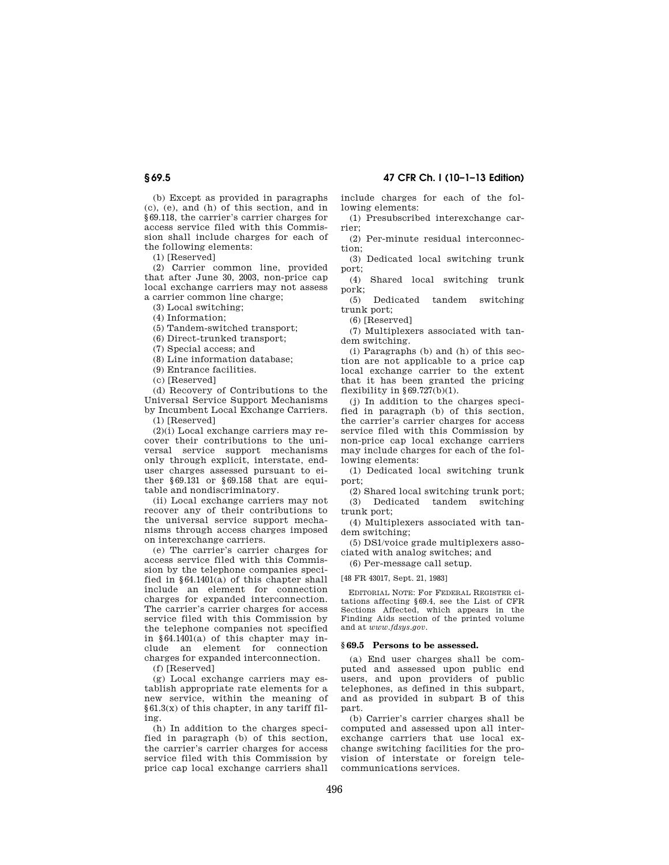(b) Except as provided in paragraphs (c), (e), and (h) of this section, and in §69.118, the carrier's carrier charges for access service filed with this Commission shall include charges for each of the following elements:

(1) [Reserved]

(2) Carrier common line, provided that after June 30, 2003, non-price cap local exchange carriers may not assess a carrier common line charge;

(3) Local switching;

(4) Information;

(5) Tandem-switched transport;

(6) Direct-trunked transport;

(7) Special access; and

(8) Line information database;

(9) Entrance facilities.

(c) [Reserved]

(d) Recovery of Contributions to the Universal Service Support Mechanisms by Incumbent Local Exchange Carriers.

(1) [Reserved]

(2)(i) Local exchange carriers may recover their contributions to the universal service support mechanisms only through explicit, interstate, enduser charges assessed pursuant to either §69.131 or §69.158 that are equitable and nondiscriminatory.

(ii) Local exchange carriers may not recover any of their contributions to the universal service support mechanisms through access charges imposed on interexchange carriers.

(e) The carrier's carrier charges for access service filed with this Commission by the telephone companies specified in §64.1401(a) of this chapter shall include an element for connection charges for expanded interconnection. The carrier's carrier charges for access service filed with this Commission by the telephone companies not specified in §64.1401(a) of this chapter may include an element for connection charges for expanded interconnection.

(f) [Reserved]

(g) Local exchange carriers may establish appropriate rate elements for a new service, within the meaning of §61.3(x) of this chapter, in any tariff filing.

(h) In addition to the charges specified in paragraph (b) of this section, the carrier's carrier charges for access service filed with this Commission by price cap local exchange carriers shall include charges for each of the following elements:

(1) Presubscribed interexchange carrier;

(2) Per-minute residual interconnection;

(3) Dedicated local switching trunk port;

(4) Shared local switching trunk pork;

(5) Dedicated tandem switching trunk port;

(6) [Reserved]

(7) Multiplexers associated with tandem switching.

(i) Paragraphs (b) and (h) of this section are not applicable to a price cap local exchange carrier to the extent that it has been granted the pricing flexibility in  $\S 69.727(b)(1)$ .

(j) In addition to the charges specified in paragraph (b) of this section, the carrier's carrier charges for access service filed with this Commission by non-price cap local exchange carriers may include charges for each of the following elements:

(1) Dedicated local switching trunk port;

(2) Shared local switching trunk port; (3) Dedicated tandem switching trunk port;

(4) Multiplexers associated with tandem switching;

(5) DS1/voice grade multiplexers associated with analog switches; and

(6) Per-message call setup.

[48 FR 43017, Sept. 21, 1983]

EDITORIAL NOTE: For FEDERAL REGISTER citations affecting §69.4, see the List of CFR Sections Affected, which appears in the Finding Aids section of the printed volume and at *www.fdsys.gov*.

#### **§ 69.5 Persons to be assessed.**

(a) End user charges shall be computed and assessed upon public end users, and upon providers of public telephones, as defined in this subpart, and as provided in subpart B of this part.

(b) Carrier's carrier charges shall be computed and assessed upon all interexchange carriers that use local exchange switching facilities for the provision of interstate or foreign telecommunications services.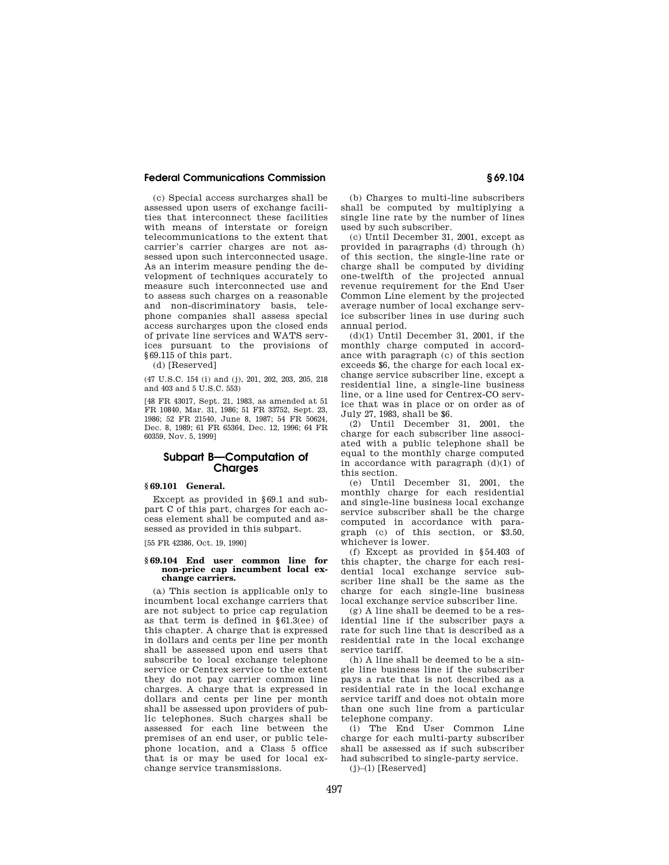(c) Special access surcharges shall be assessed upon users of exchange facilities that interconnect these facilities with means of interstate or foreign telecommunications to the extent that carrier's carrier charges are not assessed upon such interconnected usage. As an interim measure pending the development of techniques accurately to measure such interconnected use and to assess such charges on a reasonable and non-discriminatory basis, telephone companies shall assess special access surcharges upon the closed ends of private line services and WATS services pursuant to the provisions of §69.115 of this part.

(d) [Reserved]

(47 U.S.C. 154 (i) and (j), 201, 202, 203, 205, 218 and 403 and 5 U.S.C. 553)

[48 FR 43017, Sept. 21, 1983, as amended at 51 FR 10840, Mar. 31, 1986; 51 FR 33752, Sept. 23, 1986; 52 FR 21540, June 8, 1987; 54 FR 50624, Dec. 8, 1989; 61 FR 65364, Dec. 12, 1996; 64 FR 60359, Nov. 5, 1999]

# **Subpart B—Computation of Charges**

# **§ 69.101 General.**

Except as provided in §69.1 and subpart C of this part, charges for each access element shall be computed and assessed as provided in this subpart.

[55 FR 42386, Oct. 19, 1990]

#### **§ 69.104 End user common line for non-price cap incumbent local exchange carriers.**

(a) This section is applicable only to incumbent local exchange carriers that are not subject to price cap regulation as that term is defined in §61.3(ee) of this chapter. A charge that is expressed in dollars and cents per line per month shall be assessed upon end users that subscribe to local exchange telephone service or Centrex service to the extent they do not pay carrier common line charges. A charge that is expressed in dollars and cents per line per month shall be assessed upon providers of public telephones. Such charges shall be assessed for each line between the premises of an end user, or public telephone location, and a Class 5 office that is or may be used for local exchange service transmissions.

(b) Charges to multi-line subscribers shall be computed by multiplying a single line rate by the number of lines used by such subscriber.

(c) Until December 31, 2001, except as provided in paragraphs (d) through (h) of this section, the single-line rate or charge shall be computed by dividing one-twelfth of the projected annual revenue requirement for the End User Common Line element by the projected average number of local exchange service subscriber lines in use during such annual period.

 $(d)(1)$  Until December 31, 2001, if the monthly charge computed in accordance with paragraph (c) of this section exceeds \$6, the charge for each local exchange service subscriber line, except a residential line, a single-line business line, or a line used for Centrex-CO service that was in place or on order as of July 27, 1983, shall be \$6.

(2) Until December 31, 2001, the charge for each subscriber line associated with a public telephone shall be equal to the monthly charge computed in accordance with paragraph (d)(1) of this section.

(e) Until December 31, 2001, the monthly charge for each residential and single-line business local exchange service subscriber shall be the charge computed in accordance with paragraph (c) of this section, or \$3.50, whichever is lower.

(f) Except as provided in §54.403 of this chapter, the charge for each residential local exchange service subscriber line shall be the same as the charge for each single-line business local exchange service subscriber line.

(g) A line shall be deemed to be a residential line if the subscriber pays a rate for such line that is described as a residential rate in the local exchange service tariff.

(h) A line shall be deemed to be a single line business line if the subscriber pays a rate that is not described as a residential rate in the local exchange service tariff and does not obtain more than one such line from a particular telephone company.

(i) The End User Common Line charge for each multi-party subscriber shall be assessed as if such subscriber had subscribed to single-party service.

 $(j)$ – $(l)$  [Reserved]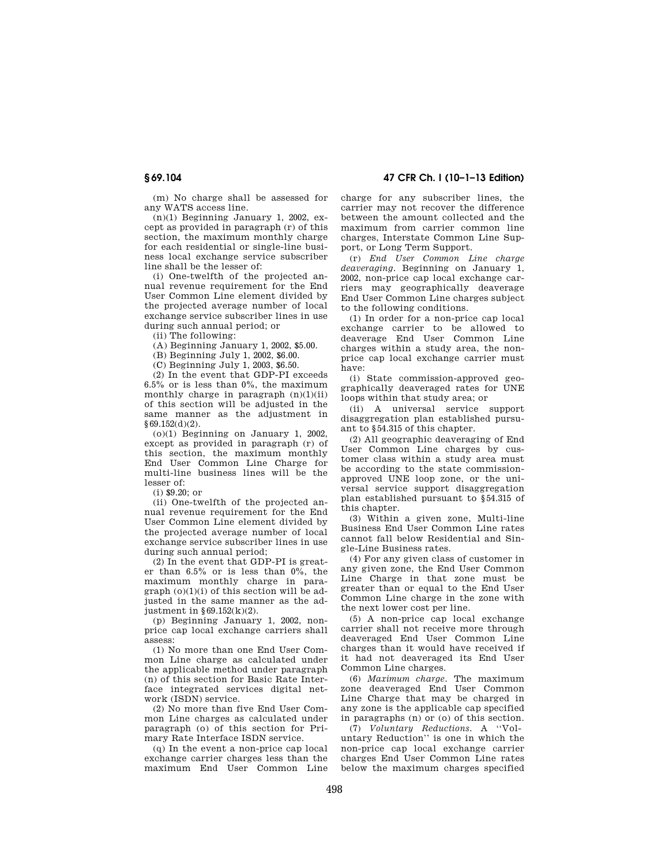(m) No charge shall be assessed for any WATS access line.

 $(n)(1)$  Beginning January 1, 2002, except as provided in paragraph (r) of this section, the maximum monthly charge for each residential or single-line business local exchange service subscriber line shall be the lesser of:

(i) One-twelfth of the projected annual revenue requirement for the End User Common Line element divided by the projected average number of local exchange service subscriber lines in use during such annual period; or

(ii) The following:

(A) Beginning January 1, 2002, \$5.00.

(B) Beginning July 1, 2002, \$6.00.

(C) Beginning July 1, 2003, \$6.50.

(2) In the event that GDP-PI exceeds 6.5% or is less than 0%, the maximum monthly charge in paragraph  $(n)(1)(ii)$ of this section will be adjusted in the same manner as the adjustment in §69.152(d)(2).

 $(0)(1)$  Beginning on January 1, 2002, except as provided in paragraph (r) of this section, the maximum monthly End User Common Line Charge for multi-line business lines will be the lesser of:

(i) \$9.20; or

(ii) One-twelfth of the projected annual revenue requirement for the End User Common Line element divided by the projected average number of local exchange service subscriber lines in use during such annual period;

(2) In the event that GDP-PI is greater than  $6.5\%$  or is less than  $0\%$ , the maximum monthly charge in para $graph (o)(1)(i)$  of this section will be adjusted in the same manner as the adjustment in §69.152(k)(2).

(p) Beginning January 1, 2002, nonprice cap local exchange carriers shall assess:

(1) No more than one End User Common Line charge as calculated under the applicable method under paragraph (n) of this section for Basic Rate Interface integrated services digital network (ISDN) service.

(2) No more than five End User Common Line charges as calculated under paragraph (o) of this section for Primary Rate Interface ISDN service.

(q) In the event a non-price cap local exchange carrier charges less than the maximum End User Common Line charge for any subscriber lines, the carrier may not recover the difference between the amount collected and the maximum from carrier common line charges, Interstate Common Line Support, or Long Term Support.

(r) *End User Common Line charge deaveraging.* Beginning on January 1, 2002, non-price cap local exchange carriers may geographically deaverage End User Common Line charges subject to the following conditions.

(1) In order for a non-price cap local exchange carrier to be allowed to deaverage End User Common Line charges within a study area, the nonprice cap local exchange carrier must have:

(i) State commission-approved geographically deaveraged rates for UNE loops within that study area; or

(ii) A universal service support disaggregation plan established pursuant to §54.315 of this chapter.

(2) All geographic deaveraging of End User Common Line charges by customer class within a study area must be according to the state commissionapproved UNE loop zone, or the universal service support disaggregation plan established pursuant to §54.315 of this chapter.

(3) Within a given zone, Multi-line Business End User Common Line rates cannot fall below Residential and Single-Line Business rates.

(4) For any given class of customer in any given zone, the End User Common Line Charge in that zone must be greater than or equal to the End User Common Line charge in the zone with the next lower cost per line.

(5) A non-price cap local exchange carrier shall not receive more through deaveraged End User Common Line charges than it would have received if it had not deaveraged its End User Common Line charges.

(6) *Maximum charge.* The maximum zone deaveraged End User Common Line Charge that may be charged in any zone is the applicable cap specified in paragraphs (n) or (o) of this section.

(7) *Voluntary Reductions.* A ''Voluntary Reduction'' is one in which the non-price cap local exchange carrier charges End User Common Line rates below the maximum charges specified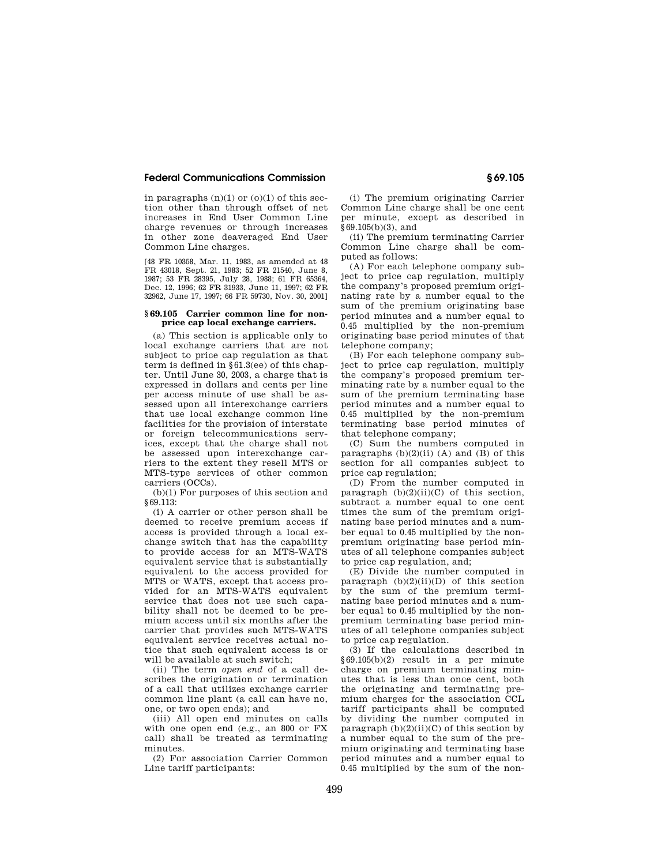in paragraphs  $(n)(1)$  or  $(o)(1)$  of this section other than through offset of net increases in End User Common Line charge revenues or through increases in other zone deaveraged End User Common Line charges.

[48 FR 10358, Mar. 11, 1983, as amended at 48 FR 43018, Sept. 21, 1983; 52 FR 21540, June 8, 1987; 53 FR 28395, July 28, 1988; 61 FR 65364, Dec. 12, 1996; 62 FR 31933, June 11, 1997; 62 FR 32962, June 17, 1997; 66 FR 59730, Nov. 30, 2001]

## **§ 69.105 Carrier common line for nonprice cap local exchange carriers.**

(a) This section is applicable only to local exchange carriers that are not subject to price cap regulation as that term is defined in §61.3(ee) of this chapter. Until June 30, 2003, a charge that is expressed in dollars and cents per line per access minute of use shall be assessed upon all interexchange carriers that use local exchange common line facilities for the provision of interstate or foreign telecommunications services, except that the charge shall not be assessed upon interexchange carriers to the extent they resell MTS or MTS-type services of other common carriers (OCCs).

(b)(1) For purposes of this section and §69.113:

(i) A carrier or other person shall be deemed to receive premium access if access is provided through a local exchange switch that has the capability to provide access for an MTS-WATS equivalent service that is substantially equivalent to the access provided for MTS or WATS, except that access provided for an MTS-WATS equivalent service that does not use such capability shall not be deemed to be premium access until six months after the carrier that provides such MTS-WATS equivalent service receives actual notice that such equivalent access is or will be available at such switch;

(ii) The term *open end* of a call describes the origination or termination of a call that utilizes exchange carrier common line plant (a call can have no, one, or two open ends); and

(iii) All open end minutes on calls with one open end (e.g., an 800 or FX call) shall be treated as terminating minutes.

(2) For association Carrier Common Line tariff participants:

(i) The premium originating Carrier Common Line charge shall be one cent per minute, except as described in  $§69.105(b)(3)$ , and

(ii) The premium terminating Carrier Common Line charge shall be computed as follows:

(A) For each telephone company subject to price cap regulation, multiply the company's proposed premium originating rate by a number equal to the sum of the premium originating base period minutes and a number equal to 0.45 multiplied by the non-premium originating base period minutes of that telephone company;

(B) For each telephone company subject to price cap regulation, multiply the company's proposed premium terminating rate by a number equal to the sum of the premium terminating base period minutes and a number equal to 0.45 multiplied by the non-premium terminating base period minutes of that telephone company;

(C) Sum the numbers computed in paragraphs  $(b)(2)(ii)$  (A) and  $(\overline{B})$  of this section for all companies subject to price cap regulation;

(D) From the number computed in paragraph  $(b)(2)(ii)(C)$  of this section, subtract a number equal to one cent times the sum of the premium originating base period minutes and a number equal to 0.45 multiplied by the nonpremium originating base period minutes of all telephone companies subject to price cap regulation, and;

(E) Divide the number computed in paragraph  $(b)(2)(ii)(D)$  of this section by the sum of the premium terminating base period minutes and a number equal to 0.45 multiplied by the nonpremium terminating base period minutes of all telephone companies subject to price cap regulation.

(3) If the calculations described in §69.105(b)(2) result in a per minute charge on premium terminating minutes that is less than once cent, both the originating and terminating premium charges for the association CCL tariff participants shall be computed by dividing the number computed in paragraph  $(b)(2)(ii)(C)$  of this section by a number equal to the sum of the premium originating and terminating base period minutes and a number equal to 0.45 multiplied by the sum of the non-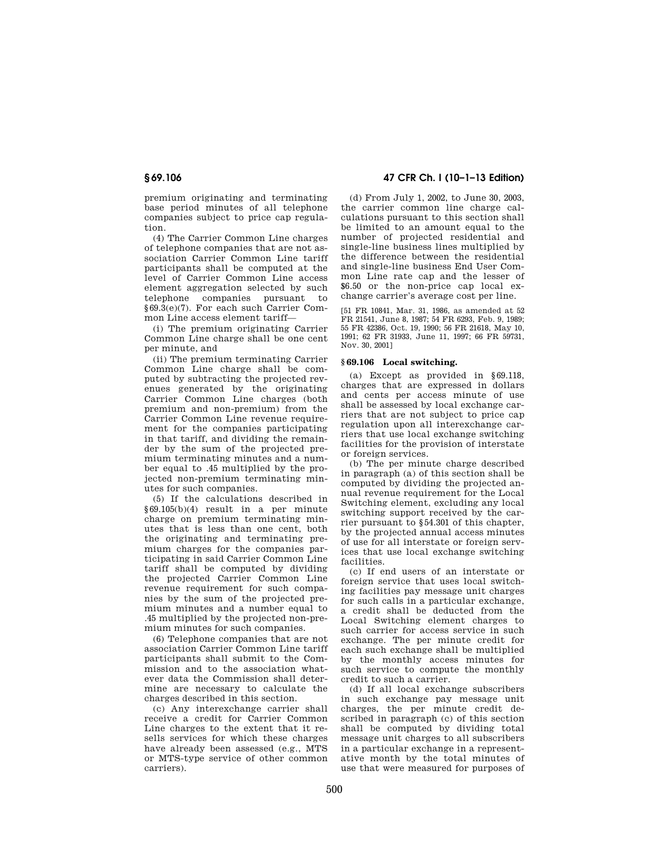premium originating and terminating base period minutes of all telephone companies subject to price cap regulation.

(4) The Carrier Common Line charges of telephone companies that are not association Carrier Common Line tariff participants shall be computed at the level of Carrier Common Line access element aggregation selected by such telephone companies pursuant to §69.3(e)(7). For each such Carrier Common Line access element tariff—

(i) The premium originating Carrier Common Line charge shall be one cent per minute, and

(ii) The premium terminating Carrier Common Line charge shall be computed by subtracting the projected revenues generated by the originating Carrier Common Line charges (both premium and non-premium) from the Carrier Common Line revenue requirement for the companies participating in that tariff, and dividing the remainder by the sum of the projected premium terminating minutes and a number equal to .45 multiplied by the projected non-premium terminating minutes for such companies.

(5) If the calculations described in §69.105(b)(4) result in a per minute charge on premium terminating minutes that is less than one cent, both the originating and terminating premium charges for the companies participating in said Carrier Common Line tariff shall be computed by dividing the projected Carrier Common Line revenue requirement for such companies by the sum of the projected premium minutes and a number equal to .45 multiplied by the projected non-premium minutes for such companies.

(6) Telephone companies that are not association Carrier Common Line tariff participants shall submit to the Commission and to the association whatever data the Commission shall determine are necessary to calculate the charges described in this section.

(c) Any interexchange carrier shall receive a credit for Carrier Common Line charges to the extent that it resells services for which these charges have already been assessed (e.g., MTS or MTS-type service of other common carriers).

**§ 69.106 47 CFR Ch. I (10–1–13 Edition)** 

(d) From July 1, 2002, to June 30, 2003, the carrier common line charge calculations pursuant to this section shall be limited to an amount equal to the number of projected residential and single-line business lines multiplied by the difference between the residential and single-line business End User Common Line rate cap and the lesser of \$6.50 or the non-price cap local exchange carrier's average cost per line.

[51 FR 10841, Mar. 31, 1986, as amended at 52 FR 21541, June 8, 1987; 54 FR 6293, Feb. 9, 1989; 55 FR 42386, Oct. 19, 1990; 56 FR 21618, May 10, 1991; 62 FR 31933, June 11, 1997; 66 FR 59731, Nov. 30, 2001]

## **§ 69.106 Local switching.**

(a) Except as provided in §69.118, charges that are expressed in dollars and cents per access minute of use shall be assessed by local exchange carriers that are not subject to price cap regulation upon all interexchange carriers that use local exchange switching facilities for the provision of interstate or foreign services.

(b) The per minute charge described in paragraph (a) of this section shall be computed by dividing the projected annual revenue requirement for the Local Switching element, excluding any local switching support received by the carrier pursuant to §54.301 of this chapter, by the projected annual access minutes of use for all interstate or foreign services that use local exchange switching facilities.

(c) If end users of an interstate or foreign service that uses local switching facilities pay message unit charges for such calls in a particular exchange, a credit shall be deducted from the Local Switching element charges to such carrier for access service in such exchange. The per minute credit for each such exchange shall be multiplied by the monthly access minutes for such service to compute the monthly credit to such a carrier.

(d) If all local exchange subscribers in such exchange pay message unit charges, the per minute credit described in paragraph (c) of this section shall be computed by dividing total message unit charges to all subscribers in a particular exchange in a representative month by the total minutes of use that were measured for purposes of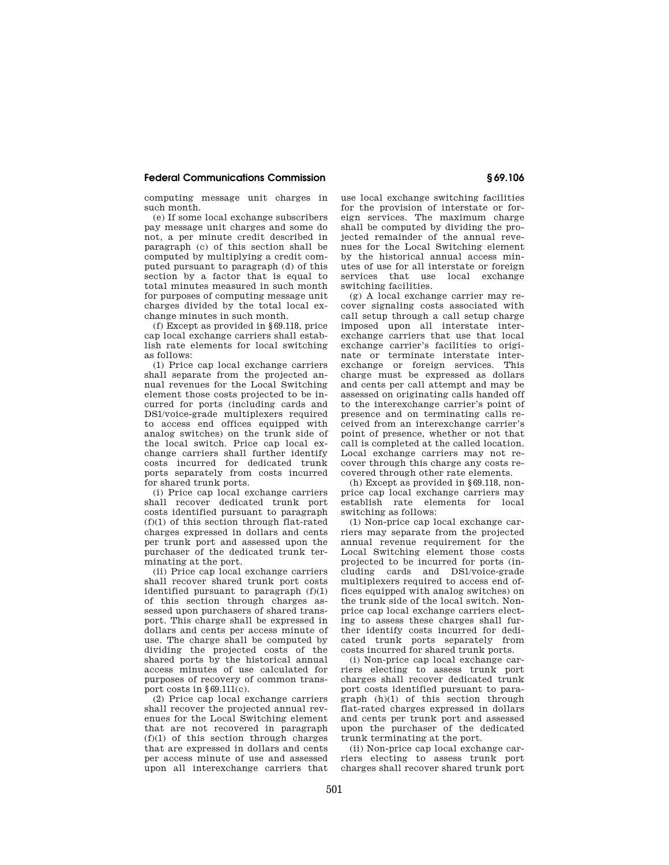computing message unit charges in such month.

(e) If some local exchange subscribers pay message unit charges and some do not, a per minute credit described in paragraph (c) of this section shall be computed by multiplying a credit computed pursuant to paragraph (d) of this section by a factor that is equal to total minutes measured in such month for purposes of computing message unit charges divided by the total local exchange minutes in such month.

(f) Except as provided in §69.118, price cap local exchange carriers shall establish rate elements for local switching as follows:

(1) Price cap local exchange carriers shall separate from the projected annual revenues for the Local Switching element those costs projected to be incurred for ports (including cards and DS1/voice-grade multiplexers required to access end offices equipped with analog switches) on the trunk side of the local switch. Price cap local exchange carriers shall further identify costs incurred for dedicated trunk ports separately from costs incurred for shared trunk ports.

(i) Price cap local exchange carriers shall recover dedicated trunk port costs identified pursuant to paragraph (f)(1) of this section through flat-rated charges expressed in dollars and cents per trunk port and assessed upon the purchaser of the dedicated trunk terminating at the port.

(ii) Price cap local exchange carriers shall recover shared trunk port costs identified pursuant to paragraph  $(f)(1)$ of this section through charges assessed upon purchasers of shared transport. This charge shall be expressed in dollars and cents per access minute of use. The charge shall be computed by dividing the projected costs of the shared ports by the historical annual access minutes of use calculated for purposes of recovery of common transport costs in §69.111(c).

(2) Price cap local exchange carriers shall recover the projected annual revenues for the Local Switching element that are not recovered in paragraph  $(f)(1)$  of this section through charges that are expressed in dollars and cents per access minute of use and assessed .<br>upon all interexchange carriers that

use local exchange switching facilities for the provision of interstate or foreign services. The maximum charge shall be computed by dividing the projected remainder of the annual revenues for the Local Switching element by the historical annual access minutes of use for all interstate or foreign services that use local exchange switching facilities.

(g) A local exchange carrier may recover signaling costs associated with call setup through a call setup charge imposed upon all interstate interexchange carriers that use that local exchange carrier's facilities to originate or terminate interstate interexchange or foreign services. This charge must be expressed as dollars and cents per call attempt and may be assessed on originating calls handed off to the interexchange carrier's point of presence and on terminating calls received from an interexchange carrier's point of presence, whether or not that call is completed at the called location. Local exchange carriers may not recover through this charge any costs recovered through other rate elements.

(h) Except as provided in §69.118, nonprice cap local exchange carriers may establish rate elements for local switching as follows:

(1) Non-price cap local exchange carriers may separate from the projected annual revenue requirement for the Local Switching element those costs projected to be incurred for ports (including cards and DS1/voice-grade multiplexers required to access end offices equipped with analog switches) on the trunk side of the local switch. Nonprice cap local exchange carriers electing to assess these charges shall further identify costs incurred for dedicated trunk ports separately from costs incurred for shared trunk ports.

(i) Non-price cap local exchange carriers electing to assess trunk port charges shall recover dedicated trunk port costs identified pursuant to paragraph (h)(1) of this section through flat-rated charges expressed in dollars and cents per trunk port and assessed upon the purchaser of the dedicated trunk terminating at the port.

(ii) Non-price cap local exchange carriers electing to assess trunk port charges shall recover shared trunk port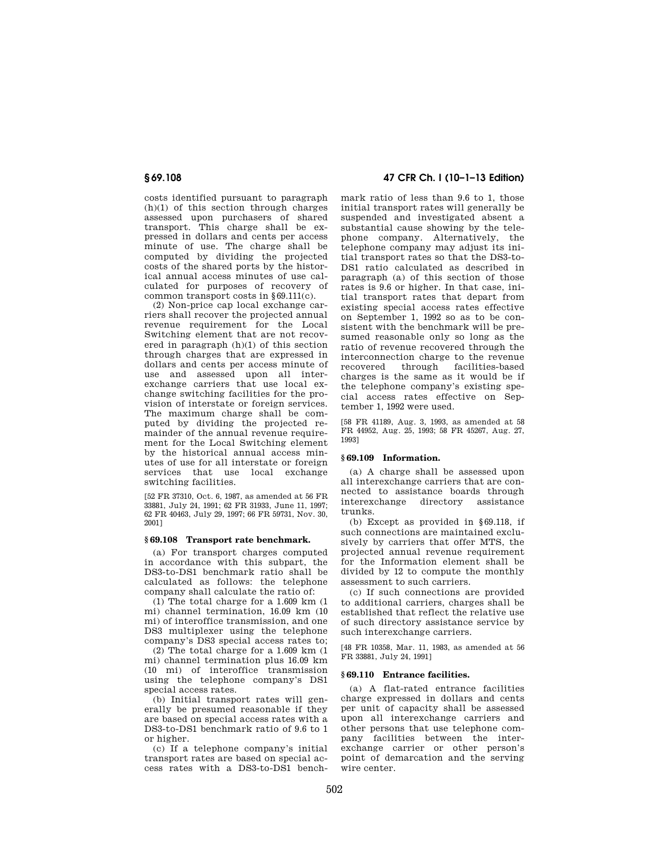costs identified pursuant to paragraph (h)(1) of this section through charges assessed upon purchasers of shared transport. This charge shall be expressed in dollars and cents per access minute of use. The charge shall be computed by dividing the projected costs of the shared ports by the historical annual access minutes of use calculated for purposes of recovery of common transport costs in §69.111(c).

(2) Non-price cap local exchange carriers shall recover the projected annual revenue requirement for the Local Switching element that are not recovered in paragraph (h)(1) of this section through charges that are expressed in dollars and cents per access minute of use and assessed upon all interexchange carriers that use local exchange switching facilities for the provision of interstate or foreign services. The maximum charge shall be computed by dividing the projected remainder of the annual revenue requirement for the Local Switching element by the historical annual access minutes of use for all interstate or foreign services that use local exchange switching facilities.

[52 FR 37310, Oct. 6, 1987, as amended at 56 FR 33881, July 24, 1991; 62 FR 31933, June 11, 1997; 62 FR 40463, July 29, 1997; 66 FR 59731, Nov. 30, 2001]

## **§ 69.108 Transport rate benchmark.**

(a) For transport charges computed in accordance with this subpart, the DS3-to-DS1 benchmark ratio shall be calculated as follows: the telephone company shall calculate the ratio of:

(1) The total charge for a 1.609 km (1 mi) channel termination, 16.09 km (10 mi) of interoffice transmission, and one DS3 multiplexer using the telephone company's DS3 special access rates to;

(2) The total charge for a 1.609 km (1 mi) channel termination plus 16.09 km (10 mi) of interoffice transmission using the telephone company's DS1 special access rates.

(b) Initial transport rates will generally be presumed reasonable if they are based on special access rates with a DS3-to-DS1 benchmark ratio of 9.6 to 1 or higher.

(c) If a telephone company's initial transport rates are based on special access rates with a DS3-to-DS1 bench-

# **§ 69.108 47 CFR Ch. I (10–1–13 Edition)**

mark ratio of less than 9.6 to 1, those initial transport rates will generally be suspended and investigated absent a substantial cause showing by the telephone company. Alternatively, the telephone company may adjust its initial transport rates so that the DS3-to-DS1 ratio calculated as described in paragraph (a) of this section of those rates is 9.6 or higher. In that case, initial transport rates that depart from existing special access rates effective on September 1, 1992 so as to be consistent with the benchmark will be presumed reasonable only so long as the ratio of revenue recovered through the interconnection charge to the revenue recovered through facilities-based charges is the same as it would be if the telephone company's existing special access rates effective on September 1, 1992 were used.

[58 FR 41189, Aug. 3, 1993, as amended at 58 FR 44952, Aug. 25, 1993; 58 FR 45267, Aug. 27, 1993]

## **§ 69.109 Information.**

(a) A charge shall be assessed upon all interexchange carriers that are connected to assistance boards through interexchange directory assistance trunks.

(b) Except as provided in §69.118, if such connections are maintained exclusively by carriers that offer MTS, the projected annual revenue requirement for the Information element shall be divided by 12 to compute the monthly assessment to such carriers.

(c) If such connections are provided to additional carriers, charges shall be established that reflect the relative use of such directory assistance service by such interexchange carriers.

[48 FR 10358, Mar. 11, 1983, as amended at 56 FR 33881, July 24, 1991]

## **§ 69.110 Entrance facilities.**

(a) A flat-rated entrance facilities charge expressed in dollars and cents per unit of capacity shall be assessed upon all interexchange carriers and other persons that use telephone company facilities between the interexchange carrier or other person's point of demarcation and the serving wire center.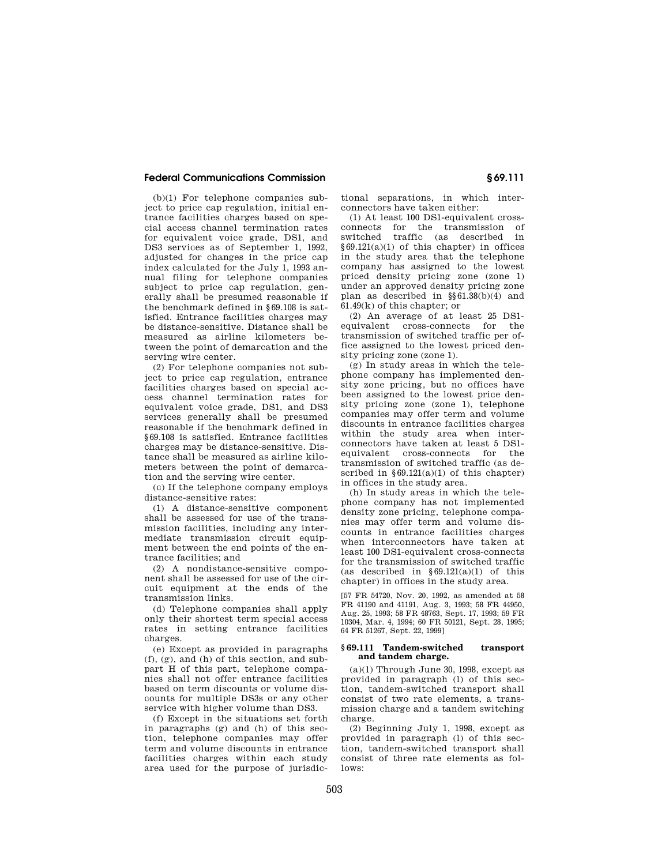(b)(1) For telephone companies subject to price cap regulation, initial entrance facilities charges based on special access channel termination rates for equivalent voice grade, DS1, and DS3 services as of September 1, 1992, adjusted for changes in the price cap index calculated for the July 1, 1993 annual filing for telephone companies subject to price cap regulation, generally shall be presumed reasonable if the benchmark defined in §69.108 is satisfied. Entrance facilities charges may be distance-sensitive. Distance shall be measured as airline kilometers between the point of demarcation and the serving wire center.

(2) For telephone companies not subject to price cap regulation, entrance facilities charges based on special access channel termination rates for equivalent voice grade, DS1, and DS3 services generally shall be presumed reasonable if the benchmark defined in §69.108 is satisfied. Entrance facilities charges may be distance-sensitive. Distance shall be measured as airline kilometers between the point of demarcation and the serving wire center.

(c) If the telephone company employs distance-sensitive rates:

(1) A distance-sensitive component shall be assessed for use of the transmission facilities, including any intermediate transmission circuit equipment between the end points of the entrance facilities; and

(2) A nondistance-sensitive component shall be assessed for use of the circuit equipment at the ends of the transmission links.

(d) Telephone companies shall apply only their shortest term special access rates in setting entrance facilities charges.

(e) Except as provided in paragraphs (f), (g), and (h) of this section, and subpart H of this part, telephone companies shall not offer entrance facilities based on term discounts or volume discounts for multiple DS3s or any other service with higher volume than DS3.

(f) Except in the situations set forth in paragraphs (g) and (h) of this section, telephone companies may offer term and volume discounts in entrance facilities charges within each study area used for the purpose of jurisdictional separations, in which interconnectors have taken either:

(1) At least 100 DS1-equivalent crossconnects for the transmission of traffic (as described in §69.121(a)(1) of this chapter) in offices in the study area that the telephone company has assigned to the lowest priced density pricing zone (zone 1) under an approved density pricing zone plan as described in §§61.38(b)(4) and 61.49(k) of this chapter; or

(2) An average of at least 25 DS1 equivalent cross-connects for the transmission of switched traffic per office assigned to the lowest priced density pricing zone (zone 1).

(g) In study areas in which the telephone company has implemented density zone pricing, but no offices have been assigned to the lowest price density pricing zone (zone 1), telephone companies may offer term and volume discounts in entrance facilities charges within the study area when interconnectors have taken at least 5 DS1 equivalent cross-connects for the transmission of switched traffic (as described in  $§69.121(a)(1)$  of this chapter) in offices in the study area.

(h) In study areas in which the telephone company has not implemented density zone pricing, telephone companies may offer term and volume discounts in entrance facilities charges when interconnectors have taken at least 100 DS1-equivalent cross-connects for the transmission of switched traffic (as described in  $§69.121(a)(1)$  of this chapter) in offices in the study area.

[57 FR 54720, Nov. 20, 1992, as amended at 58 FR 41190 and 41191, Aug. 3, 1993; 58 FR 44950, Aug. 25, 1993; 58 FR 48763, Sept. 17, 1993; 59 FR 10304, Mar. 4, 1994; 60 FR 50121, Sept. 28, 1995; 64 FR 51267, Sept. 22, 1999]

#### **§ 69.111 Tandem-switched transport and tandem charge.**

 $(a)(1)$  Through June 30, 1998, except as provided in paragraph (l) of this section, tandem-switched transport shall consist of two rate elements, a transmission charge and a tandem switching charge.

(2) Beginning July 1, 1998, except as provided in paragraph (l) of this section, tandem-switched transport shall consist of three rate elements as follows: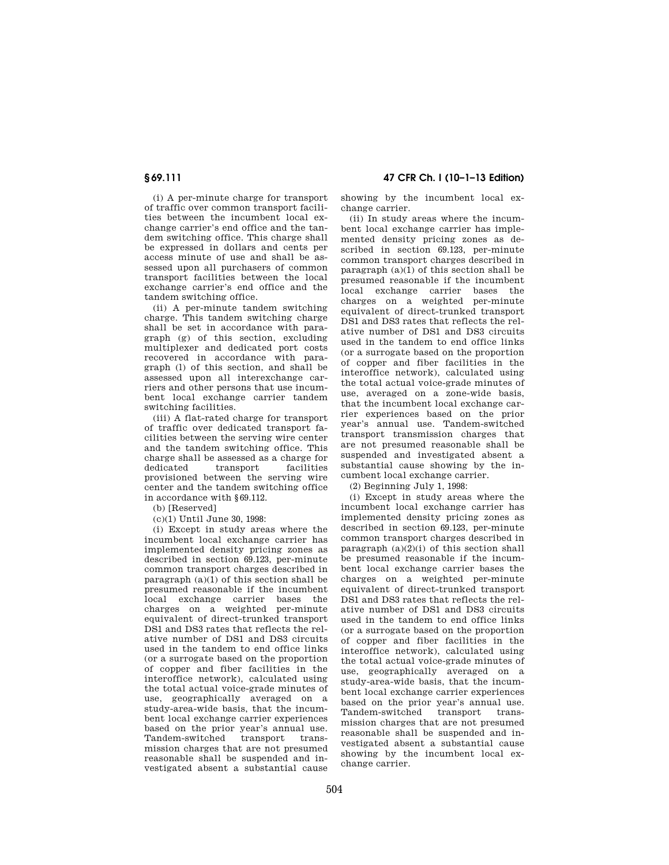**§ 69.111 47 CFR Ch. I (10–1–13 Edition)** 

(i) A per-minute charge for transport of traffic over common transport facilities between the incumbent local exchange carrier's end office and the tandem switching office. This charge shall be expressed in dollars and cents per access minute of use and shall be assessed upon all purchasers of common transport facilities between the local exchange carrier's end office and the tandem switching office.

(ii) A per-minute tandem switching charge. This tandem switching charge shall be set in accordance with paragraph (g) of this section, excluding multiplexer and dedicated port costs recovered in accordance with paragraph (l) of this section, and shall be assessed upon all interexchange carriers and other persons that use incumbent local exchange carrier tandem switching facilities.

(iii) A flat-rated charge for transport of traffic over dedicated transport facilities between the serving wire center and the tandem switching office. This charge shall be assessed as a charge for dedicated transport facilities provisioned between the serving wire center and the tandem switching office in accordance with §69.112.

(b) [Reserved]

(c)(1) Until June 30, 1998:

(i) Except in study areas where the incumbent local exchange carrier has implemented density pricing zones as described in section 69.123, per-minute common transport charges described in paragraph  $(a)(1)$  of this section shall be presumed reasonable if the incumbent local exchange carrier bases the charges on a weighted per-minute equivalent of direct-trunked transport DS1 and DS3 rates that reflects the relative number of DS1 and DS3 circuits used in the tandem to end office links (or a surrogate based on the proportion of copper and fiber facilities in the interoffice network), calculated using the total actual voice-grade minutes of use, geographically averaged on a study-area-wide basis, that the incumbent local exchange carrier experiences based on the prior year's annual use. Tandem-switched transport transmission charges that are not presumed reasonable shall be suspended and investigated absent a substantial cause

showing by the incumbent local exchange carrier.

(ii) In study areas where the incumbent local exchange carrier has implemented density pricing zones as described in section 69.123, per-minute common transport charges described in paragraph  $(a)(1)$  of this section shall be presumed reasonable if the incumbent local exchange carrier bases the charges on a weighted per-minute equivalent of direct-trunked transport DS1 and DS3 rates that reflects the relative number of DS1 and DS3 circuits used in the tandem to end office links (or a surrogate based on the proportion of copper and fiber facilities in the interoffice network), calculated using the total actual voice-grade minutes of use, averaged on a zone-wide basis, that the incumbent local exchange carrier experiences based on the prior year's annual use. Tandem-switched transport transmission charges that are not presumed reasonable shall be suspended and investigated absent a substantial cause showing by the incumbent local exchange carrier.

(2) Beginning July 1, 1998:

(i) Except in study areas where the incumbent local exchange carrier has implemented density pricing zones as described in section 69.123, per-minute common transport charges described in paragraph  $(a)(2)(i)$  of this section shall be presumed reasonable if the incumbent local exchange carrier bases the charges on a weighted per-minute equivalent of direct-trunked transport DS1 and DS3 rates that reflects the relative number of DS1 and DS3 circuits used in the tandem to end office links (or a surrogate based on the proportion of copper and fiber facilities in the interoffice network), calculated using the total actual voice-grade minutes of use, geographically averaged on a study-area-wide basis, that the incumbent local exchange carrier experiences based on the prior year's annual use. Tandem-switched transport transmission charges that are not presumed reasonable shall be suspended and investigated absent a substantial cause showing by the incumbent local exchange carrier.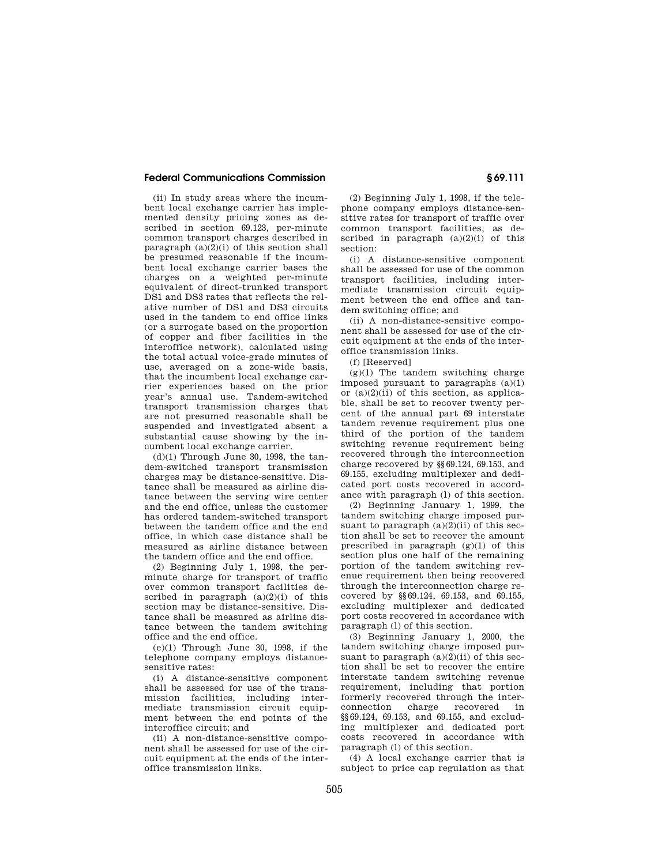(ii) In study areas where the incumbent local exchange carrier has implemented density pricing zones as described in section 69.123, per-minute common transport charges described in paragraph  $(a)(2)(i)$  of this section shall be presumed reasonable if the incumbent local exchange carrier bases the charges on a weighted per-minute equivalent of direct-trunked transport DS1 and DS3 rates that reflects the relative number of DS1 and DS3 circuits used in the tandem to end office links (or a surrogate based on the proportion of copper and fiber facilities in the interoffice network), calculated using the total actual voice-grade minutes of use, averaged on a zone-wide basis, that the incumbent local exchange carrier experiences based on the prior year's annual use. Tandem-switched transport transmission charges that are not presumed reasonable shall be suspended and investigated absent a substantial cause showing by the incumbent local exchange carrier.

 $(d)(1)$  Through June 30, 1998, the tandem-switched transport transmission charges may be distance-sensitive. Distance shall be measured as airline distance between the serving wire center and the end office, unless the customer has ordered tandem-switched transport between the tandem office and the end office, in which case distance shall be measured as airline distance between the tandem office and the end office.

(2) Beginning July 1, 1998, the perminute charge for transport of traffic over common transport facilities described in paragraph  $(a)(2)(i)$  of this section may be distance-sensitive. Distance shall be measured as airline distance between the tandem switching office and the end office.

(e)(1) Through June 30, 1998, if the telephone company employs distancesensitive rates:

(i) A distance-sensitive component shall be assessed for use of the transmission facilities, including intermediate transmission circuit equipment between the end points of the interoffice circuit; and

(ii) A non-distance-sensitive component shall be assessed for use of the circuit equipment at the ends of the interoffice transmission links.

(2) Beginning July 1, 1998, if the telephone company employs distance-sensitive rates for transport of traffic over common transport facilities, as described in paragraph  $(a)(2)(i)$  of this section:

(i) A distance-sensitive component shall be assessed for use of the common transport facilities, including intermediate transmission circuit equipment between the end office and tandem switching office; and

(ii) A non-distance-sensitive component shall be assessed for use of the circuit equipment at the ends of the interoffice transmission links.

(f) [Reserved]

 $(g)(1)$  The tandem switching charge imposed pursuant to paragraphs (a)(1) or  $(a)(2)(ii)$  of this section, as applicable, shall be set to recover twenty percent of the annual part 69 interstate tandem revenue requirement plus one third of the portion of the tandem switching revenue requirement being recovered through the interconnection charge recovered by §§69.124, 69.153, and 69.155, excluding multiplexer and dedicated port costs recovered in accordance with paragraph (l) of this section.

(2) Beginning January 1, 1999, the tandem switching charge imposed pursuant to paragraph  $(a)(2)(ii)$  of this section shall be set to recover the amount prescribed in paragraph (g)(1) of this section plus one half of the remaining portion of the tandem switching revenue requirement then being recovered through the interconnection charge recovered by §§69.124, 69.153, and 69.155, excluding multiplexer and dedicated port costs recovered in accordance with paragraph (l) of this section.

(3) Beginning January 1, 2000, the tandem switching charge imposed pursuant to paragraph  $(a)(2)(ii)$  of this section shall be set to recover the entire interstate tandem switching revenue requirement, including that portion formerly recovered through the interconnection charge recovered in §§69.124, 69.153, and 69.155, and excluding multiplexer and dedicated port costs recovered in accordance with paragraph (l) of this section.

(4) A local exchange carrier that is subject to price cap regulation as that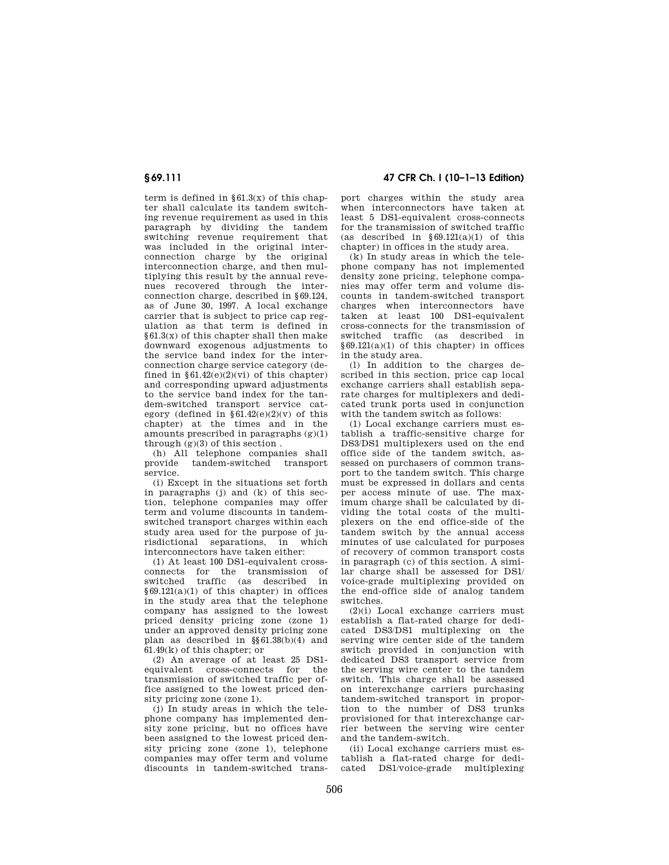**§ 69.111 47 CFR Ch. I (10–1–13 Edition)** 

term is defined in  $\S 61.3(x)$  of this chapter shall calculate its tandem switching revenue requirement as used in this paragraph by dividing the tandem switching revenue requirement that was included in the original interconnection charge by the original interconnection charge, and then multiplying this result by the annual revenues recovered through the interconnection charge, described in §69.124, as of June 30, 1997. A local exchange carrier that is subject to price cap regulation as that term is defined in §61.3(x) of this chapter shall then make downward exogenous adjustments to the service band index for the interconnection charge service category (defined in  $§61.42(e)(2)(vi)$  of this chapter) and corresponding upward adjustments to the service band index for the tandem-switched transport service category (defined in  $§61.42(e)(2)(v)$  of this chapter) at the times and in the amounts prescribed in paragraphs (g)(1) through  $(g)(3)$  of this section.

(h) All telephone companies shall provide tandem-switched transport service.

(i) Except in the situations set forth in paragraphs (j) and (k) of this section, telephone companies may offer term and volume discounts in tandemswitched transport charges within each study area used for the purpose of jurisdictional separations, in which interconnectors have taken either:

(1) At least 100 DS1-equivalent crossconnects for the transmission of switched traffic (as described in  $§69.121(a)(1)$  of this chapter) in offices in the study area that the telephone company has assigned to the lowest priced density pricing zone (zone 1) under an approved density pricing zone plan as described in §§61.38(b)(4) and  $61.49(k)$  of this chapter; or

(2) An average of at least 25 DS1 equivalent cross-connects for the transmission of switched traffic per office assigned to the lowest priced density pricing zone (zone 1).

(j) In study areas in which the telephone company has implemented density zone pricing, but no offices have been assigned to the lowest priced density pricing zone (zone 1), telephone companies may offer term and volume discounts in tandem-switched trans-

port charges within the study area when interconnectors have taken at least 5 DS1-equivalent cross-connects for the transmission of switched traffic (as described in  $\delta 69.121(a)(1)$  of this chapter) in offices in the study area.

(k) In study areas in which the telephone company has not implemented density zone pricing, telephone companies may offer term and volume discounts in tandem-switched transport charges when interconnectors have taken at least 100 DS1-equivalent cross-connects for the transmission of switched traffic (as described in  $§69.121(a)(1)$  of this chapter) in offices in the study area.

(l) In addition to the charges described in this section, price cap local exchange carriers shall establish separate charges for multiplexers and dedicated trunk ports used in conjunction with the tandem switch as follows:

(1) Local exchange carriers must establish a traffic-sensitive charge for DS3/DS1 multiplexers used on the end office side of the tandem switch, assessed on purchasers of common transport to the tandem switch. This charge must be expressed in dollars and cents per access minute of use. The maximum charge shall be calculated by dividing the total costs of the multiplexers on the end office-side of the tandem switch by the annual access minutes of use calculated for purposes of recovery of common transport costs in paragraph (c) of this section. A similar charge shall be assessed for DS1/ voice-grade multiplexing provided on the end-office side of analog tandem switches.

(2)(i) Local exchange carriers must establish a flat-rated charge for dedicated DS3/DS1 multiplexing on the serving wire center side of the tandem switch provided in conjunction with dedicated DS3 transport service from the serving wire center to the tandem switch. This charge shall be assessed on interexchange carriers purchasing tandem-switched transport in proportion to the number of DS3 trunks provisioned for that interexchange carrier between the serving wire center and the tandem-switch.

(ii) Local exchange carriers must establish a flat-rated charge for dedicated DS1/voice-grade multiplexing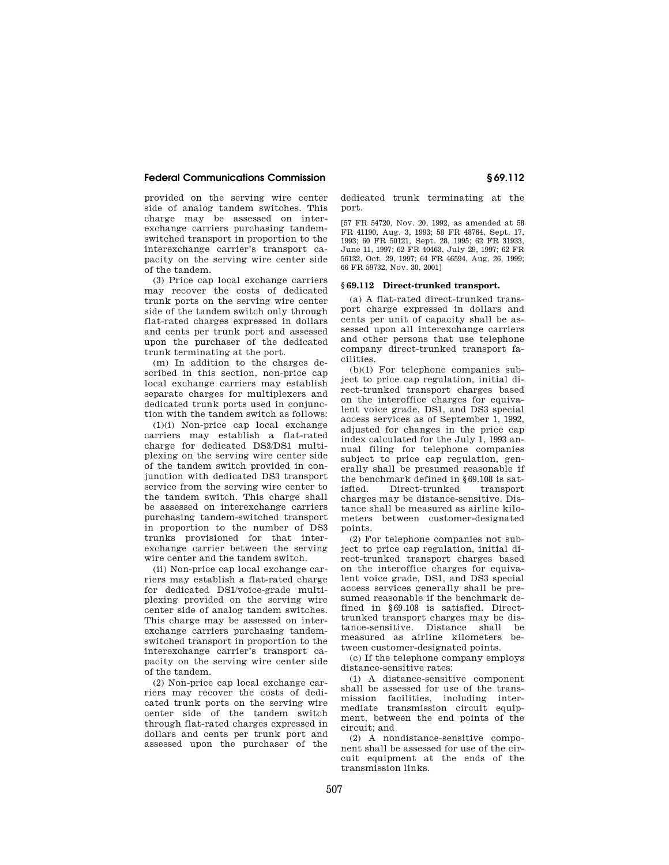provided on the serving wire center side of analog tandem switches. This charge may be assessed on interexchange carriers purchasing tandemswitched transport in proportion to the interexchange carrier's transport capacity on the serving wire center side of the tandem.

(3) Price cap local exchange carriers may recover the costs of dedicated trunk ports on the serving wire center side of the tandem switch only through flat-rated charges expressed in dollars and cents per trunk port and assessed upon the purchaser of the dedicated trunk terminating at the port.

(m) In addition to the charges described in this section, non-price cap local exchange carriers may establish separate charges for multiplexers and dedicated trunk ports used in conjunction with the tandem switch as follows:

(1)(i) Non-price cap local exchange carriers may establish a flat-rated charge for dedicated DS3/DS1 multiplexing on the serving wire center side of the tandem switch provided in conjunction with dedicated DS3 transport service from the serving wire center to the tandem switch. This charge shall be assessed on interexchange carriers purchasing tandem-switched transport in proportion to the number of DS3 trunks provisioned for that interexchange carrier between the serving wire center and the tandem switch.

(ii) Non-price cap local exchange carriers may establish a flat-rated charge for dedicated DS1/voice-grade multiplexing provided on the serving wire center side of analog tandem switches. This charge may be assessed on interexchange carriers purchasing tandemswitched transport in proportion to the interexchange carrier's transport capacity on the serving wire center side of the tandem.

(2) Non-price cap local exchange carriers may recover the costs of dedicated trunk ports on the serving wire center side of the tandem switch through flat-rated charges expressed in dollars and cents per trunk port and assessed upon the purchaser of the

dedicated trunk terminating at the port.

[57 FR 54720, Nov. 20, 1992, as amended at 58 FR 41190, Aug. 3, 1993; 58 FR 48764, Sept. 17, 1993; 60 FR 50121, Sept. 28, 1995; 62 FR 31933, June 11, 1997; 62 FR 40463, July 29, 1997; 62 FR 56132, Oct. 29, 1997; 64 FR 46594, Aug. 26, 1999; 66 FR 59732, Nov. 30, 2001]

## **§ 69.112 Direct-trunked transport.**

(a) A flat-rated direct-trunked transport charge expressed in dollars and cents per unit of capacity shall be assessed upon all interexchange carriers and other persons that use telephone company direct-trunked transport facilities.

(b)(1) For telephone companies subject to price cap regulation, initial direct-trunked transport charges based on the interoffice charges for equivalent voice grade, DS1, and DS3 special access services as of September 1, 1992, adjusted for changes in the price cap index calculated for the July 1, 1993 annual filing for telephone companies subject to price cap regulation, generally shall be presumed reasonable if the benchmark defined in §69.108 is satisfied. Direct-trunked transport charges may be distance-sensitive. Distance shall be measured as airline kilometers between customer-designated points.

(2) For telephone companies not subject to price cap regulation, initial direct-trunked transport charges based on the interoffice charges for equivalent voice grade, DS1, and DS3 special access services generally shall be presumed reasonable if the benchmark defined in §69.108 is satisfied. Directtrunked transport charges may be distance-sensitive. Distance shall be measured as airline kilometers between customer-designated points.

(c) If the telephone company employs distance-sensitive rates:

(1) A distance-sensitive component shall be assessed for use of the transmission facilities, including intermediate transmission circuit equipment, between the end points of the circuit; and

(2) A nondistance-sensitive component shall be assessed for use of the circuit equipment at the ends of the transmission links.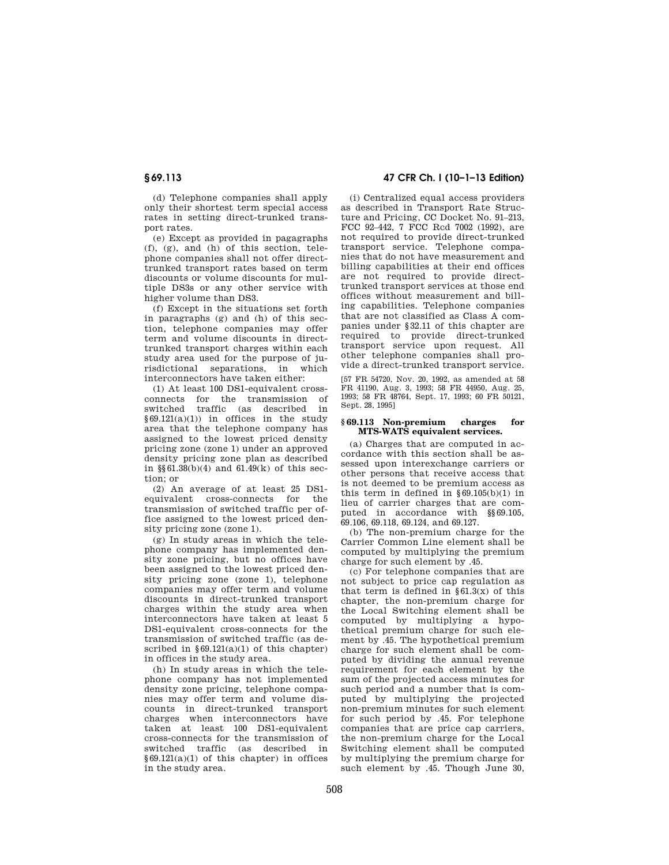(d) Telephone companies shall apply only their shortest term special access rates in setting direct-trunked transport rates.

(e) Except as provided in pagagraphs (f), (g), and (h) of this section, telephone companies shall not offer directtrunked transport rates based on term discounts or volume discounts for multiple DS3s or any other service with higher volume than DS3.

(f) Except in the situations set forth in paragraphs (g) and (h) of this section, telephone companies may offer term and volume discounts in directtrunked transport charges within each study area used for the purpose of jurisdictional separations, in which interconnectors have taken either:

(1) At least 100 DS1-equivalent crossconnects for the transmission of switched traffic (as described in §69.121(a)(1)) in offices in the study area that the telephone company has assigned to the lowest priced density pricing zone (zone 1) under an approved density pricing zone plan as described in §§61.38(b)(4) and 61.49(k) of this section; or

(2) An average of at least 25 DS1 equivalent cross-connects for the transmission of switched traffic per office assigned to the lowest priced density pricing zone (zone 1).

(g) In study areas in which the telephone company has implemented density zone pricing, but no offices have been assigned to the lowest priced density pricing zone (zone 1), telephone companies may offer term and volume discounts in direct-trunked transport charges within the study area when interconnectors have taken at least 5 DS1-equivalent cross-connects for the transmission of switched traffic (as described in  $§69.121(a)(1)$  of this chapter) in offices in the study area.

(h) In study areas in which the telephone company has not implemented density zone pricing, telephone companies may offer term and volume discounts in direct-trunked transport charges when interconnectors have taken at least 100 DS1-equivalent cross-connects for the transmission of switched traffic (as described in §69.121(a)(1) of this chapter) in offices in the study area.

# **§ 69.113 47 CFR Ch. I (10–1–13 Edition)**

(i) Centralized equal access providers as described in Transport Rate Structure and Pricing, CC Docket No. 91–213, FCC 92–442, 7 FCC Rcd 7002 (1992), are not required to provide direct-trunked transport service. Telephone companies that do not have measurement and billing capabilities at their end offices are not required to provide directtrunked transport services at those end offices without measurement and billing capabilities. Telephone companies that are not classified as Class A companies under §32.11 of this chapter are required to provide direct-trunked transport service upon request. All other telephone companies shall provide a direct-trunked transport service.

[57 FR 54720, Nov. 20, 1992, as amended at 58 FR 41190, Aug. 3, 1993; 58 FR 44950, Aug. 25, 1993; 58 FR 48764, Sept. 17, 1993; 60 FR 50121, Sept. 28, 1995]

## **§ 69.113 Non-premium charges for MTS-WATS equivalent services.**

(a) Charges that are computed in accordance with this section shall be assessed upon interexchange carriers or other persons that receive access that is not deemed to be premium access as this term in defined in  $\S 69.105(b)(1)$  in lieu of carrier charges that are computed in accordance with §§69.105, 69.106, 69.118, 69.124, and 69.127.

(b) The non-premium charge for the Carrier Common Line element shall be computed by multiplying the premium charge for such element by .45.

(c) For telephone companies that are not subject to price cap regulation as that term is defined in  $§61.3(x)$  of this chapter, the non-premium charge for the Local Switching element shall be computed by multiplying a hypothetical premium charge for such element by .45. The hypothetical premium charge for such element shall be computed by dividing the annual revenue requirement for each element by the sum of the projected access minutes for such period and a number that is computed by multiplying the projected non-premium minutes for such element for such period by .45. For telephone companies that are price cap carriers, the non-premium charge for the Local Switching element shall be computed by multiplying the premium charge for such element by .45. Though June 30,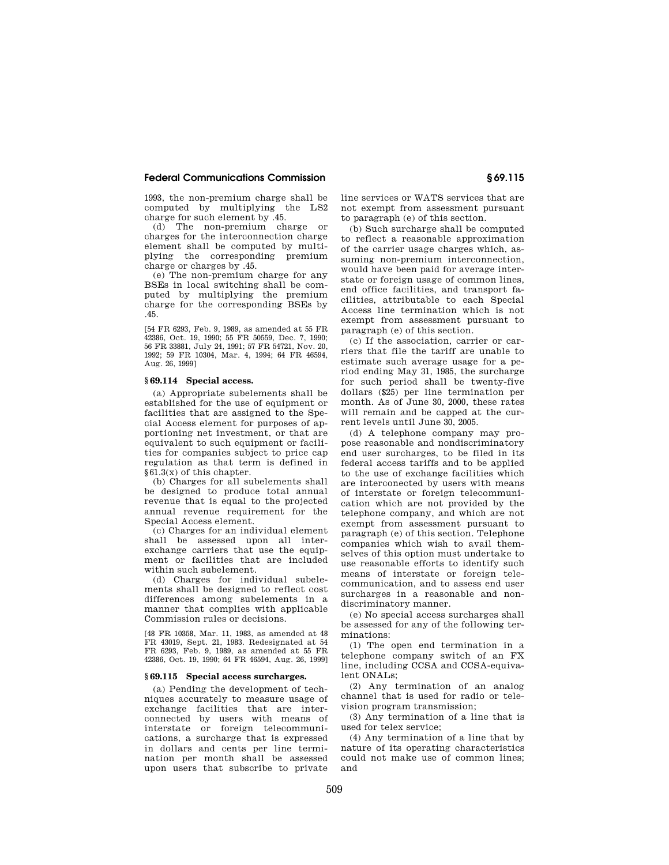1993, the non-premium charge shall be computed by multiplying the LS2 charge for such element by .45.

(d) The non-premium charge or charges for the interconnection charge element shall be computed by multiplying the corresponding premium charge or charges by .45.

(e) The non-premium charge for any BSEs in local switching shall be computed by multiplying the premium charge for the corresponding BSEs by .45.

[54 FR 6293, Feb. 9, 1989, as amended at 55 FR 42386, Oct. 19, 1990; 55 FR 50559, Dec. 7, 1990; 56 FR 33881, July 24, 1991; 57 FR 54721, Nov. 20, 1992; 59 FR 10304, Mar. 4, 1994; 64 FR 46594, Aug. 26, 1999]

#### **§ 69.114 Special access.**

(a) Appropriate subelements shall be established for the use of equipment or facilities that are assigned to the Special Access element for purposes of apportioning net investment, or that are equivalent to such equipment or facilities for companies subject to price cap regulation as that term is defined in §61.3(x) of this chapter.

(b) Charges for all subelements shall be designed to produce total annual revenue that is equal to the projected annual revenue requirement for the Special Access element.

(c) Charges for an individual element shall be assessed upon all interexchange carriers that use the equipment or facilities that are included within such subelement.

(d) Charges for individual subelements shall be designed to reflect cost differences among subelements in a manner that complies with applicable Commission rules or decisions.

[48 FR 10358, Mar. 11, 1983, as amended at 48 FR 43019, Sept. 21, 1983. Redesignated at 54 FR 6293, Feb. 9, 1989, as amended at 55 FR 42386, Oct. 19, 1990; 64 FR 46594, Aug. 26, 1999]

# **§ 69.115 Special access surcharges.**

(a) Pending the development of techniques accurately to measure usage of exchange facilities that are interconnected by users with means of interstate or foreign telecommunications, a surcharge that is expressed in dollars and cents per line termination per month shall be assessed upon users that subscribe to private

line services or WATS services that are not exempt from assessment pursuant to paragraph (e) of this section.

(b) Such surcharge shall be computed to reflect a reasonable approximation of the carrier usage charges which, assuming non-premium interconnection, would have been paid for average interstate or foreign usage of common lines, end office facilities, and transport facilities, attributable to each Special Access line termination which is not exempt from assessment pursuant to paragraph (e) of this section.

(c) If the association, carrier or carriers that file the tariff are unable to estimate such average usage for a period ending May 31, 1985, the surcharge for such period shall be twenty-five dollars (\$25) per line termination per month. As of June 30, 2000, these rates will remain and be capped at the current levels until June 30, 2005.

(d) A telephone company may propose reasonable and nondiscriminatory end user surcharges, to be filed in its federal access tariffs and to be applied to the use of exchange facilities which are interconected by users with means of interstate or foreign telecommunication which are not provided by the telephone company, and which are not exempt from assessment pursuant to paragraph (e) of this section. Telephone companies which wish to avail themselves of this option must undertake to use reasonable efforts to identify such means of interstate or foreign telecommunication, and to assess end user surcharges in a reasonable and nondiscriminatory manner.

(e) No special access surcharges shall be assessed for any of the following terminations:

(1) The open end termination in a telephone company switch of an FX line, including CCSA and CCSA-equivalent ONALs;

(2) Any termination of an analog channel that is used for radio or television program transmission;

(3) Any termination of a line that is used for telex service;

(4) Any termination of a line that by nature of its operating characteristics could not make use of common lines; and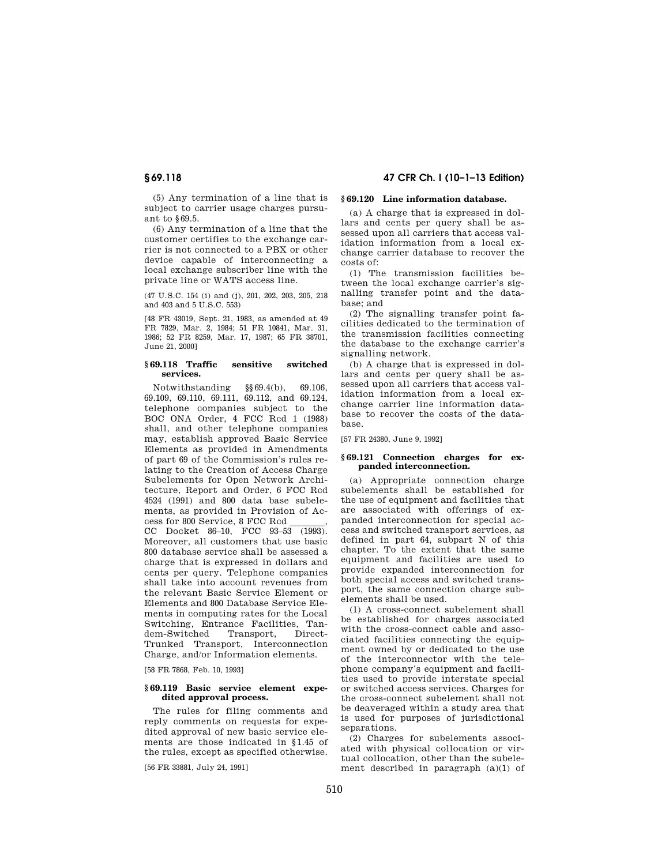(5) Any termination of a line that is subject to carrier usage charges pursuant to §69.5.

(6) Any termination of a line that the customer certifies to the exchange carrier is not connected to a PBX or other device capable of interconnecting a local exchange subscriber line with the private line or WATS access line.

(47 U.S.C. 154 (i) and (j), 201, 202, 203, 205, 218 and 403 and 5 U.S.C. 553)

[48 FR 43019, Sept. 21, 1983, as amended at 49 FR 7829, Mar. 2, 1984; 51 FR 10841, Mar. 31, 1986; 52 FR 8259, Mar. 17, 1987; 65 FR 38701, June 21, 2000]

#### **§ 69.118 Traffic sensitive switched services.**

Notwithstanding §§69.4(b), 69.106, 69.109, 69.110, 69.111, 69.112, and 69.124, telephone companies subject to the BOC ONA Order, 4 FCC Rcd 1 (1988) shall, and other telephone companies may, establish approved Basic Service Elements as provided in Amendments of part 69 of the Commission's rules relating to the Creation of Access Charge Subelements for Open Network Architecture, Report and Order, 6 FCC Rcd 4524 (1991) and 800 data base subelements, as provided in Provision of Ac-

cess for 800 Service, 8 FCC Rcd \_\_\_\_\_\_\_,<br>CC Docket 86–10, FCC 93–53 (1993). Moreover, all customers that use basic 800 database service shall be assessed a charge that is expressed in dollars and cents per query. Telephone companies shall take into account revenues from the relevant Basic Service Element or Elements and 800 Database Service Elements in computing rates for the Local Switching, Entrance Facilities, Tandem-Switched Transport, Direct-Trunked Transport, Interconnection Charge, and/or Information elements.

[58 FR 7868, Feb. 10, 1993]

## **§ 69.119 Basic service element expedited approval process.**

The rules for filing comments and reply comments on requests for expedited approval of new basic service elements are those indicated in §1.45 of the rules, except as specified otherwise.

[56 FR 33881, July 24, 1991]

# **§ 69.118 47 CFR Ch. I (10–1–13 Edition)**

## **§ 69.120 Line information database.**

(a) A charge that is expressed in dollars and cents per query shall be assessed upon all carriers that access validation information from a local exchange carrier database to recover the costs of:

(1) The transmission facilities between the local exchange carrier's signalling transfer point and the database; and

(2) The signalling transfer point facilities dedicated to the termination of the transmission facilities connecting the database to the exchange carrier's signalling network.

(b) A charge that is expressed in dollars and cents per query shall be assessed upon all carriers that access validation information from a local exchange carrier line information database to recover the costs of the database.

[57 FR 24380, June 9, 1992]

#### **§ 69.121 Connection charges for expanded interconnection.**

(a) Appropriate connection charge subelements shall be established for the use of equipment and facilities that are associated with offerings of expanded interconnection for special access and switched transport services, as defined in part 64, subpart N of this chapter. To the extent that the same equipment and facilities are used to provide expanded interconnection for both special access and switched transport, the same connection charge subelements shall be used.

(1) A cross-connect subelement shall be established for charges associated with the cross-connect cable and associated facilities connecting the equipment owned by or dedicated to the use of the interconnector with the telephone company's equipment and facilities used to provide interstate special or switched access services. Charges for the cross-connect subelement shall not be deaveraged within a study area that is used for purposes of jurisdictional separations.

(2) Charges for subelements associated with physical collocation or virtual collocation, other than the subelement described in paragraph  $(a)(1)$  of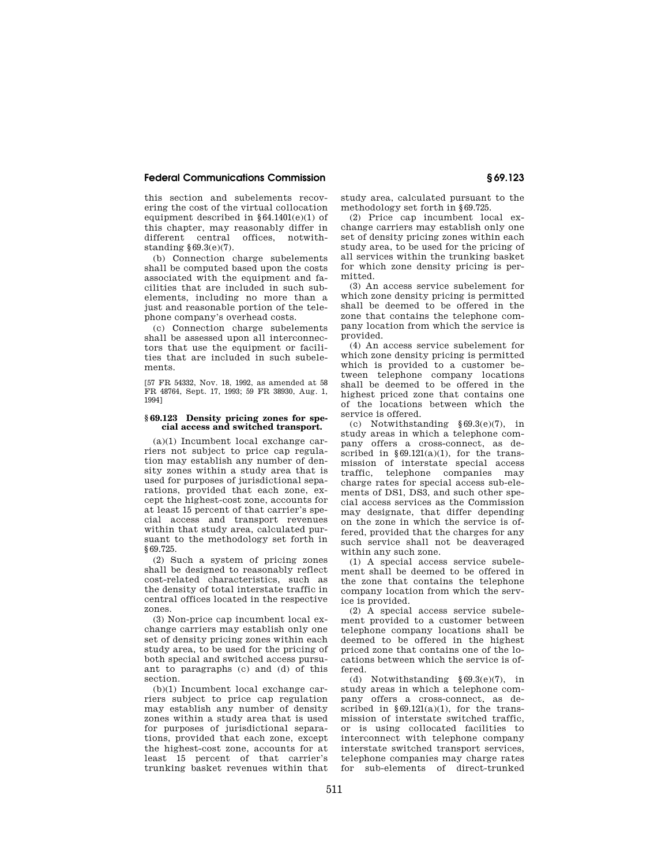this section and subelements recovering the cost of the virtual collocation equipment described in  $§64.1401(e)(1)$  of this chapter, may reasonably differ in different central offices, notwithstanding §69.3(e)(7).

(b) Connection charge subelements shall be computed based upon the costs associated with the equipment and facilities that are included in such subelements, including no more than a just and reasonable portion of the telephone company's overhead costs.

(c) Connection charge subelements shall be assessed upon all interconnectors that use the equipment or facilities that are included in such subelements.

[57 FR 54332, Nov. 18, 1992, as amended at 58 FR 48764, Sept. 17, 1993; 59 FR 38930, Aug. 1, 1994]

## **§ 69.123 Density pricing zones for special access and switched transport.**

(a)(1) Incumbent local exchange carriers not subject to price cap regulation may establish any number of density zones within a study area that is used for purposes of jurisdictional separations, provided that each zone, except the highest-cost zone, accounts for at least 15 percent of that carrier's special access and transport revenues within that study area, calculated pursuant to the methodology set forth in §69.725.

(2) Such a system of pricing zones shall be designed to reasonably reflect cost-related characteristics, such as the density of total interstate traffic in central offices located in the respective zones.

(3) Non-price cap incumbent local exchange carriers may establish only one set of density pricing zones within each study area, to be used for the pricing of both special and switched access pursuant to paragraphs (c) and (d) of this section.

(b)(1) Incumbent local exchange carriers subject to price cap regulation may establish any number of density zones within a study area that is used for purposes of jurisdictional separations, provided that each zone, except the highest-cost zone, accounts for at least 15 percent of that carrier's trunking basket revenues within that study area, calculated pursuant to the methodology set forth in §69.725.

(2) Price cap incumbent local exchange carriers may establish only one set of density pricing zones within each study area, to be used for the pricing of all services within the trunking basket for which zone density pricing is permitted.

(3) An access service subelement for which zone density pricing is permitted shall be deemed to be offered in the zone that contains the telephone company location from which the service is provided.

(4) An access service subelement for which zone density pricing is permitted which is provided to a customer between telephone company locations shall be deemed to be offered in the highest priced zone that contains one of the locations between which the service is offered.

(c) Notwithstanding §69.3(e)(7), in study areas in which a telephone company offers a cross-connect, as described in  $\frac{69.121(a)}{1}$ , for the transmission of interstate special access traffic, telephone companies may charge rates for special access sub-elements of DS1, DS3, and such other special access services as the Commission may designate, that differ depending on the zone in which the service is offered, provided that the charges for any such service shall not be deaveraged within any such zone.

(1) A special access service subelement shall be deemed to be offered in the zone that contains the telephone company location from which the service is provided.

(2) A special access service subelement provided to a customer between telephone company locations shall be deemed to be offered in the highest priced zone that contains one of the locations between which the service is offered.

(d) Notwithstanding §69.3(e)(7), in study areas in which a telephone company offers a cross-connect, as described in  $§69.121(a)(1)$ , for the transmission of interstate switched traffic, or is using collocated facilities to interconnect with telephone company interstate switched transport services, telephone companies may charge rates for sub-elements of direct-trunked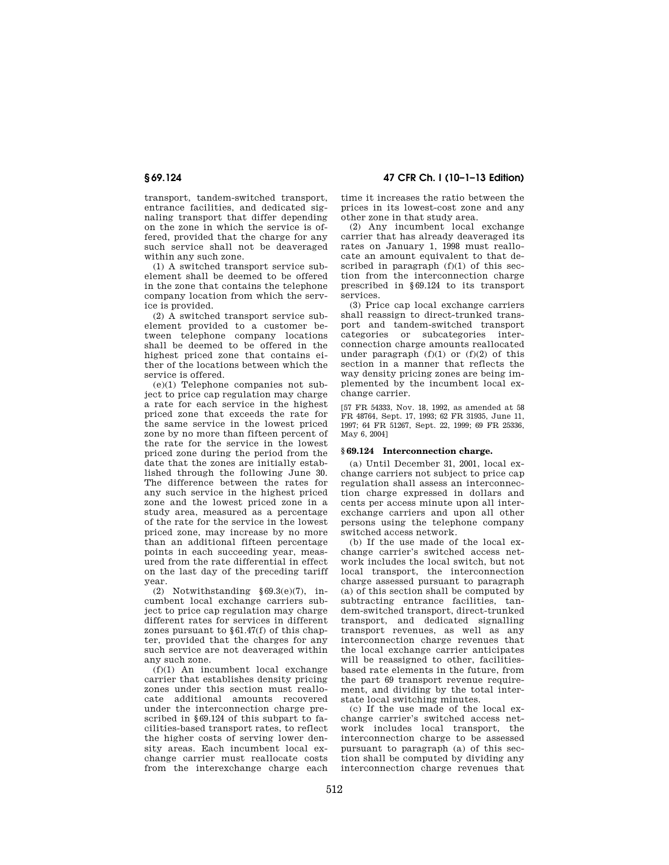transport, tandem-switched transport, entrance facilities, and dedicated signaling transport that differ depending on the zone in which the service is offered, provided that the charge for any such service shall not be deaveraged within any such zone.

(1) A switched transport service subelement shall be deemed to be offered in the zone that contains the telephone company location from which the service is provided.

(2) A switched transport service subelement provided to a customer between telephone company locations shall be deemed to be offered in the highest priced zone that contains either of the locations between which the service is offered.

(e)(1) Telephone companies not subject to price cap regulation may charge a rate for each service in the highest priced zone that exceeds the rate for the same service in the lowest priced zone by no more than fifteen percent of the rate for the service in the lowest priced zone during the period from the date that the zones are initially established through the following June 30. The difference between the rates for any such service in the highest priced zone and the lowest priced zone in a study area, measured as a percentage of the rate for the service in the lowest priced zone, may increase by no more than an additional fifteen percentage points in each succeeding year, measured from the rate differential in effect on the last day of the preceding tariff year.

(2) Notwithstanding §69.3(e)(7), incumbent local exchange carriers subject to price cap regulation may charge different rates for services in different zones pursuant to §61.47(f) of this chapter, provided that the charges for any such service are not deaveraged within any such zone.

(f)(1) An incumbent local exchange carrier that establishes density pricing zones under this section must reallocate additional amounts recovered under the interconnection charge prescribed in §69.124 of this subpart to facilities-based transport rates, to reflect the higher costs of serving lower density areas. Each incumbent local exchange carrier must reallocate costs from the interexchange charge each

**§ 69.124 47 CFR Ch. I (10–1–13 Edition)** 

time it increases the ratio between the prices in its lowest-cost zone and any other zone in that study area.

(2) Any incumbent local exchange carrier that has already deaveraged its rates on January 1, 1998 must reallocate an amount equivalent to that described in paragraph  $(f)(1)$  of this section from the interconnection charge prescribed in §69.124 to its transport services.

(3) Price cap local exchange carriers shall reassign to direct-trunked transport and tandem-switched transport categories or subcategories interconnection charge amounts reallocated under paragraph  $(f)(1)$  or  $(f)(2)$  of this section in a manner that reflects the way density pricing zones are being implemented by the incumbent local exchange carrier.

[57 FR 54333, Nov. 18, 1992, as amended at 58 FR 48764, Sept. 17, 1993; 62 FR 31935, June 11, 1997; 64 FR 51267, Sept. 22, 1999; 69 FR 25336, May 6, 2004]

## **§ 69.124 Interconnection charge.**

(a) Until December 31, 2001, local exchange carriers not subject to price cap regulation shall assess an interconnection charge expressed in dollars and cents per access minute upon all interexchange carriers and upon all other persons using the telephone company switched access network.

(b) If the use made of the local exchange carrier's switched access network includes the local switch, but not local transport, the interconnection charge assessed pursuant to paragraph (a) of this section shall be computed by subtracting entrance facilities, tandem-switched transport, direct-trunked transport, and dedicated signalling transport revenues, as well as any interconnection charge revenues that the local exchange carrier anticipates will be reassigned to other, facilitiesbased rate elements in the future, from the part 69 transport revenue requirement, and dividing by the total interstate local switching minutes.

(c) If the use made of the local exchange carrier's switched access network includes local transport, the interconnection charge to be assessed pursuant to paragraph (a) of this section shall be computed by dividing any interconnection charge revenues that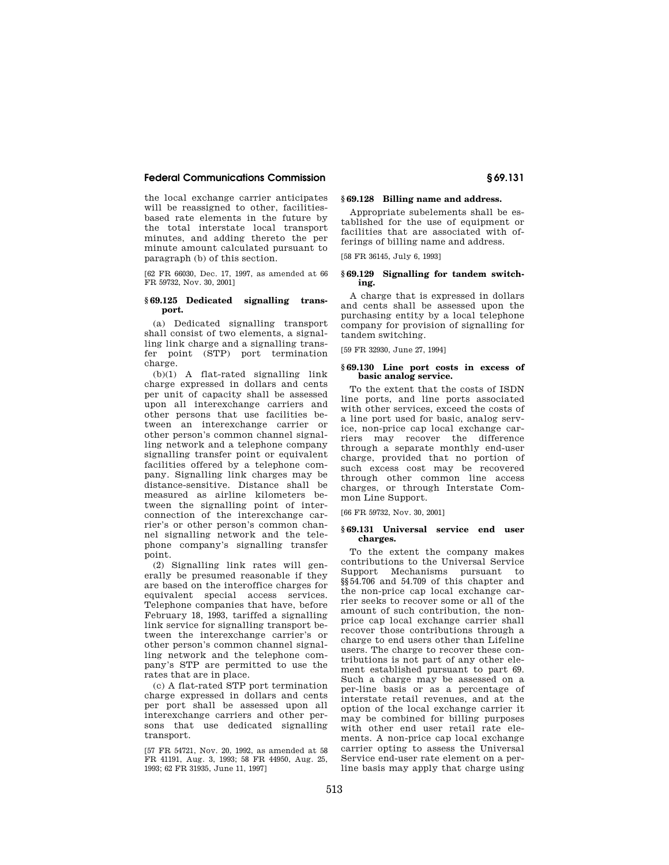the local exchange carrier anticipates will be reassigned to other, facilitiesbased rate elements in the future by the total interstate local transport minutes, and adding thereto the per minute amount calculated pursuant to paragraph (b) of this section.

[62 FR 66030, Dec. 17, 1997, as amended at 66 FR 59732, Nov. 30, 2001]

## **§ 69.125 Dedicated signalling transport.**

(a) Dedicated signalling transport shall consist of two elements, a signalling link charge and a signalling transfer point (STP) port termination charge.

(b)(1) A flat-rated signalling link charge expressed in dollars and cents per unit of capacity shall be assessed upon all interexchange carriers and other persons that use facilities between an interexchange carrier or other person's common channel signalling network and a telephone company signalling transfer point or equivalent facilities offered by a telephone company. Signalling link charges may be distance-sensitive. Distance shall be measured as airline kilometers between the signalling point of interconnection of the interexchange carrier's or other person's common channel signalling network and the telephone company's signalling transfer point.

(2) Signalling link rates will generally be presumed reasonable if they are based on the interoffice charges for equivalent special access services. Telephone companies that have, before February 18, 1993, tariffed a signalling link service for signalling transport between the interexchange carrier's or other person's common channel signalling network and the telephone company's STP are permitted to use the rates that are in place.

(c) A flat-rated STP port termination charge expressed in dollars and cents per port shall be assessed upon all interexchange carriers and other persons that use dedicated signalling transport.

[57 FR 54721, Nov. 20, 1992, as amended at 58 FR 41191, Aug. 3, 1993; 58 FR 44950, Aug. 25, 1993; 62 FR 31935, June 11, 1997]

# **§ 69.128 Billing name and address.**

Appropriate subelements shall be established for the use of equipment or facilities that are associated with offerings of billing name and address.

[58 FR 36145, July 6, 1993]

## **§ 69.129 Signalling for tandem switching.**

A charge that is expressed in dollars and cents shall be assessed upon the purchasing entity by a local telephone company for provision of signalling for tandem switching.

[59 FR 32930, June 27, 1994]

## **§ 69.130 Line port costs in excess of basic analog service.**

To the extent that the costs of ISDN line ports, and line ports associated with other services, exceed the costs of a line port used for basic, analog service, non-price cap local exchange carriers may recover the difference through a separate monthly end-user charge, provided that no portion of such excess cost may be recovered through other common line access charges, or through Interstate Common Line Support.

[66 FR 59732, Nov. 30, 2001]

## **§ 69.131 Universal service end user charges.**

To the extent the company makes contributions to the Universal Service Support Mechanisms pursuant to §§54.706 and 54.709 of this chapter and the non-price cap local exchange carrier seeks to recover some or all of the amount of such contribution, the nonprice cap local exchange carrier shall recover those contributions through a charge to end users other than Lifeline users. The charge to recover these contributions is not part of any other element established pursuant to part 69. Such a charge may be assessed on a per-line basis or as a percentage of interstate retail revenues, and at the option of the local exchange carrier it may be combined for billing purposes with other end user retail rate elements. A non-price cap local exchange carrier opting to assess the Universal Service end-user rate element on a perline basis may apply that charge using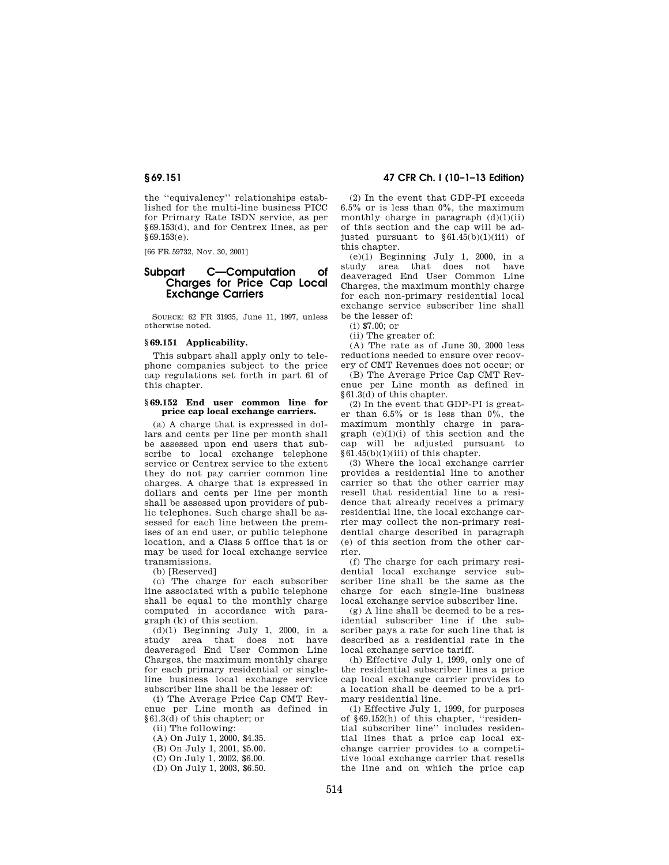the ''equivalency'' relationships established for the multi-line business PICC for Primary Rate ISDN service, as per §69.153(d), and for Centrex lines, as per §69.153(e).

[66 FR 59732, Nov. 30, 2001]

# **Subpart C—Computation of Charges for Price Cap Local Exchange Carriers**

SOURCE: 62 FR 31935, June 11, 1997, unless otherwise noted.

# **§ 69.151 Applicability.**

This subpart shall apply only to telephone companies subject to the price cap regulations set forth in part 61 of this chapter.

## **§ 69.152 End user common line for price cap local exchange carriers.**

(a) A charge that is expressed in dollars and cents per line per month shall be assessed upon end users that subscribe to local exchange telephone service or Centrex service to the extent they do not pay carrier common line charges. A charge that is expressed in dollars and cents per line per month shall be assessed upon providers of public telephones. Such charge shall be assessed for each line between the premises of an end user, or public telephone location, and a Class 5 office that is or may be used for local exchange service transmissions.

(b) [Reserved]

(c) The charge for each subscriber line associated with a public telephone shall be equal to the monthly charge computed in accordance with paragraph (k) of this section.

(d)(1) Beginning July 1, 2000, in a study area that does not have deaveraged End User Common Line Charges, the maximum monthly charge for each primary residential or singleline business local exchange service subscriber line shall be the lesser of:

(i) The Average Price Cap CMT Revenue per Line month as defined in §61.3(d) of this chapter; or

(ii) The following:

(A) On July 1, 2000, \$4.35.

(B) On July 1, 2001, \$5.00.

(C) On July 1, 2002, \$6.00.

(D) On July 1, 2003, \$6.50.

# **§ 69.151 47 CFR Ch. I (10–1–13 Edition)**

(2) In the event that GDP-PI exceeds  $6.5\%$  or is less than  $0\%$ , the maximum monthly charge in paragraph  $(d)(1)(ii)$ of this section and the cap will be adjusted pursuant to  $§61.45(b)(1)(iii)$  of this chapter.

 $(e)(1)$  Beginning July 1, 2000, in a study area that does not have deaveraged End User Common Line Charges, the maximum monthly charge for each non-primary residential local exchange service subscriber line shall be the lesser of:

(i) \$7.00; or

(ii) The greater of:

(A) The rate as of June 30, 2000 less reductions needed to ensure over recovery of CMT Revenues does not occur; or

(B) The Average Price Cap CMT Revenue per Line month as defined in §61.3(d) of this chapter.

(2) In the event that GDP-PI is greater than  $6.5\%$  or is less than  $0\%$ , the maximum monthly charge in paragraph  $(e)(1)(i)$  of this section and the cap will be adjusted pursuant to §61.45(b)(1)(iii) of this chapter.

(3) Where the local exchange carrier provides a residential line to another carrier so that the other carrier may resell that residential line to a residence that already receives a primary residential line, the local exchange carrier may collect the non-primary residential charge described in paragraph (e) of this section from the other carrier.

(f) The charge for each primary residential local exchange service subscriber line shall be the same as the charge for each single-line business local exchange service subscriber line.

(g) A line shall be deemed to be a residential subscriber line if the subscriber pays a rate for such line that is described as a residential rate in the local exchange service tariff.

(h) Effective July 1, 1999, only one of the residential subscriber lines a price cap local exchange carrier provides to a location shall be deemed to be a primary residential line.

(1) Effective July 1, 1999, for purposes of §69.152(h) of this chapter, ''residential subscriber line'' includes residential lines that a price cap local exchange carrier provides to a competitive local exchange carrier that resells the line and on which the price cap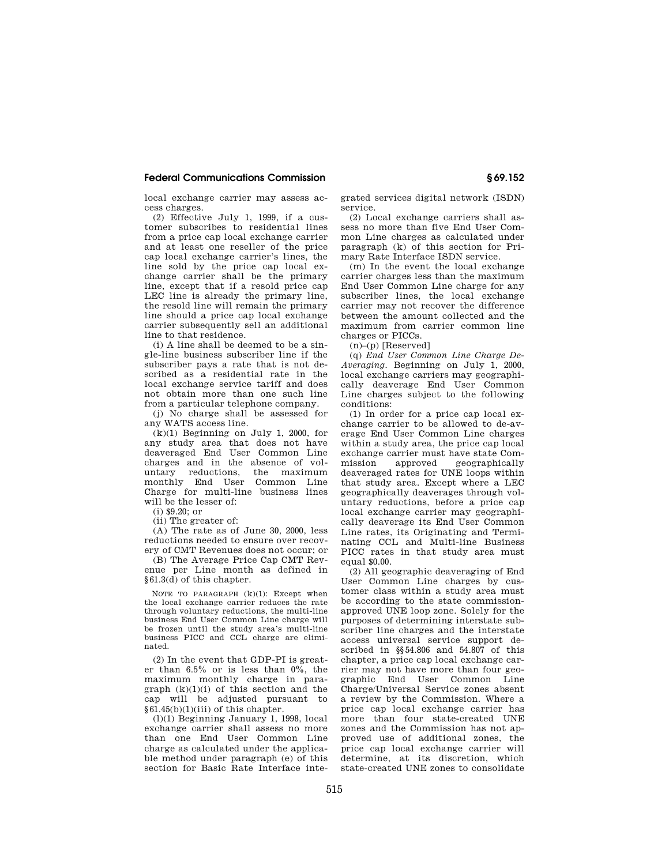local exchange carrier may assess access charges.

(2) Effective July 1, 1999, if a customer subscribes to residential lines from a price cap local exchange carrier and at least one reseller of the price cap local exchange carrier's lines, the line sold by the price cap local exchange carrier shall be the primary line, except that if a resold price cap LEC line is already the primary line, the resold line will remain the primary line should a price cap local exchange carrier subsequently sell an additional line to that residence.

(i) A line shall be deemed to be a single-line business subscriber line if the subscriber pays a rate that is not described as a residential rate in the local exchange service tariff and does not obtain more than one such line from a particular telephone company.

(j) No charge shall be assessed for any WATS access line.

 $(k)(1)$  Beginning on July 1, 2000, for any study area that does not have deaveraged End User Common Line charges and in the absence of voluntary reductions, the maximum monthly End User Common Line Charge for multi-line business lines will be the lesser of:

(i) \$9.20; or

(ii) The greater of:

(A) The rate as of June 30, 2000, less reductions needed to ensure over recovery of CMT Revenues does not occur; or

(B) The Average Price Cap CMT Revenue per Line month as defined in §61.3(d) of this chapter.

NOTE TO PARAGRAPH  $(k)(1)$ : Except when the local exchange carrier reduces the rate through voluntary reductions, the multi-line business End User Common Line charge will be frozen until the study area's multi-line business PICC and CCL charge are eliminated.

(2) In the event that GDP-PI is greater than 6.5% or is less than 0%, the maximum monthly charge in paragraph  $(k)(1)(i)$  of this section and the cap will be adjusted pursuant to §61.45(b)(1)(iii) of this chapter.

(l)(1) Beginning January 1, 1998, local exchange carrier shall assess no more than one End User Common Line charge as calculated under the applicable method under paragraph (e) of this section for Basic Rate Interface integrated services digital network (ISDN) service.

(2) Local exchange carriers shall assess no more than five End User Common Line charges as calculated under paragraph (k) of this section for Primary Rate Interface ISDN service.

(m) In the event the local exchange carrier charges less than the maximum End User Common Line charge for any subscriber lines, the local exchange carrier may not recover the difference between the amount collected and the maximum from carrier common line charges or PICCs.

 $(n)$ – $(p)$  [Reserved]

(q) *End User Common Line Charge De-Averaging.* Beginning on July 1, 2000, local exchange carriers may geographically deaverage End User Common Line charges subject to the following conditions:

(1) In order for a price cap local exchange carrier to be allowed to de-average End User Common Line charges within a study area, the price cap local exchange carrier must have state Commission approved geographically deaveraged rates for UNE loops within that study area. Except where a LEC geographically deaverages through voluntary reductions, before a price cap local exchange carrier may geographically deaverage its End User Common Line rates, its Originating and Terminating CCL and Multi-line Business PICC rates in that study area must equal \$0.00.

(2) All geographic deaveraging of End User Common Line charges by customer class within a study area must be according to the state commissionapproved UNE loop zone. Solely for the purposes of determining interstate subscriber line charges and the interstate access universal service support described in §§54.806 and 54.807 of this chapter, a price cap local exchange carrier may not have more than four geographic End User Common Line Charge/Universal Service zones absent a review by the Commission. Where a price cap local exchange carrier has more than four state-created UNE zones and the Commission has not approved use of additional zones, the price cap local exchange carrier will determine, at its discretion, which state-created UNE zones to consolidate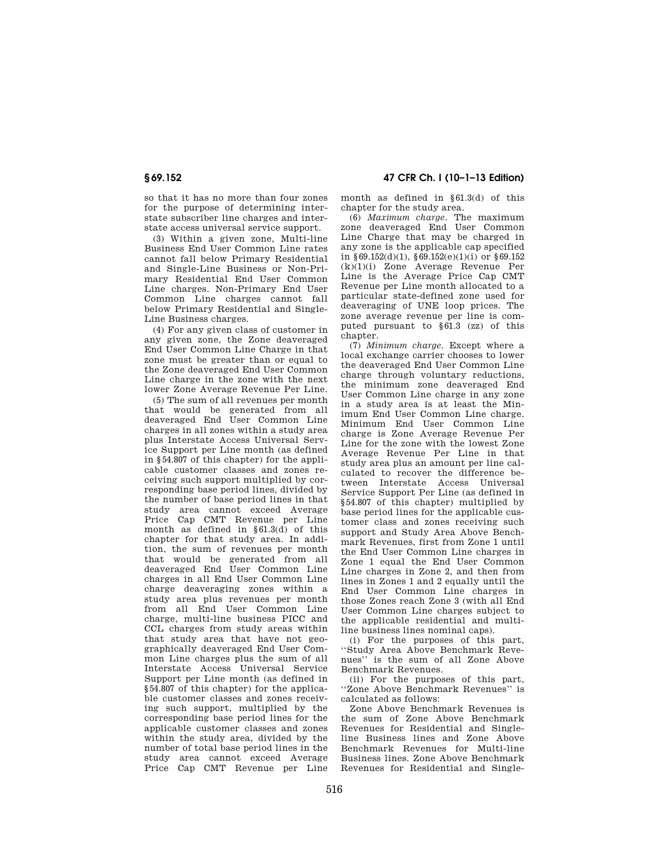so that it has no more than four zones for the purpose of determining interstate subscriber line charges and interstate access universal service support.

(3) Within a given zone, Multi-line Business End User Common Line rates cannot fall below Primary Residential and Single-Line Business or Non-Primary Residential End User Common Line charges. Non-Primary End User Common Line charges cannot fall below Primary Residential and Single-Line Business charges.

(4) For any given class of customer in any given zone, the Zone deaveraged End User Common Line Charge in that zone must be greater than or equal to the Zone deaveraged End User Common Line charge in the zone with the next lower Zone Average Revenue Per Line.

(5) The sum of all revenues per month that would be generated from all deaveraged End User Common Line charges in all zones within a study area plus Interstate Access Universal Service Support per Line month (as defined in §54.807 of this chapter) for the applicable customer classes and zones receiving such support multiplied by corresponding base period lines, divided by the number of base period lines in that study area cannot exceed Average Price Cap CMT Revenue per Line month as defined in  $§61.3(d)$  of this chapter for that study area. In addition, the sum of revenues per month that would be generated from all deaveraged End User Common Line charges in all End User Common Line charge deaveraging zones within a study area plus revenues per month from all End User Common Line charge, multi-line business PICC and CCL charges from study areas within that study area that have not geographically deaveraged End User Common Line charges plus the sum of all Interstate Access Universal Service Support per Line month (as defined in §54.807 of this chapter) for the applicable customer classes and zones receiving such support, multiplied by the corresponding base period lines for the applicable customer classes and zones within the study area, divided by the number of total base period lines in the study area cannot exceed Average Price Cap CMT Revenue per Line

# **§ 69.152 47 CFR Ch. I (10–1–13 Edition)**

month as defined in §61.3(d) of this chapter for the study area.

(6) *Maximum charge.* The maximum zone deaveraged End User Common Line Charge that may be charged in any zone is the applicable cap specified in §69.152(d)(1), §69.152(e)(1)(i) or §69.152 (k)(1)(i) Zone Average Revenue Per Line is the Average Price Cap CMT Revenue per Line month allocated to a particular state-defined zone used for deaveraging of UNE loop prices. The zone average revenue per line is computed pursuant to §61.3 (zz) of this chapter.

(7) *Minimum charge.* Except where a local exchange carrier chooses to lower the deaveraged End User Common Line charge through voluntary reductions, the minimum zone deaveraged End User Common Line charge in any zone in a study area is at least the Minimum End User Common Line charge. Minimum End User Common Line charge is Zone Average Revenue Per Line for the zone with the lowest Zone Average Revenue Per Line in that study area plus an amount per line calculated to recover the difference between Interstate Access Universal Service Support Per Line (as defined in §54.807 of this chapter) multiplied by base period lines for the applicable customer class and zones receiving such support and Study Area Above Benchmark Revenues, first from Zone 1 until the End User Common Line charges in Zone 1 equal the End User Common Line charges in Zone 2, and then from lines in Zones 1 and 2 equally until the End User Common Line charges in those Zones reach Zone 3 (with all End User Common Line charges subject to the applicable residential and multiline business lines nominal caps).

(i) For the purposes of this part, ''Study Area Above Benchmark Revenues'' is the sum of all Zone Above Benchmark Revenues.

(ii) For the purposes of this part, ''Zone Above Benchmark Revenues'' is calculated as follows:

Zone Above Benchmark Revenues is the sum of Zone Above Benchmark Revenues for Residential and Singleline Business lines and Zone Above Benchmark Revenues for Multi-line Business lines. Zone Above Benchmark Revenues for Residential and Single-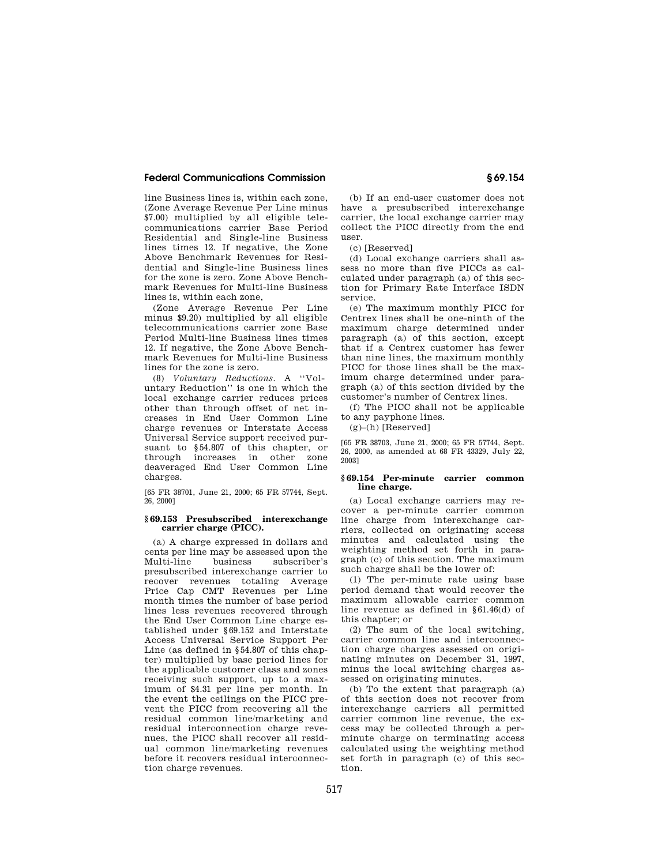line Business lines is, within each zone, (Zone Average Revenue Per Line minus \$7.00) multiplied by all eligible telecommunications carrier Base Period Residential and Single-line Business lines times 12. If negative, the Zone Above Benchmark Revenues for Residential and Single-line Business lines for the zone is zero. Zone Above Benchmark Revenues for Multi-line Business lines is, within each zone,

(Zone Average Revenue Per Line minus \$9.20) multiplied by all eligible telecommunications carrier zone Base Period Multi-line Business lines times 12. If negative, the Zone Above Benchmark Revenues for Multi-line Business lines for the zone is zero.

(8) *Voluntary Reductions.* A ''Voluntary Reduction'' is one in which the local exchange carrier reduces prices other than through offset of net increases in End User Common Line charge revenues or Interstate Access Universal Service support received pursuant to §54.807 of this chapter, or through increases in other zone deaveraged End User Common Line charges.

[65 FR 38701, June 21, 2000; 65 FR 57744, Sept. 26, 2000]

#### **§ 69.153 Presubscribed interexchange carrier charge (PICC).**

(a) A charge expressed in dollars and cents per line may be assessed upon the Multi-line business subscriber's presubscribed interexchange carrier to recover revenues totaling Average Price Cap CMT Revenues per Line month times the number of base period lines less revenues recovered through the End User Common Line charge established under §69.152 and Interstate Access Universal Service Support Per Line (as defined in §54.807 of this chapter) multiplied by base period lines for the applicable customer class and zones receiving such support, up to a maximum of \$4.31 per line per month. In the event the ceilings on the PICC prevent the PICC from recovering all the residual common line/marketing and residual interconnection charge revenues, the PICC shall recover all residual common line/marketing revenues before it recovers residual interconnection charge revenues.

(b) If an end-user customer does not have a presubscribed interexchange carrier, the local exchange carrier may collect the PICC directly from the end user.

(c) [Reserved]

(d) Local exchange carriers shall assess no more than five PICCs as calculated under paragraph (a) of this section for Primary Rate Interface ISDN service.

(e) The maximum monthly PICC for Centrex lines shall be one-ninth of the maximum charge determined under paragraph (a) of this section, except that if a Centrex customer has fewer than nine lines, the maximum monthly PICC for those lines shall be the maximum charge determined under paragraph (a) of this section divided by the customer's number of Centrex lines.

(f) The PICC shall not be applicable to any payphone lines.

 $(g)$ –(h) [Reserved]

[65 FR 38703, June 21, 2000; 65 FR 57744, Sept. 26, 2000, as amended at 68 FR 43329, July 22, 2003]

## **§ 69.154 Per-minute carrier common line charge.**

(a) Local exchange carriers may recover a per-minute carrier common line charge from interexchange carriers, collected on originating access minutes and calculated using the weighting method set forth in paragraph (c) of this section. The maximum such charge shall be the lower of:

(1) The per-minute rate using base period demand that would recover the maximum allowable carrier common line revenue as defined in §61.46(d) of this chapter; or

(2) The sum of the local switching, carrier common line and interconnection charge charges assessed on originating minutes on December 31, 1997, minus the local switching charges assessed on originating minutes.

(b) To the extent that paragraph (a) of this section does not recover from interexchange carriers all permitted carrier common line revenue, the excess may be collected through a perminute charge on terminating access calculated using the weighting method set forth in paragraph (c) of this section.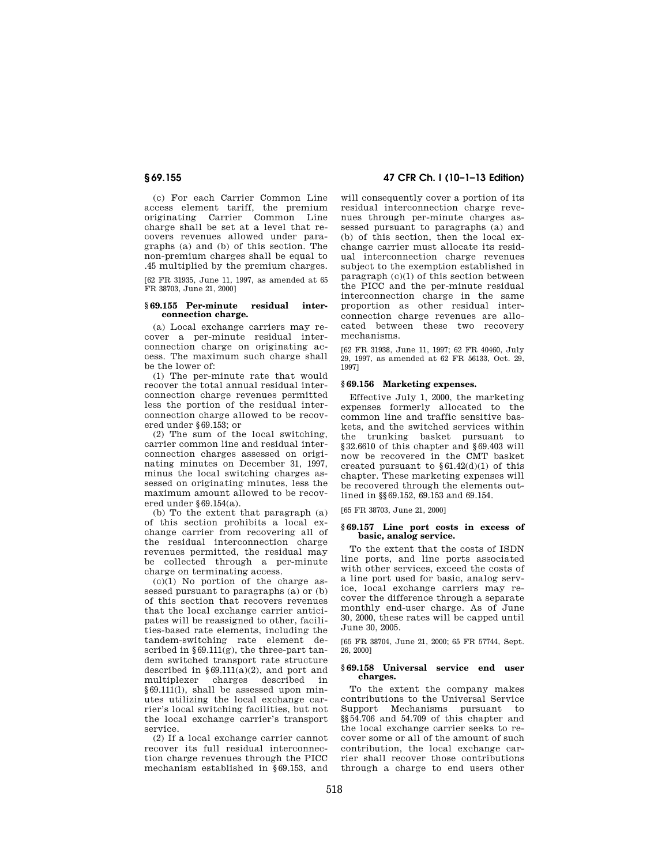(c) For each Carrier Common Line access element tariff, the premium originating Carrier Common Line charge shall be set at a level that recovers revenues allowed under paragraphs (a) and (b) of this section. The non-premium charges shall be equal to .45 multiplied by the premium charges.

[62 FR 31935, June 11, 1997, as amended at 65 FR 38703, June 21, 2000]

## **§ 69.155 Per-minute residual interconnection charge.**

(a) Local exchange carriers may recover a per-minute residual interconnection charge on originating access. The maximum such charge shall be the lower of:

(1) The per-minute rate that would recover the total annual residual interconnection charge revenues permitted less the portion of the residual interconnection charge allowed to be recovered under §69.153; or

(2) The sum of the local switching, carrier common line and residual interconnection charges assessed on originating minutes on December 31, 1997, minus the local switching charges assessed on originating minutes, less the maximum amount allowed to be recovered under §69.154(a).

(b) To the extent that paragraph (a) of this section prohibits a local exchange carrier from recovering all of the residual interconnection charge revenues permitted, the residual may be collected through a per-minute charge on terminating access.

 $(c)(1)$  No portion of the charge assessed pursuant to paragraphs (a) or (b) of this section that recovers revenues that the local exchange carrier anticipates will be reassigned to other, facilities-based rate elements, including the tandem-switching rate element described in  $§ 69.111(g)$ , the three-part tandem switched transport rate structure described in §69.111(a)(2), and port and multiplexer charges described in §69.111(l), shall be assessed upon minutes utilizing the local exchange carrier's local switching facilities, but not the local exchange carrier's transport service.

(2) If a local exchange carrier cannot recover its full residual interconnection charge revenues through the PICC mechanism established in §69.153, and

# **§ 69.155 47 CFR Ch. I (10–1–13 Edition)**

will consequently cover a portion of its residual interconnection charge revenues through per-minute charges assessed pursuant to paragraphs (a) and (b) of this section, then the local exchange carrier must allocate its residual interconnection charge revenues subject to the exemption established in paragraph (c)(1) of this section between the PICC and the per-minute residual interconnection charge in the same proportion as other residual interconnection charge revenues are allocated between these two recovery mechanisms.

[62 FR 31938, June 11, 1997; 62 FR 40460, July 29, 1997, as amended at 62 FR 56133, Oct. 29, 1997]

## **§ 69.156 Marketing expenses.**

Effective July 1, 2000, the marketing expenses formerly allocated to the common line and traffic sensitive baskets, and the switched services within the trunking basket pursuant to §32.6610 of this chapter and §69.403 will now be recovered in the CMT basket created pursuant to  $$61.42(d)(1)$  of this chapter. These marketing expenses will be recovered through the elements outlined in §§69.152, 69.153 and 69.154.

[65 FR 38703, June 21, 2000]

## **§ 69.157 Line port costs in excess of basic, analog service.**

To the extent that the costs of ISDN line ports, and line ports associated with other services, exceed the costs of a line port used for basic, analog service, local exchange carriers may recover the difference through a separate monthly end-user charge. As of June 30, 2000, these rates will be capped until June 30, 2005.

[65 FR 38704, June 21, 2000; 65 FR 57744, Sept. 26, 2000]

#### **§ 69.158 Universal service end user charges.**

To the extent the company makes contributions to the Universal Service Support Mechanisms pursuant to §§54.706 and 54.709 of this chapter and the local exchange carrier seeks to recover some or all of the amount of such contribution, the local exchange carrier shall recover those contributions through a charge to end users other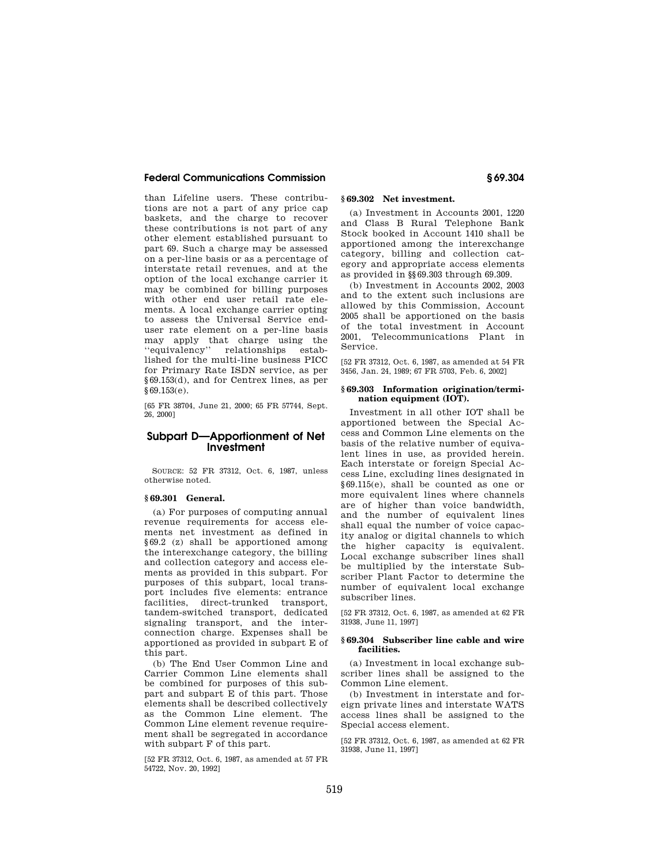than Lifeline users. These contributions are not a part of any price cap baskets, and the charge to recover these contributions is not part of any other element established pursuant to part 69. Such a charge may be assessed on a per-line basis or as a percentage of interstate retail revenues, and at the option of the local exchange carrier it may be combined for billing purposes with other end user retail rate elements. A local exchange carrier opting to assess the Universal Service enduser rate element on a per-line basis may apply that charge using the ''equivalency'' relationships established for the multi-line business PICC for Primary Rate ISDN service, as per §69.153(d), and for Centrex lines, as per §69.153(e).

[65 FR 38704, June 21, 2000; 65 FR 57744, Sept. 26, 2000]

# **Subpart D—Apportionment of Net Investment**

SOURCE: 52 FR 37312, Oct. 6, 1987, unless otherwise noted.

# **§ 69.301 General.**

(a) For purposes of computing annual revenue requirements for access elements net investment as defined in §69.2 (z) shall be apportioned among the interexchange category, the billing and collection category and access elements as provided in this subpart. For purposes of this subpart, local transport includes five elements: entrance <sub>-</sub><br>facilities, direct-trunked transport, tandem-switched transport, dedicated signaling transport, and the interconnection charge. Expenses shall be apportioned as provided in subpart E of this part.

(b) The End User Common Line and Carrier Common Line elements shall be combined for purposes of this subpart and subpart E of this part. Those elements shall be described collectively as the Common Line element. The Common Line element revenue requirement shall be segregated in accordance with subpart F of this part.

[52 FR 37312, Oct. 6, 1987, as amended at 57 FR 54722, Nov. 20, 1992]

# **§ 69.302 Net investment.**

(a) Investment in Accounts 2001, 1220 and Class B Rural Telephone Bank Stock booked in Account 1410 shall be apportioned among the interexchange category, billing and collection category and appropriate access elements as provided in §§69.303 through 69.309.

(b) Investment in Accounts 2002, 2003 and to the extent such inclusions are allowed by this Commission, Account 2005 shall be apportioned on the basis of the total investment in Account 2001, Telecommunications Plant in Service.

[52 FR 37312, Oct. 6, 1987, as amended at 54 FR 3456, Jan. 24, 1989; 67 FR 5703, Feb. 6, 2002]

## **§ 69.303 Information origination/termination equipment (IOT).**

Investment in all other IOT shall be apportioned between the Special Access and Common Line elements on the basis of the relative number of equivalent lines in use, as provided herein. Each interstate or foreign Special Access Line, excluding lines designated in §69.115(e), shall be counted as one or more equivalent lines where channels are of higher than voice bandwidth, and the number of equivalent lines shall equal the number of voice capacity analog or digital channels to which the higher capacity is equivalent. Local exchange subscriber lines shall be multiplied by the interstate Subscriber Plant Factor to determine the number of equivalent local exchange subscriber lines.

[52 FR 37312, Oct. 6, 1987, as amended at 62 FR 31938, June 11, 1997]

## **§ 69.304 Subscriber line cable and wire facilities.**

(a) Investment in local exchange subscriber lines shall be assigned to the Common Line element.

(b) Investment in interstate and foreign private lines and interstate WATS access lines shall be assigned to the Special access element.

[52 FR 37312, Oct. 6, 1987, as amended at 62 FR 31938, June 11, 1997]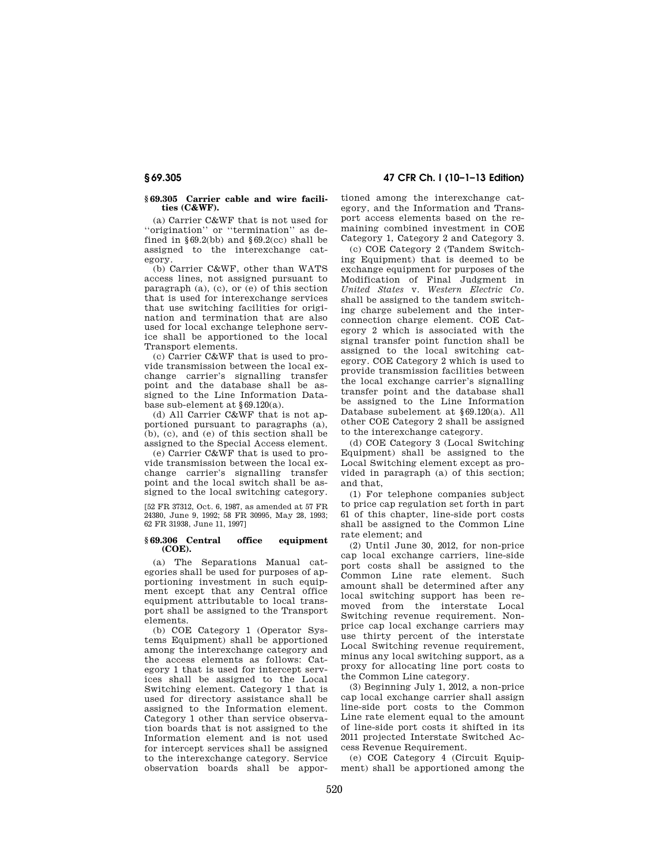# **§ 69.305 47 CFR Ch. I (10–1–13 Edition)**

**§ 69.305 Carrier cable and wire facilities (C&WF).** 

(a) Carrier C&WF that is not used for ''origination'' or ''termination'' as defined in  $§69.2(bb)$  and  $§69.2(cc)$  shall be assigned to the interexchange category.

(b) Carrier C&WF, other than WATS access lines, not assigned pursuant to paragraph (a), (c), or (e) of this section that is used for interexchange services that use switching facilities for origination and termination that are also used for local exchange telephone service shall be apportioned to the local Transport elements.

(c) Carrier C&WF that is used to provide transmission between the local exchange carrier's signalling transfer point and the database shall be assigned to the Line Information Database sub-element at §69.120(a).

(d) All Carrier C&WF that is not apportioned pursuant to paragraphs (a), (b), (c), and (e) of this section shall be assigned to the Special Access element.

(e) Carrier C&WF that is used to provide transmission between the local exchange carrier's signalling transfer point and the local switch shall be assigned to the local switching category.

[52 FR 37312, Oct. 6, 1987, as amended at 57 FR 24380, June 9, 1992; 58 FR 30995, May 28, 1993; 62 FR 31938, June 11, 1997]

## **§ 69.306 Central office equipment (COE).**

(a) The Separations Manual categories shall be used for purposes of apportioning investment in such equipment except that any Central office equipment attributable to local transport shall be assigned to the Transport elements.

(b) COE Category 1 (Operator Systems Equipment) shall be apportioned among the interexchange category and the access elements as follows: Category 1 that is used for intercept services shall be assigned to the Local Switching element. Category 1 that is used for directory assistance shall be assigned to the Information element. Category 1 other than service observation boards that is not assigned to the Information element and is not used for intercent services shall be assigned to the interexchange category. Service observation boards shall be apportioned among the interexchange category, and the Information and Transport access elements based on the remaining combined investment in COE Category 1, Category 2 and Category 3.

(c) COE Category 2 (Tandem Switching Equipment) that is deemed to be exchange equipment for purposes of the Modification of Final Judgment in *United States* v. *Western Electric Co.*  shall be assigned to the tandem switching charge subelement and the interconnection charge element. COE Category 2 which is associated with the signal transfer point function shall be assigned to the local switching category. COE Category 2 which is used to provide transmission facilities between the local exchange carrier's signalling transfer point and the database shall be assigned to the Line Information Database subelement at §69.120(a). All other COE Category 2 shall be assigned to the interexchange category.

(d) COE Category 3 (Local Switching Equipment) shall be assigned to the Local Switching element except as provided in paragraph (a) of this section; and that,

(1) For telephone companies subject to price cap regulation set forth in part 61 of this chapter, line-side port costs shall be assigned to the Common Line rate element; and

(2) Until June 30, 2012, for non-price cap local exchange carriers, line-side port costs shall be assigned to the Common Line rate element. Such amount shall be determined after any local switching support has been removed from the interstate Local Switching revenue requirement. Nonprice cap local exchange carriers may use thirty percent of the interstate Local Switching revenue requirement, minus any local switching support, as a proxy for allocating line port costs to the Common Line category.

(3) Beginning July 1, 2012, a non-price cap local exchange carrier shall assign line-side port costs to the Common Line rate element equal to the amount of line-side port costs it shifted in its 2011 projected Interstate Switched Access Revenue Requirement.

(e) COE Category 4 (Circuit Equipment) shall be apportioned among the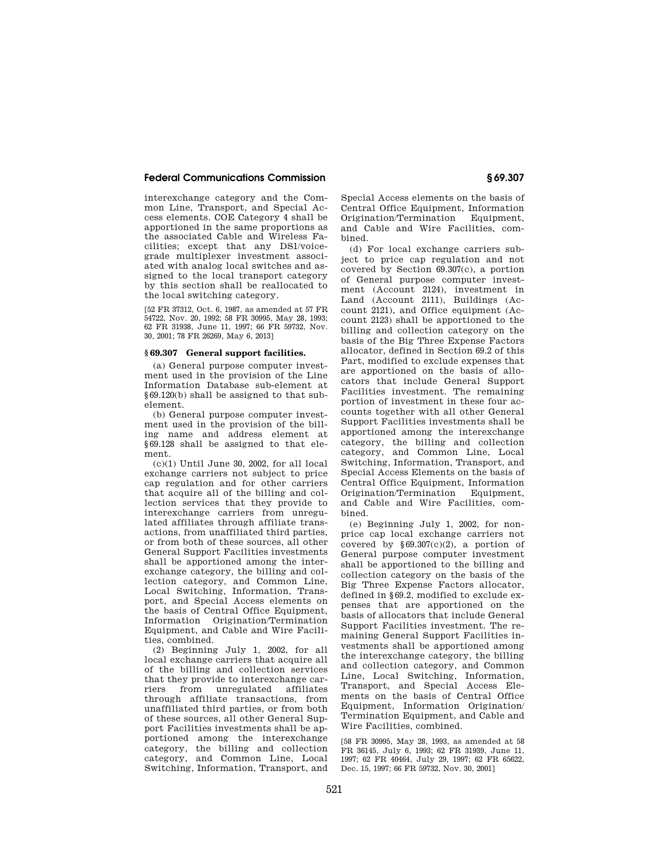interexchange category and the Common Line, Transport, and Special Access elements. COE Category 4 shall be apportioned in the same proportions as the associated Cable and Wireless Facilities; except that any DS1/voicegrade multiplexer investment associated with analog local switches and assigned to the local transport category by this section shall be reallocated to the local switching category.

[52 FR 37312, Oct. 6, 1987, as amended at 57 FR 54722, Nov. 20, 1992; 58 FR 30995, May 28, 1993; 62 FR 31938, June 11, 1997; 66 FR 59732, Nov. 30, 2001; 78 FR 26269, May 6, 2013]

## **§ 69.307 General support facilities.**

(a) General purpose computer investment used in the provision of the Line Information Database sub-element at §69.120(b) shall be assigned to that subelement.

(b) General purpose computer investment used in the provision of the billing name and address element at §69.128 shall be assigned to that element.

 $(c)(1)$  Until June 30, 2002, for all local exchange carriers not subject to price cap regulation and for other carriers that acquire all of the billing and collection services that they provide to interexchange carriers from unregulated affiliates through affiliate transactions, from unaffiliated third parties, or from both of these sources, all other General Support Facilities investments shall be apportioned among the interexchange category, the billing and collection category, and Common Line, Local Switching, Information, Transport, and Special Access elements on the basis of Central Office Equipment, Information Origination/Termination Equipment, and Cable and Wire Facilities, combined.

(2) Beginning July 1, 2002, for all local exchange carriers that acquire all of the billing and collection services that they provide to interexchange carriers from unregulated affiliates through affiliate transactions, from unaffiliated third parties, or from both of these sources, all other General Support Facilities investments shall be apportioned among the interexchange category, the billing and collection category, and Common Line, Local Switching, Information, Transport, and

Special Access elements on the basis of Central Office Equipment, Information Origination/Termination Equipment, and Cable and Wire Facilities, combined.

(d) For local exchange carriers subject to price cap regulation and not covered by Section 69.307(c), a portion of General purpose computer investment (Account 2124), investment in Land (Account 2111), Buildings (Account 2121), and Office equipment (Account 2123) shall be apportioned to the billing and collection category on the basis of the Big Three Expense Factors allocator, defined in Section 69.2 of this Part, modified to exclude expenses that are apportioned on the basis of allocators that include General Support Facilities investment. The remaining portion of investment in these four accounts together with all other General Support Facilities investments shall be apportioned among the interexchange category, the billing and collection category, and Common Line, Local Switching, Information, Transport, and Special Access Elements on the basis of Central Office Equipment, Information Origination/Termination Equipment, and Cable and Wire Facilities, combined.

(e) Beginning July 1, 2002, for nonprice cap local exchange carriers not covered by  $§69.307(c)(2)$ , a portion of General purpose computer investment shall be apportioned to the billing and collection category on the basis of the Big Three Expense Factors allocator, defined in §69.2, modified to exclude expenses that are apportioned on the basis of allocators that include General Support Facilities investment. The remaining General Support Facilities investments shall be apportioned among the interexchange category, the billing and collection category, and Common Line, Local Switching, Information, Transport, and Special Access Elements on the basis of Central Office Equipment, Information Origination/ Termination Equipment, and Cable and Wire Facilities, combined.

[58 FR 30995, May 28, 1993, as amended at 58 FR 36145, July 6, 1993; 62 FR 31939, June 11, 1997; 62 FR 40464, July 29, 1997; 62 FR 65622, Dec. 15, 1997; 66 FR 59732, Nov. 30, 2001]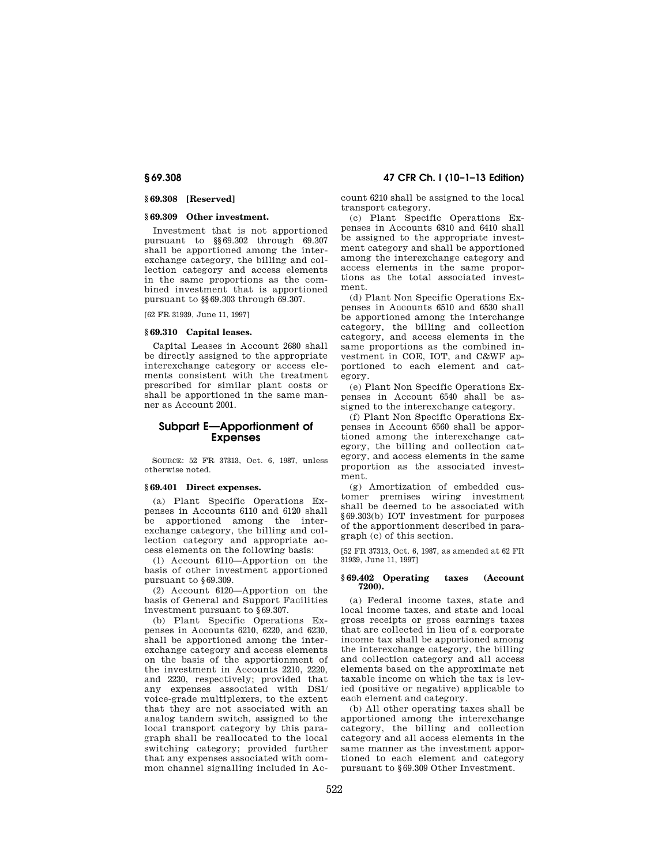## **§ 69.308 [Reserved]**

## **§ 69.309 Other investment.**

Investment that is not apportioned pursuant to §§69.302 through 69.307 shall be apportioned among the interexchange category, the billing and collection category and access elements in the same proportions as the combined investment that is apportioned pursuant to §§69.303 through 69.307.

[62 FR 31939, June 11, 1997]

## **§ 69.310 Capital leases.**

Capital Leases in Account 2680 shall be directly assigned to the appropriate interexchange category or access elements consistent with the treatment prescribed for similar plant costs or shall be apportioned in the same manner as Account 2001.

# **Subpart E—Apportionment of Expenses**

SOURCE: 52 FR 37313, Oct. 6, 1987, unless otherwise noted.

## **§ 69.401 Direct expenses.**

(a) Plant Specific Operations Expenses in Accounts 6110 and 6120 shall be apportioned among the interexchange category, the billing and collection category and appropriate access elements on the following basis:

(1) Account 6110—Apportion on the basis of other investment apportioned pursuant to §69.309.

(2) Account 6120—Apportion on the basis of General and Support Facilities investment pursuant to §69.307.

(b) Plant Specific Operations Expenses in Accounts 6210, 6220, and 6230, shall be apportioned among the interexchange category and access elements on the basis of the apportionment of the investment in Accounts 2210, 2220, and 2230, respectively; provided that any expenses associated with DS1/ voice-grade multiplexers, to the extent that they are not associated with an analog tandem switch, assigned to the local transport category by this paragraph shall be reallocated to the local switching category; provided further that any expenses associated with common channel signalling included in Ac-

**§ 69.308 47 CFR Ch. I (10–1–13 Edition)** 

count 6210 shall be assigned to the local transport category.

(c) Plant Specific Operations Expenses in Accounts 6310 and 6410 shall be assigned to the appropriate investment category and shall be apportioned among the interexchange category and access elements in the same proportions as the total associated investment.

(d) Plant Non Specific Operations Expenses in Accounts 6510 and 6530 shall be apportioned among the interchange category, the billing and collection category, and access elements in the same proportions as the combined investment in COE, IOT, and C&WF apportioned to each element and category.

(e) Plant Non Specific Operations Expenses in Account 6540 shall be assigned to the interexchange category.

(f) Plant Non Specific Operations Expenses in Account 6560 shall be apportioned among the interexchange category, the billing and collection category, and access elements in the same proportion as the associated investment.

(g) Amortization of embedded customer premises wiring investment shall be deemed to be associated with §69.303(b) IOT investment for purposes of the apportionment described in paragraph (c) of this section.

[52 FR 37313, Oct. 6, 1987, as amended at 62 FR 31939, June 11, 1997]

## **§ 69.402 Operating taxes (Account 7200).**

(a) Federal income taxes, state and local income taxes, and state and local gross receipts or gross earnings taxes that are collected in lieu of a corporate income tax shall be apportioned among the interexchange category, the billing and collection category and all access elements based on the approximate net taxable income on which the tax is levied (positive or negative) applicable to each element and category.

(b) All other operating taxes shall be apportioned among the interexchange category, the billing and collection category and all access elements in the same manner as the investment apportioned to each element and category pursuant to §69.309 Other Investment.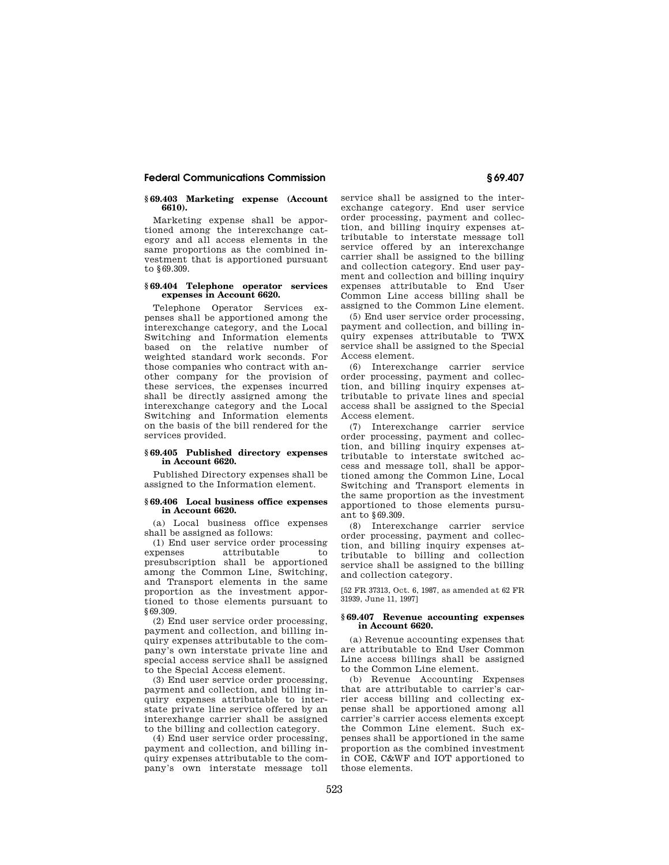## **§ 69.403 Marketing expense (Account 6610).**

Marketing expense shall be apportioned among the interexchange category and all access elements in the same proportions as the combined investment that is apportioned pursuant to §69.309.

## **§ 69.404 Telephone operator services expenses in Account 6620.**

Telephone Operator Services expenses shall be apportioned among the interexchange category, and the Local Switching and Information elements based on the relative number of weighted standard work seconds. For those companies who contract with another company for the provision of these services, the expenses incurred shall be directly assigned among the interexchange category and the Local Switching and Information elements on the basis of the bill rendered for the services provided.

## **§ 69.405 Published directory expenses in Account 6620.**

Published Directory expenses shall be assigned to the Information element.

## **§ 69.406 Local business office expenses in Account 6620.**

(a) Local business office expenses shall be assigned as follows:

(1) End user service order processing expenses attributable to presubscription shall be apportioned among the Common Line, Switching, and Transport elements in the same proportion as the investment apportioned to those elements pursuant to §69.309.

(2) End user service order processing, payment and collection, and billing inquiry expenses attributable to the company's own interstate private line and special access service shall be assigned to the Special Access element.

(3) End user service order processing, payment and collection, and billing inquiry expenses attributable to interstate private line service offered by an interexhange carrier shall be assigned to the billing and collection category.

(4) End user service order processing, payment and collection, and billing inquiry expenses attributable to the company's own interstate message toll service shall be assigned to the interexchange category. End user service order processing, payment and collection, and billing inquiry expenses attributable to interstate message toll service offered by an interexchange carrier shall be assigned to the billing and collection category. End user payment and collection and billing inquiry expenses attributable to End User Common Line access billing shall be assigned to the Common Line element.

(5) End user service order processing, payment and collection, and billing inquiry expenses attributable to TWX service shall be assigned to the Special Access element.

(6) Interexchange carrier service order processing, payment and collection, and billing inquiry expenses attributable to private lines and special access shall be assigned to the Special Access element.

(7) Interexchange carrier service order processing, payment and collection, and billing inquiry expenses attributable to interstate switched access and message toll, shall be apportioned among the Common Line, Local Switching and Transport elements in the same proportion as the investment apportioned to those elements pursuant to §69.309.

(8) Interexchange carrier service order processing, payment and collection, and billing inquiry expenses attributable to billing and collection service shall be assigned to the billing and collection category.

[52 FR 37313, Oct. 6, 1987, as amended at 62 FR 31939, June 11, 1997]

#### **§ 69.407 Revenue accounting expenses in Account 6620.**

(a) Revenue accounting expenses that are attributable to End User Common Line access billings shall be assigned to the Common Line element.

(b) Revenue Accounting Expenses that are attributable to carrier's carrier access billing and collecting expense shall be apportioned among all carrier's carrier access elements except the Common Line element. Such expenses shall be apportioned in the same proportion as the combined investment in COE, C&WF and IOT apportioned to those elements.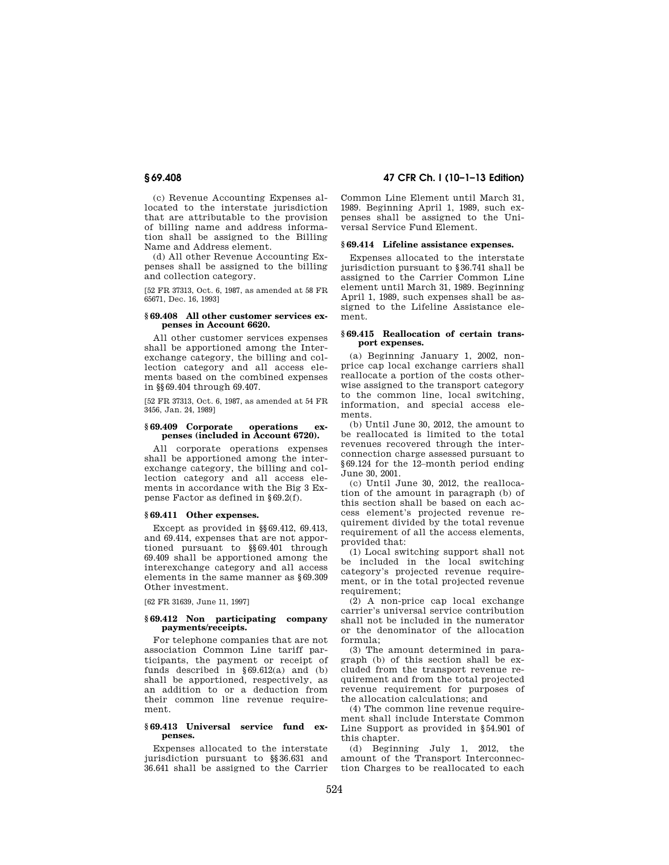(c) Revenue Accounting Expenses allocated to the interstate jurisdiction that are attributable to the provision of billing name and address information shall be assigned to the Billing Name and Address element.

(d) All other Revenue Accounting Expenses shall be assigned to the billing and collection category.

[52 FR 37313, Oct. 6, 1987, as amended at 58 FR 65671, Dec. 16, 1993]

## **§ 69.408 All other customer services expenses in Account 6620.**

All other customer services expenses shall be apportioned among the Interexchange category, the billing and collection category and all access elements based on the combined expenses in §§69.404 through 69.407.

[52 FR 37313, Oct. 6, 1987, as amended at 54 FR 3456, Jan. 24, 1989]

## **§ 69.409 Corporate operations expenses (included in Account 6720).**

All corporate operations expenses shall be apportioned among the interexchange category, the billing and collection category and all access elements in accordance with the Big 3 Expense Factor as defined in §69.2(f).

## **§ 69.411 Other expenses.**

Except as provided in §§69.412, 69.413, and 69.414, expenses that are not apportioned pursuant to §§69.401 through 69.409 shall be apportioned among the interexchange category and all access elements in the same manner as §69.309 Other investment.

[62 FR 31639, June 11, 1997]

## **§ 69.412 Non participating company payments/receipts.**

For telephone companies that are not association Common Line tariff participants, the payment or receipt of funds described in  $§69.612(a)$  and (b) shall be apportioned, respectively, as an addition to or a deduction from their common line revenue requirement.

#### **§ 69.413 Universal service fund expenses.**

Expenses allocated to the interstate jurisdiction pursuant to §§36.631 and 36.641 shall be assigned to the Carrier

# **§ 69.408 47 CFR Ch. I (10–1–13 Edition)**

Common Line Element until March 31, 1989. Beginning April 1, 1989, such expenses shall be assigned to the Universal Service Fund Element.

# **§ 69.414 Lifeline assistance expenses.**

Expenses allocated to the interstate jurisdiction pursuant to §36.741 shall be assigned to the Carrier Common Line element until March 31, 1989. Beginning April 1, 1989, such expenses shall be assigned to the Lifeline Assistance element.

## **§ 69.415 Reallocation of certain transport expenses.**

(a) Beginning January 1, 2002, nonprice cap local exchange carriers shall reallocate a portion of the costs otherwise assigned to the transport category to the common line, local switching, information, and special access elements.

(b) Until June 30, 2012, the amount to be reallocated is limited to the total revenues recovered through the interconnection charge assessed pursuant to §69.124 for the 12–month period ending June 30, 2001.

(c) Until June 30, 2012, the reallocation of the amount in paragraph (b) of this section shall be based on each access element's projected revenue requirement divided by the total revenue requirement of all the access elements, provided that:

(1) Local switching support shall not be included in the local switching category's projected revenue requirement, or in the total projected revenue requirement;

(2) A non-price cap local exchange carrier's universal service contribution shall not be included in the numerator or the denominator of the allocation formula;

(3) The amount determined in paragraph (b) of this section shall be excluded from the transport revenue requirement and from the total projected revenue requirement for purposes of the allocation calculations; and

(4) The common line revenue requirement shall include Interstate Common Line Support as provided in §54.901 of this chapter.

(d) Beginning July 1, 2012, the amount of the Transport Interconnection Charges to be reallocated to each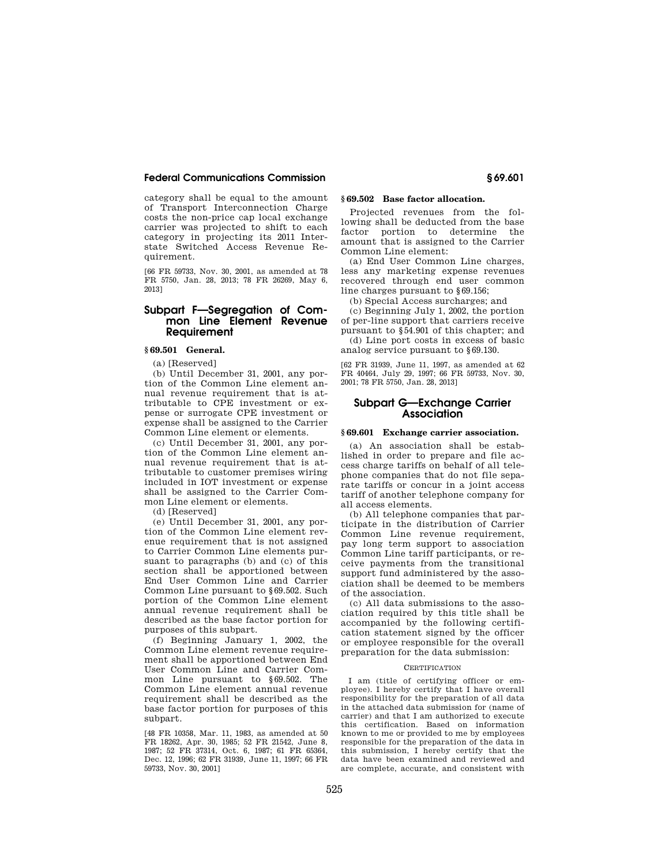category shall be equal to the amount of Transport Interconnection Charge costs the non-price cap local exchange carrier was projected to shift to each category in projecting its 2011 Interstate Switched Access Revenue Requirement.

[66 FR 59733, Nov. 30, 2001, as amended at 78 FR 5750, Jan. 28, 2013; 78 FR 26269, May 6, 2013]

# **Subpart F—Segregation of Common Line Element Revenue Requirement**

# **§ 69.501 General.**

(a) [Reserved]

(b) Until December 31, 2001, any portion of the Common Line element annual revenue requirement that is attributable to CPE investment or expense or surrogate CPE investment or expense shall be assigned to the Carrier Common Line element or elements.

(c) Until December 31, 2001, any portion of the Common Line element annual revenue requirement that is attributable to customer premises wiring included in IOT investment or expense shall be assigned to the Carrier Common Line element or elements.

(d) [Reserved]

(e) Until December 31, 2001, any portion of the Common Line element revenue requirement that is not assigned to Carrier Common Line elements pursuant to paragraphs (b) and (c) of this section shall be apportioned between End User Common Line and Carrier Common Line pursuant to §69.502. Such portion of the Common Line element annual revenue requirement shall be described as the base factor portion for purposes of this subpart.

(f) Beginning January 1, 2002, the Common Line element revenue requirement shall be apportioned between End User Common Line and Carrier Common Line pursuant to §69.502. The Common Line element annual revenue requirement shall be described as the base factor portion for purposes of this subpart.

[48 FR 10358, Mar. 11, 1983, as amended at 50 FR 18262, Apr. 30, 1985; 52 FR 21542, June 8, 1987; 52 FR 37314, Oct. 6, 1987; 61 FR 65364, Dec. 12, 1996; 62 FR 31939, June 11, 1997; 66 FR 59733, Nov. 30, 2001]

# **§ 69.502 Base factor allocation.**

Projected revenues from the following shall be deducted from the base factor portion to determine the amount that is assigned to the Carrier Common Line element:

(a) End User Common Line charges, less any marketing expense revenues recovered through end user common line charges pursuant to §69.156;

(b) Special Access surcharges; and

(c) Beginning July 1, 2002, the portion of per-line support that carriers receive pursuant to §54.901 of this chapter; and

(d) Line port costs in excess of basic analog service pursuant to §69.130.

[62 FR 31939, June 11, 1997, as amended at 62 FR 40464, July 29, 1997; 66 FR 59733, Nov. 30, 2001; 78 FR 5750, Jan. 28, 2013]

# **Subpart G—Exchange Carrier Association**

## **§ 69.601 Exchange carrier association.**

(a) An association shall be established in order to prepare and file access charge tariffs on behalf of all telephone companies that do not file separate tariffs or concur in a joint access tariff of another telephone company for all access elements.

(b) All telephone companies that participate in the distribution of Carrier Common Line revenue requirement, pay long term support to association Common Line tariff participants, or receive payments from the transitional support fund administered by the association shall be deemed to be members of the association.

(c) All data submissions to the association required by this title shall be accompanied by the following certification statement signed by the officer or employee responsible for the overall preparation for the data submission:

#### **CERTIFICATION**

I am (title of certifying officer or employee). I hereby certify that I have overall responsibility for the preparation of all data in the attached data submission for (name of carrier) and that I am authorized to execute this certification. Based on information known to me or provided to me by employees responsible for the preparation of the data in this submission, I hereby certify that the data have been examined and reviewed and are complete, accurate, and consistent with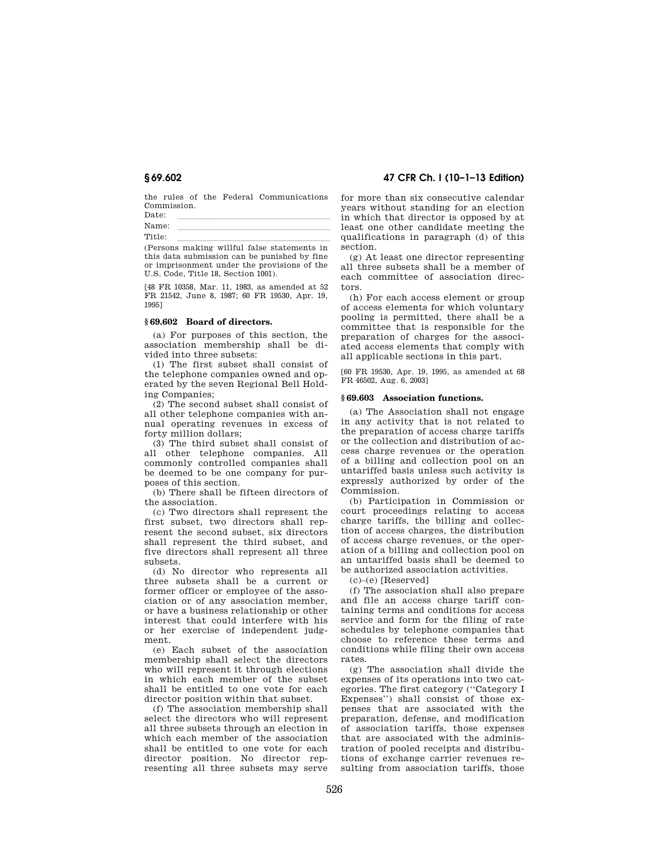the rules of the Federal Communications Commission.

 $\begin{array}{ccc} \text{Date:} & & \text{if} & \text{if} & \text{if} & \text{if} & \text{if} & \text{if} & \text{if} & \text{if} & \text{if} & \text{if} & \text{if} & \text{if} & \text{if} & \text{if} & \text{if} & \text{if} & \text{if} & \text{if} & \text{if} & \text{if} & \text{if} & \text{if} & \text{if} & \text{if} & \text{if} & \text{if} & \text{if} & \text{if} & \text{if} & \text{if} & \text{if} & \text{if} & \text{if} & \text{if} & \$ Name: llllllllllllllllllll Title:<br>(Persons making willful false statements in

this data submission can be punished by fine or imprisonment under the provisions of the U.S. Code, Title 18, Section 1001).

[48 FR 10358, Mar. 11, 1983, as amended at 52 FR 21542, June 8, 1987; 60 FR 19530, Apr. 19, 1995]

## **§ 69.602 Board of directors.**

(a) For purposes of this section, the association membership shall be divided into three subsets:

(1) The first subset shall consist of the telephone companies owned and operated by the seven Regional Bell Holding Companies;

(2) The second subset shall consist of all other telephone companies with annual operating revenues in excess of forty million dollars;

(3) The third subset shall consist of all other telephone companies. All commonly controlled companies shall be deemed to be one company for purposes of this section.

(b) There shall be fifteen directors of the association.

(c) Two directors shall represent the first subset, two directors shall represent the second subset, six directors shall represent the third subset, and five directors shall represent all three subsets.

(d) No director who represents all three subsets shall be a current or former officer or employee of the association or of any association member, or have a business relationship or other interest that could interfere with his or her exercise of independent judgment.

(e) Each subset of the association membership shall select the directors who will represent it through elections in which each member of the subset shall be entitled to one vote for each director position within that subset.

(f) The association membership shall select the directors who will represent all three subsets through an election in which each member of the association shall be entitled to one vote for each director position. No director representing all three subsets may serve

# **§ 69.602 47 CFR Ch. I (10–1–13 Edition)**

for more than six consecutive calendar years without standing for an election in which that director is opposed by at least one other candidate meeting the qualifications in paragraph (d) of this section.

(g) At least one director representing all three subsets shall be a member of each committee of association directors.

(h) For each access element or group of access elements for which voluntary pooling is permitted, there shall be a committee that is responsible for the preparation of charges for the associated access elements that comply with all applicable sections in this part.

[60 FR 19530, Apr. 19, 1995, as amended at 68 FR 46502, Aug. 6, 2003]

## **§ 69.603 Association functions.**

(a) The Association shall not engage in any activity that is not related to the preparation of access charge tariffs or the collection and distribution of access charge revenues or the operation of a billing and collection pool on an untariffed basis unless such activity is expressly authorized by order of the Commission.

(b) Participation in Commission or court proceedings relating to access charge tariffs, the billing and collection of access charges, the distribution of access charge revenues, or the operation of a billing and collection pool on an untariffed basis shall be deemed to be authorized association activities.

 $(c)$ – $(e)$  [Reserved]

(f) The association shall also prepare and file an access charge tariff containing terms and conditions for access service and form for the filing of rate schedules by telephone companies that choose to reference these terms and conditions while filing their own access rates.

(g) The association shall divide the expenses of its operations into two categories. The first category (''Category I Expenses'') shall consist of those expenses that are associated with the preparation, defense, and modification of association tariffs, those expenses that are associated with the administration of pooled receipts and distributions of exchange carrier revenues resulting from association tariffs, those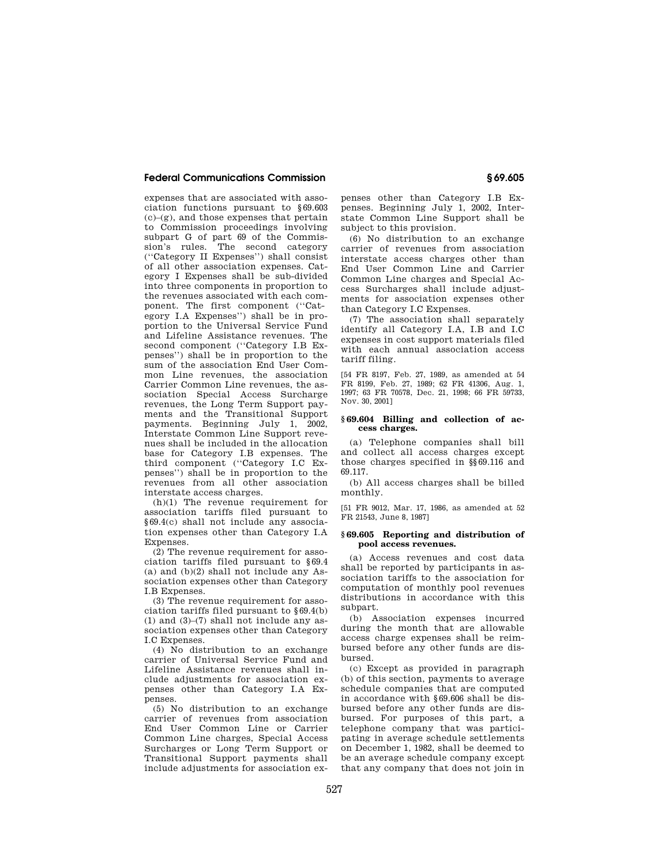expenses that are associated with association functions pursuant to §69.603  $(c)-(g)$ , and those expenses that pertain to Commission proceedings involving subpart G of part 69 of the Commission's rules. The second category (''Category II Expenses'') shall consist of all other association expenses. Category I Expenses shall be sub-divided into three components in proportion to the revenues associated with each component. The first component (''Category I.A Expenses'') shall be in proportion to the Universal Service Fund and Lifeline Assistance revenues. The second component (''Category I.B Expenses'') shall be in proportion to the sum of the association End User Common Line revenues, the association Carrier Common Line revenues, the association Special Access Surcharge revenues, the Long Term Support payments and the Transitional Support payments. Beginning July 1, 2002, Interstate Common Line Support revenues shall be included in the allocation base for Category I.B expenses. The third component (''Category I.C Expenses'') shall be in proportion to the revenues from all other association interstate access charges.

(h)(1) The revenue requirement for association tariffs filed pursuant to §69.4(c) shall not include any association expenses other than Category I.A Expenses.

(2) The revenue requirement for association tariffs filed pursuant to §69.4 (a) and (b)(2) shall not include any Association expenses other than Category I.B Expenses.

(3) The revenue requirement for association tariffs filed pursuant to §69.4(b) (1) and (3)–(7) shall not include any association expenses other than Category I.C Expenses.

(4) No distribution to an exchange carrier of Universal Service Fund and Lifeline Assistance revenues shall include adjustments for association expenses other than Category I.A Expenses.

(5) No distribution to an exchange carrier of revenues from association End User Common Line or Carrier Common Line charges, Special Access Surcharges or Long Term Support or Transitional Support payments shall include adjustments for association ex-

penses other than Category I.B Expenses. Beginning July 1, 2002, Interstate Common Line Support shall be subject to this provision.

(6) No distribution to an exchange carrier of revenues from association interstate access charges other than End User Common Line and Carrier Common Line charges and Special Access Surcharges shall include adjustments for association expenses other than Category I.C Expenses.

(7) The association shall separately identify all Category I.A, I.B and I.C expenses in cost support materials filed with each annual association access tariff filing.

[54 FR 8197, Feb. 27, 1989, as amended at 54 FR 8199, Feb. 27, 1989; 62 FR 41306, Aug. 1, 1997; 63 FR 70578, Dec. 21, 1998; 66 FR 59733, Nov. 30, 2001]

# **§ 69.604 Billing and collection of access charges.**

(a) Telephone companies shall bill and collect all access charges except those charges specified in §§69.116 and 69.117.

(b) All access charges shall be billed monthly.

[51 FR 9012, Mar. 17, 1986, as amended at 52 FR 21543, June 8, 1987]

#### **§ 69.605 Reporting and distribution of pool access revenues.**

(a) Access revenues and cost data shall be reported by participants in association tariffs to the association for computation of monthly pool revenues distributions in accordance with this subpart.

(b) Association expenses incurred during the month that are allowable access charge expenses shall be reimbursed before any other funds are disbursed.

(c) Except as provided in paragraph (b) of this section, payments to average schedule companies that are computed in accordance with §69.606 shall be disbursed before any other funds are disbursed. For purposes of this part, a telephone company that was participating in average schedule settlements on December 1, 1982, shall be deemed to be an average schedule company except that any company that does not join in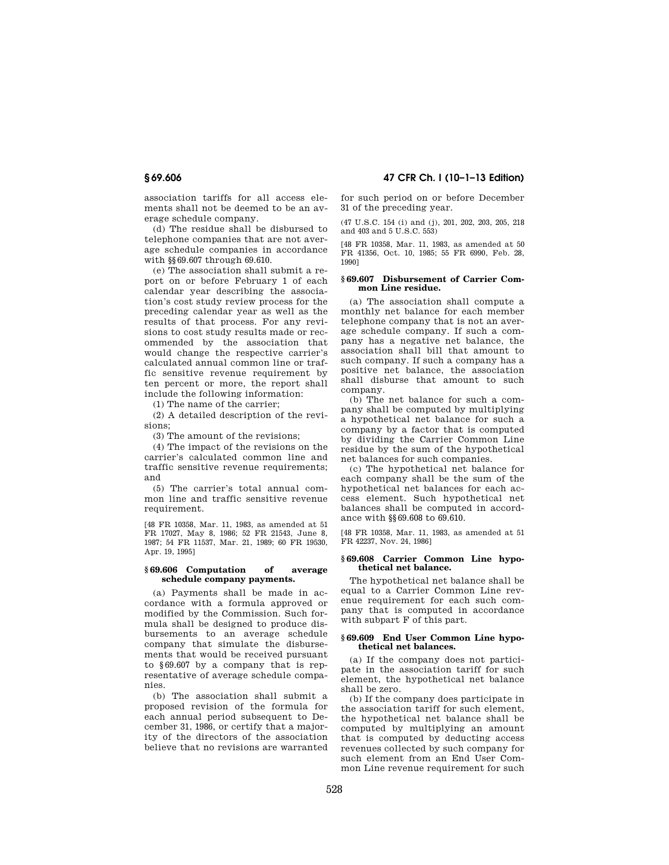association tariffs for all access elements shall not be deemed to be an average schedule company.

(d) The residue shall be disbursed to telephone companies that are not average schedule companies in accordance with §§69.607 through 69.610.

(e) The association shall submit a report on or before February 1 of each calendar year describing the association's cost study review process for the preceding calendar year as well as the results of that process. For any revisions to cost study results made or recommended by the association that would change the respective carrier's calculated annual common line or traffic sensitive revenue requirement by ten percent or more, the report shall include the following information:

(1) The name of the carrier;

(2) A detailed description of the revisions;

(3) The amount of the revisions;

(4) The impact of the revisions on the carrier's calculated common line and traffic sensitive revenue requirements; and

(5) The carrier's total annual common line and traffic sensitive revenue requirement.

[48 FR 10358, Mar. 11, 1983, as amended at 51 FR 17027, May 8, 1986; 52 FR 21543, June 8, 1987; 54 FR 11537, Mar. 21, 1989; 60 FR 19530, Apr. 19, 1995]

## **§ 69.606 Computation of average schedule company payments.**

(a) Payments shall be made in accordance with a formula approved or modified by the Commission. Such formula shall be designed to produce disbursements to an average schedule company that simulate the disbursements that would be received pursuant to §69.607 by a company that is representative of average schedule companies.

(b) The association shall submit a proposed revision of the formula for each annual period subsequent to December 31, 1986, or certify that a majority of the directors of the association believe that no revisions are warranted

**§ 69.606 47 CFR Ch. I (10–1–13 Edition)** 

for such period on or before December 31 of the preceding year.

(47 U.S.C. 154 (i) and (j), 201, 202, 203, 205, 218 and 403 and 5 U.S.C. 553)

[48 FR 10358, Mar. 11, 1983, as amended at 50 FR 41356, Oct. 10, 1985; 55 FR 6990, Feb. 28, 1990]

## **§ 69.607 Disbursement of Carrier Common Line residue.**

(a) The association shall compute a monthly net balance for each member telephone company that is not an average schedule company. If such a company has a negative net balance, the association shall bill that amount to such company. If such a company has a positive net balance, the association shall disburse that amount to such company.

(b) The net balance for such a company shall be computed by multiplying a hypothetical net balance for such a company by a factor that is computed by dividing the Carrier Common Line residue by the sum of the hypothetical net balances for such companies.

(c) The hypothetical net balance for each company shall be the sum of the hypothetical net balances for each access element. Such hypothetical net balances shall be computed in accordance with §§69.608 to 69.610.

[48 FR 10358, Mar. 11, 1983, as amended at 51 FR 42237, Nov. 24, 1986]

## **§ 69.608 Carrier Common Line hypothetical net balance.**

The hypothetical net balance shall be equal to a Carrier Common Line revenue requirement for each such company that is computed in accordance with subpart F of this part.

## **§ 69.609 End User Common Line hypothetical net balances.**

(a) If the company does not participate in the association tariff for such element, the hypothetical net balance shall be zero.

(b) If the company does participate in the association tariff for such element, the hypothetical net balance shall be computed by multiplying an amount that is computed by deducting access revenues collected by such company for such element from an End User Common Line revenue requirement for such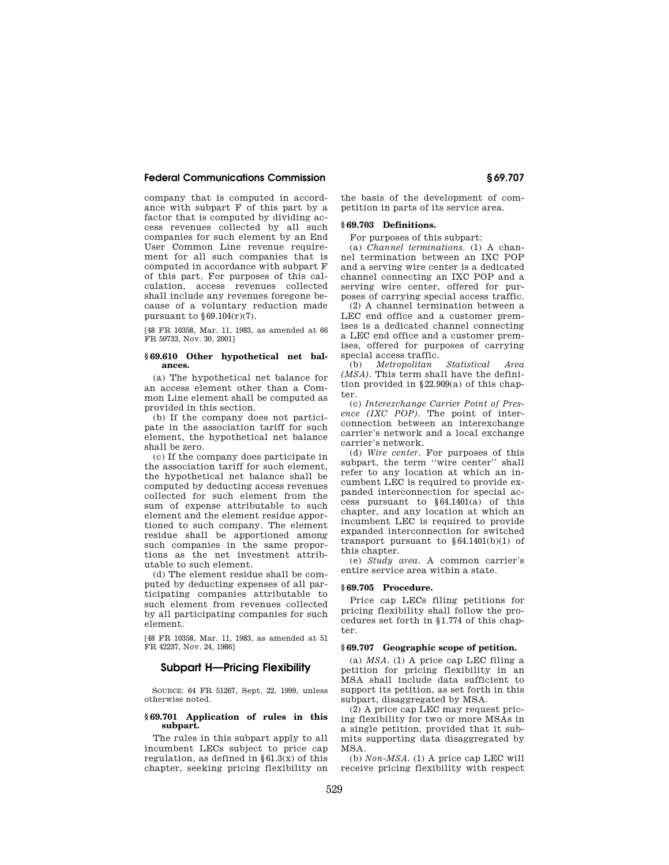company that is computed in accordance with subpart F of this part by a factor that is computed by dividing access revenues collected by all such companies for such element by an End User Common Line revenue requirement for all such companies that is computed in accordance with subpart F of this part. For purposes of this calculation, access revenues collected shall include any revenues foregone because of a voluntary reduction made pursuant to  $§69.104(r)(7)$ .

[48 FR 10358, Mar. 11, 1983, as amended at 66 FR 59733, Nov. 30, 2001]

#### **§ 69.610 Other hypothetical net balances.**

(a) The hypothetical net balance for an access element other than a Common Line element shall be computed as provided in this section.

(b) If the company does not participate in the association tariff for such element, the hypothetical net balance shall be zero.

(c) If the company does participate in the association tariff for such element, the hypothetical net balance shall be computed by deducting access revenues collected for such element from the sum of expense attributable to such element and the element residue apportioned to such company. The element residue shall be apportioned among such companies in the same proportions as the net investment attributable to such element.

(d) The element residue shall be computed by deducting expenses of all participating companies attributable to such element from revenues collected by all participating companies for such element.

[48 FR 10358, Mar. 11, 1983, as amended at 51 FR 42237, Nov. 24, 1986]

# **Subpart H—Pricing Flexibility**

SOURCE: 64 FR 51267, Sept. 22, 1999, unless otherwise noted.

#### **§ 69.701 Application of rules in this subpart.**

The rules in this subpart apply to all incumbent LECs subject to price cap regulation, as defined in  $§61.3(x)$  of this chapter, seeking pricing flexibility on the basis of the development of competition in parts of its service area.

## **§ 69.703 Definitions.**

For purposes of this subpart:

(a) *Channel terminations.* (1) A channel termination between an IXC POP and a serving wire center is a dedicated channel connecting an IXC POP and a serving wire center, offered for purposes of carrying special access traffic.

(2) A channel termination between a LEC end office and a customer premises is a dedicated channel connecting a LEC end office and a customer premises, offered for purposes of carrying special access traffic.<br>(b) *Metropolitan Statistical* 

(b) *Metropolitan Statistical Area (MSA).* This term shall have the definition provided in §22.909(a) of this chapter.

(c) *Interexchange Carrier Point of Presence (IXC POP).* The point of interconnection between an interexchange carrier's network and a local exchange carrier's network.

(d) *Wire center.* For purposes of this subpart, the term ''wire center'' shall refer to any location at which an incumbent LEC is required to provide expanded interconnection for special access pursuant to §64.1401(a) of this chapter, and any location at which an incumbent LEC is required to provide expanded interconnection for switched transport pursuant to §64.1401(b)(1) of this chapter.

(e) *Study area.* A common carrier's entire service area within a state.

## **§ 69.705 Procedure.**

Price cap LECs filing petitions for pricing flexibility shall follow the procedures set forth in §1.774 of this chapter.

## **§ 69.707 Geographic scope of petition.**

(a) *MSA.* (1) A price cap LEC filing a petition for pricing flexibility in an MSA shall include data sufficient to support its petition, as set forth in this subpart, disaggregated by MSA.

(2) A price cap LEC may request pricing flexibility for two or more MSAs in a single petition, provided that it submits supporting data disaggregated by MSA.

(b) *Non-MSA.* (1) A price cap LEC will receive pricing flexibility with respect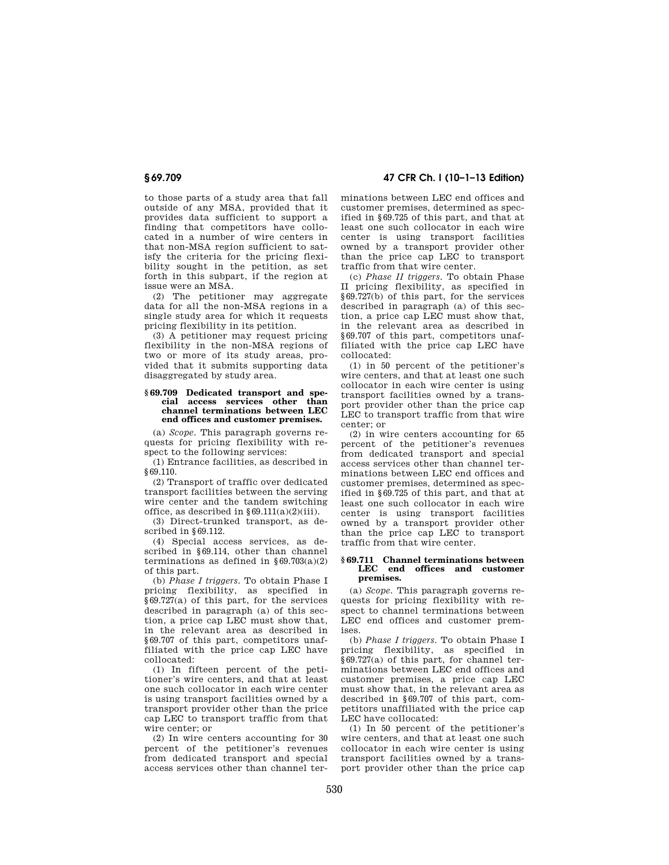to those parts of a study area that fall outside of any MSA, provided that it provides data sufficient to support a finding that competitors have collocated in a number of wire centers in that non-MSA region sufficient to satisfy the criteria for the pricing flexibility sought in the petition, as set forth in this subpart, if the region at issue were an MSA.

(2) The petitioner may aggregate data for all the non-MSA regions in a single study area for which it requests pricing flexibility in its petition.

(3) A petitioner may request pricing flexibility in the non-MSA regions of two or more of its study areas, provided that it submits supporting data disaggregated by study area.

#### **§ 69.709 Dedicated transport and special access services other than channel terminations between LEC end offices and customer premises.**

(a) *Scope.* This paragraph governs requests for pricing flexibility with respect to the following services:

(1) Entrance facilities, as described in §69.110.

(2) Transport of traffic over dedicated transport facilities between the serving wire center and the tandem switching office, as described in  $\S 69.111(a)(2)(iii)$ .

(3) Direct-trunked transport, as described in §69.112.

(4) Special access services, as described in §69.114, other than channel terminations as defined in  $\S 69.703(a)(2)$ of this part.

(b) *Phase I triggers.* To obtain Phase I pricing flexibility, as specified in  $§69.727(a)$  of this part, for the services described in paragraph (a) of this section, a price cap LEC must show that, in the relevant area as described in §69.707 of this part, competitors unaffiliated with the price cap LEC have collocated:

(1) In fifteen percent of the petitioner's wire centers, and that at least one such collocator in each wire center is using transport facilities owned by a transport provider other than the price cap LEC to transport traffic from that wire center; or

(2) In wire centers accounting for 30 percent of the petitioner's revenues from dedicated transport and special access services other than channel ter-

**§ 69.709 47 CFR Ch. I (10–1–13 Edition)** 

minations between LEC end offices and customer premises, determined as specified in §69.725 of this part, and that at least one such collocator in each wire center is using transport facilities owned by a transport provider other than the price cap LEC to transport traffic from that wire center.

(c) *Phase II triggers.* To obtain Phase II pricing flexibility, as specified in §69.727(b) of this part, for the services described in paragraph (a) of this section, a price cap LEC must show that, in the relevant area as described in §69.707 of this part, competitors unaffiliated with the price cap LEC have collocated:

(1) in 50 percent of the petitioner's wire centers, and that at least one such collocator in each wire center is using transport facilities owned by a transport provider other than the price cap LEC to transport traffic from that wire center; or

(2) in wire centers accounting for 65 percent of the petitioner's revenues from dedicated transport and special access services other than channel terminations between LEC end offices and customer premises, determined as specified in §69.725 of this part, and that at least one such collocator in each wire center is using transport facilities owned by a transport provider other than the price cap LEC to transport traffic from that wire center.

#### **§ 69.711 Channel terminations between LEC end offices and customer premises.**

(a) *Scope.* This paragraph governs requests for pricing flexibility with respect to channel terminations between LEC end offices and customer premises.

(b) *Phase I triggers.* To obtain Phase I pricing flexibility, as specified in §69.727(a) of this part, for channel terminations between LEC end offices and customer premises, a price cap LEC must show that, in the relevant area as described in §69.707 of this part, competitors unaffiliated with the price cap LEC have collocated:

(1) In 50 percent of the petitioner's wire centers, and that at least one such collocator in each wire center is using transport facilities owned by a transport provider other than the price cap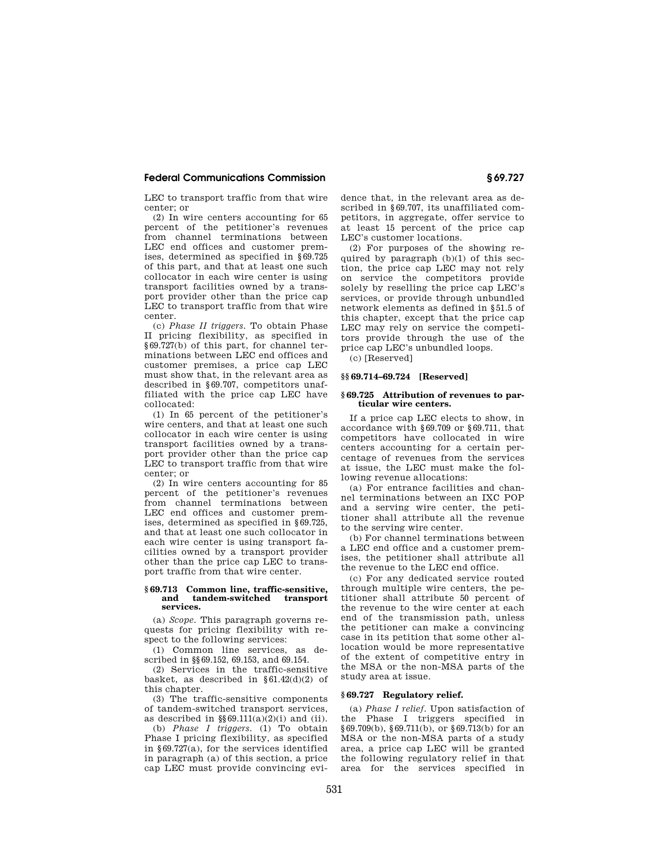LEC to transport traffic from that wire center; or

(2) In wire centers accounting for 65 percent of the petitioner's revenues from channel terminations between LEC end offices and customer premises, determined as specified in §69.725 of this part, and that at least one such collocator in each wire center is using transport facilities owned by a transport provider other than the price cap LEC to transport traffic from that wire center.

(c) *Phase II triggers.* To obtain Phase II pricing flexibility, as specified in §69.727(b) of this part, for channel terminations between LEC end offices and customer premises, a price cap LEC must show that, in the relevant area as described in §69.707, competitors unaffiliated with the price cap LEC have collocated:

(1) In 65 percent of the petitioner's wire centers, and that at least one such collocator in each wire center is using transport facilities owned by a transport provider other than the price cap LEC to transport traffic from that wire center; or

(2) In wire centers accounting for 85 percent of the petitioner's revenues from channel terminations between LEC end offices and customer premises, determined as specified in §69.725, and that at least one such collocator in each wire center is using transport facilities owned by a transport provider other than the price cap LEC to transport traffic from that wire center.

## **§ 69.713 Common line, traffic-sensitive, and tandem-switched transport services.**

(a) *Scope.* This paragraph governs requests for pricing flexibility with respect to the following services:

(1) Common line services, as described in §§69.152, 69.153, and 69.154.

(2) Services in the traffic-sensitive basket, as described in §61.42(d)(2) of this chapter.

(3) The traffic-sensitive components of tandem-switched transport services, as described in  $\$ 69.111(a)(2)(i) and (ii).

(b) *Phase I triggers.* (1) To obtain Phase I pricing flexibility, as specified in §69.727(a), for the services identified in paragraph (a) of this section, a price cap LEC must provide convincing evidence that, in the relevant area as described in §69.707, its unaffiliated competitors, in aggregate, offer service to at least 15 percent of the price cap LEC's customer locations.

(2) For purposes of the showing required by paragraph (b)(1) of this section, the price cap LEC may not rely on service the competitors provide solely by reselling the price cap LEC's services, or provide through unbundled network elements as defined in §51.5 of this chapter, except that the price cap LEC may rely on service the competitors provide through the use of the price cap LEC's unbundled loops.

(c) [Reserved]

## **§§ 69.714–69.724 [Reserved]**

#### **§ 69.725 Attribution of revenues to particular wire centers.**

If a price cap LEC elects to show, in accordance with §69.709 or §69.711, that competitors have collocated in wire centers accounting for a certain percentage of revenues from the services at issue, the LEC must make the following revenue allocations:

(a) For entrance facilities and channel terminations between an IXC POP and a serving wire center, the petitioner shall attribute all the revenue to the serving wire center.

(b) For channel terminations between a LEC end office and a customer premises, the petitioner shall attribute all the revenue to the LEC end office.

(c) For any dedicated service routed through multiple wire centers, the petitioner shall attribute 50 percent of the revenue to the wire center at each end of the transmission path, unless the petitioner can make a convincing case in its petition that some other allocation would be more representative of the extent of competitive entry in the MSA or the non-MSA parts of the study area at issue.

# **§ 69.727 Regulatory relief.**

(a) *Phase I relief.* Upon satisfaction of the Phase I triggers specified in §69.709(b), §69.711(b), or §69.713(b) for an MSA or the non-MSA parts of a study area, a price cap LEC will be granted the following regulatory relief in that area for the services specified in